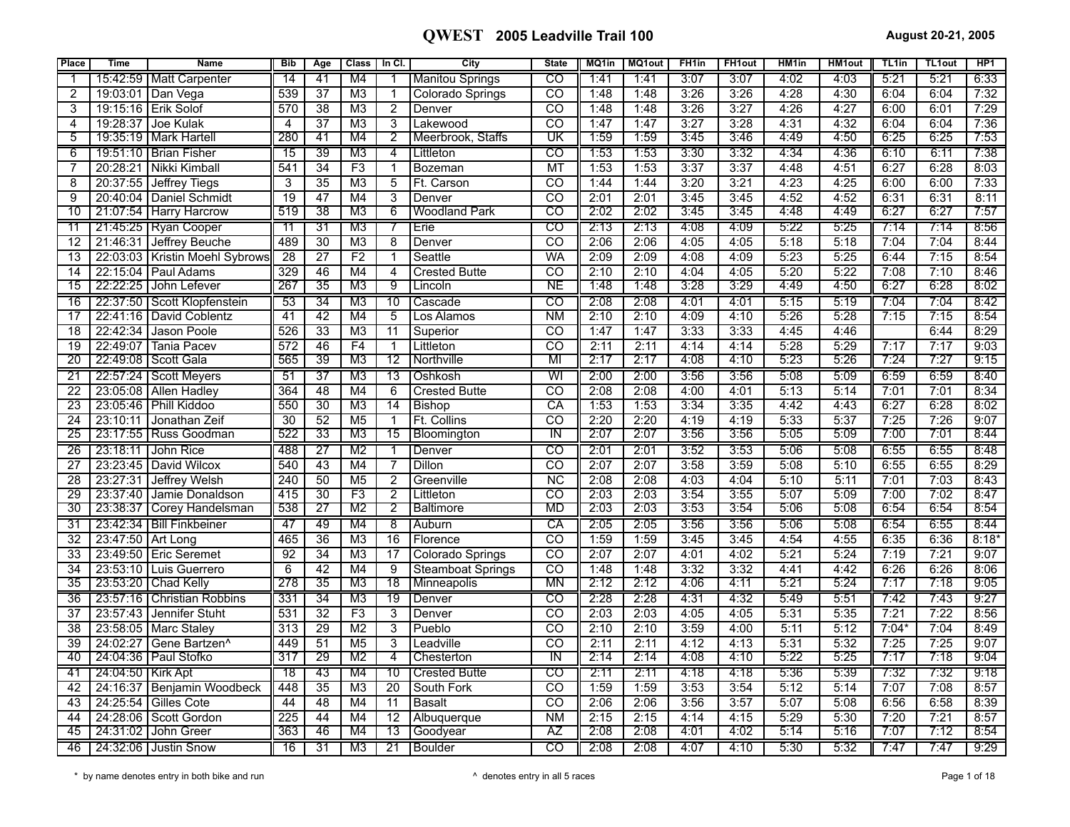| <b>Place</b>    | <b>Time</b>         | <b>Name</b>                      | <b>Bib</b>       | Age             | <b>Class</b>    | In $CI.$        | City                     | <b>State</b>             | MQ1in | <b>MQ1out</b> | FH <sub>1in</sub> | <b>FH1out</b> | HM <sub>1in</sub> | <b>HM1out</b> | TL <sub>1in</sub> | <b>TL1out</b> | HP <sub>1</sub> |
|-----------------|---------------------|----------------------------------|------------------|-----------------|-----------------|-----------------|--------------------------|--------------------------|-------|---------------|-------------------|---------------|-------------------|---------------|-------------------|---------------|-----------------|
|                 |                     | 15:42:59   Matt Carpenter        | 14               | 41              | M4              |                 | <b>Manitou Springs</b>   | CO                       | 1:41  | 1:41          | 3:07              | 3:07          | 4:02              | 4:03          | 5:21              | 5:21          | 6:33            |
| 2               | 19:03:01            | Dan Vega                         | 539              | $\overline{37}$ | $\overline{M3}$ | $\mathbf{1}$    | Colorado Springs         | $\overline{CO}$          | 1:48  | 1:48          | 3:26              | 3:26          | 4:28              | 4:30          | 6:04              | 6:04          | 7:32            |
| 3               | 19:15:16            | l Erik Solof                     | 570              | 38              | M <sub>3</sub>  | $\overline{2}$  | Denver                   | CO                       | 1:48  | 1:48          | 3:26              | 3:27          | 4:26              | 4:27          | 6:00              | 6:01          | 7:29            |
| $\overline{4}$  | 19:28:37            | Joe Kulak                        | $\overline{4}$   | 37              | M <sub>3</sub>  | 3               | Lakewood                 | CO                       | 1:47  | 1:47          | 3:27              | 3:28          | 4:31              | 4:32          | 6:04              | 6:04          | 7:36            |
| 5               |                     | 19:35:19   Mark Hartell          | 280              | 41              | M4              | $\overline{2}$  | Meerbrook, Staffs        | UΚ                       | 1:59  | 1:59          | 3:45              | 3:46          | 4:49              | 4:50          | 6:25              | 6:25          | 7:53            |
| 6               |                     | 19:51:10   Brian Fisher          | $\overline{15}$  | 39              | M <sub>3</sub>  | $\overline{4}$  | Littleton                | CO                       | 1:53  | 1:53          | 3:30              | 3:32          | 4:34              | 4:36          | 6:10              | 6:11          | 7:38            |
| $\overline{7}$  | 20:28:21            | Nikki Kimball                    | 541              | $\overline{34}$ | F3              | $\mathbf{1}$    | Bozeman                  | <b>MT</b>                | 1:53  | 1:53          | 3:37              | 3:37          | 4:48              | 4:51          | 6:27              | 6:28          | 8:03            |
| $\overline{8}$  | 20:37:55            | Jeffrey Tiegs                    | $\overline{3}$   | $\overline{35}$ | $\overline{M3}$ | $\overline{5}$  | Ft. Carson               | $\overline{co}$          | 1:44  | 1:44          | 3:20              | 3:21          | 4:23              | 4:25          | 6:00              | 6:00          | 7:33            |
| 9               | 20:40:04            | Daniel Schmidt                   | $\overline{19}$  | 47              | M4              | $\overline{3}$  | Denver                   | $\overline{co}$          | 2:01  | 2:01          | 3:45              | 3:45          | 4:52              | 4:52          | 6:31              | 6:31          | 8:11            |
| 10              |                     | 21:07:54   Harry Harcrow         | 519              | 38              | M3              | 6               | <b>Woodland Park</b>     | ਨਾ                       | 2:02  | 2:02          | 3:45              | 3:45          | 4:48              | 4:49          | 6:27              | 6:27          | 7:57            |
| 11              |                     | 21:45:25   Ryan Cooper           | 11               | $\overline{31}$ | M3              |                 | Erie                     | $\overline{\text{co}}$   | 2:13  | 2:13          | 4:08              | 4:09          | 5:22              | 5:25          | 7:14              | 7:14          | 8:56            |
| 12              | 21:46:31            | Jeffrey Beuche                   | 489              | $\overline{30}$ | M <sub>3</sub>  | 8               | Denver                   | $\overline{co}$          | 2:06  | 2:06          | 4:05              | 4:05          | 5:18              | 5:18          | 7:04              | 7:04          | 8:44            |
| 13              |                     | 22:03:03   Kristin Moehl Sybrows | 28               | $\overline{27}$ | F <sub>2</sub>  | $\mathbf{1}$    | Seattle                  | <b>WA</b>                | 2:09  | 2:09          | 4:08              | 4:09          | 5:23              | 5:25          | 6:44              | 7:15          | 8:54            |
| 14              | 22:15:04            | Paul Adams                       | 329              | 46              | M4              | $\overline{4}$  | <b>Crested Butte</b>     | $\overline{\text{co}}$   | 2:10  | 2:10          | 4:04              | 4:05          | 5:20              | 5:22          | 7:08              | 7:10          | 8:46            |
| 15              |                     | 22:22:25 John Lefever            | 267              | 35              | M <sub>3</sub>  | -9              | Lincoln                  | NΕ                       | 1:48  | 1:48          | 3:28              | 3:29          | 4:49              | 4:50          | 6:27              | 6:28          | 8:02            |
| 16              | 22:37:50            | Scott Klopfenstein               | 53               | 34              | M3              | 10              | Cascade                  | CO                       | 2:08  | 2:08          | 4:01              | 4:01          | 5:15              | 5:19          | 7:04              | 7:04          | 8:42            |
| 17              | 22:41:16            | David Coblentz                   | 41               | 42              | M4              | 5               | Los Alamos               | <b>NM</b>                | 2:10  | 2:10          | 4:09              | 4:10          | 5:26              | 5:28          | 7:15              | 7:15          | 8:54            |
| 18              | 22:42:34            | Jason Poole                      | 526              | 33              | M <sub>3</sub>  | 11              | Superior                 | CO                       | 1:47  | 1:47          | 3:33              | 3:33          | 4:45              | 4:46          |                   | 6:44          | 8:29            |
| 19              | 22:49:07            | Tania Pacev                      | 572              | 46              | F <sub>4</sub>  | $\overline{1}$  | Littleton                | CO                       | 2:11  | 2:11          | 4:14              | 4:14          | 5:28              | 5:29          | 7:17              | 7:17          | 9:03            |
| 20              | 22:49:08            | <b>Scott Gala</b>                | 565              | $\overline{39}$ | $\overline{M3}$ | $\overline{12}$ | Northville               | MI                       | 2:17  | 2:17          | 4:08              | 4:10          | 5:23              | 5:26          | 7:24              | 7:27          | 9:15            |
| $\overline{21}$ | 22:57:24            | <b>Scott Meyers</b>              | 51               | $\overline{37}$ | M3              | $\overline{13}$ | Oshkosh                  | WI                       | 2:00  | 2:00          | 3:56              | 3:56          | 5:08              | 5:09          | 6:59              | 6:59          | 8:40            |
| $\overline{22}$ | 23:05:08            | Allen Hadley                     | 364              | $\overline{48}$ | M4              | $\overline{6}$  | <b>Crested Butte</b>     | $\overline{\text{co}}$   | 2:08  | 2:08          | 4:00              | 4:01          | 5:13              | 5:14          | 7:01              | 7:01          | 8:34            |
| $\overline{23}$ | 23:05:46            | Phill Kiddoo                     | 550              | $\overline{30}$ | $\overline{M3}$ | $\overline{14}$ | <b>Bishop</b>            | CA                       | 1:53  | 1:53          | 3:34              | 3:35          | 4:42              | 4:43          | 6:27              | 6:28          | 8:02            |
| 24              | 23:10:11            | Jonathan Zeif                    | $\overline{30}$  | 52              | M <sub>5</sub>  | $\overline{1}$  | Ft. Collins              | $\overline{\text{co}}$   | 2:20  | 2:20          | 4:19              | 4:19          | 5:33              | 5:37          | 7:25              | 7:26          | 9:07            |
| 25              | 23:17:55            | Russ Goodman                     | 522              | 33              | M3              | 15              | Bloomington              | ℼ                        | 2:07  | 2:07          | 3:56              | 3:56          | 5:05              | 5:09          | 7:00              | 7:01          | 8:44            |
| 26              | 23:18:11            | John Rice                        | 488              | 27              | M <sub>2</sub>  | 7               | Denver                   | $\overline{\text{co}}$   | 2:01  | 2:01          | 3:52              | 3:53          | 5:06              | 5:08          | 6:55              | 6:55          | 8:48            |
| 27              | 23:23:45            | David Wilcox                     | 540              | 43              | M4              | $\overline{7}$  | Dillon                   | $\overline{\text{co}}$   | 2:07  | 2:07          | 3:58              | 3:59          | 5:08              | 5:10          | 6:55              | 6:55          | 8:29            |
| $\overline{28}$ | 23:27:31            | <b>Jeffrey Welsh</b>             | 240              | $\overline{50}$ | M <sub>5</sub>  | $\overline{2}$  | Greenville               | $\overline{\text{NC}}$   | 2:08  | 2:08          | 4:03              | 4:04          | 5:10              | 5:11          | 7:01              | 7:03          | 8:43            |
| 29              | 23:37:40            | Jamie Donaldson                  | 415              | 30              | F3              | $\overline{2}$  | Littleton                | $\overline{\mathrm{co}}$ | 2:03  | 2:03          | 3:54              | 3:55          | 5:07              | 5:09          | 7:00              | 7:02          | 8:47            |
| 30              | 23:38:37            | Corey Handelsman                 | 538              | 27              | M <sub>2</sub>  | 2               | <b>Baltimore</b>         | MD                       | 2:03  | 2:03          | 3:53              | 3:54          | 5:06              | 5:08          | 6:54              | 6:54          | 8:54            |
| 31              |                     | 23:42:34   Bill Finkbeiner       | 47               | 49              | M4              | 8               | Auburn                   | CA                       | 2:05  | 2:05          | 3:56              | 3:56          | 5:06              | 5:08          | 6:54              | 6:55          | 8:44            |
| 32              | 23:47:50            | Art Long                         | 465              | $\overline{36}$ | M <sub>3</sub>  | 16              | Florence                 | $\overline{\mathrm{co}}$ | 1:59  | 1:59          | 3:45              | 3:45          | 4:54              | 4:55          | 6:35              | 6:36          | $8:18*$         |
| $\overline{33}$ |                     | 23:49:50 Eric Seremet            | 92               | $\overline{34}$ | M <sub>3</sub>  | $\overline{17}$ | <b>Colorado Springs</b>  | $\overline{co}$          | 2:07  | 2:07          | 4:01              | 4:02          | 5:21              | 5:24          | 7:19              | 7:21          | 9:07            |
| 34              |                     | 23:53:10 Luis Guerrero           | 6                | 42              | $\overline{M4}$ | 9               | <b>Steamboat Springs</b> | CO                       | 1:48  | 1:48          | 3:32              | 3:32          | 4:41              | 4:42          | 6:26              | 6:26          | 8:06            |
| 35              |                     | 23:53:20   Chad Kelly            | 278              | $\overline{35}$ | $\overline{M3}$ | $\overline{18}$ | Minneapolis              | ΜN                       | 2:12  | 2:12          | 4:06              | 4:11          | 5:21              | 5:24          | 7:17              | 7:18          | 9:05            |
| 36              | 23:57:16            | Christian Robbins                | 331              | 34              | M3              | 19              | Denver                   | CO                       | 2:28  | 2:28          | 4:31              | 4:32          | 5:49              | 5:51          | 7:42              | 7:43          | 9:27            |
| $\overline{37}$ | 23:57:43            | Jennifer Stuht                   | $\overline{531}$ | $\overline{32}$ | F3              | 3               | Denver                   | $\overline{c}$           | 2:03  | 2:03          | 4:05              | 4:05          | 5:31              | 5:35          | 7:21              | 7:22          | 8:56            |
| 38              | 23:58:05            | l Marc Stalev                    | 313              | $\overline{29}$ | $\overline{M2}$ | $\overline{3}$  | Pueblo                   | $\overline{co}$          | 2:10  | 2:10          | 3:59              | 4:00          | 5:11              | 5:12          | 7:04'             | 7:04          | 8:49            |
| $\overline{39}$ | 24:02:27            | Gene Bartzen <sup>^</sup>        | 449              | 51              | M <sub>5</sub>  | $\overline{3}$  | Leadville                | $\overline{\text{co}}$   | 2:11  | 2:11          | 4:12              | 4:13          | 5:31              | 5:32          | 7:25              | 7:25          | 9:07            |
| 40              |                     | 24:04:36   Paul Stofko           | 317              | 29              | M2              | 4               | Chesterton               | ™                        | 2:14  | 2:14          | 4:08              | 4:10          | 5:22              | 5:25          | 7:17              | 7:18          | 9:04            |
| 41              | 24:04:50   Kirk Apt |                                  | $\overline{18}$  | 43              | M4              | $\overline{10}$ | <b>Crested Butte</b>     | CO                       | 2:11  | 2:11          | 4:18              | 4:18          | 5:36              | 5:39          | 7:32              | 7:32          | 9:18            |
| 42              | 24:16:37            | Benjamin Woodbeck                | 448              | $\overline{35}$ | M <sub>3</sub>  | $\overline{20}$ | South Fork               | $\overline{co}$          | 1:59  | 1:59          | 3:53              | 3:54          | 5:12              | 5:14          | 7:07              | 7:08          | 8:57            |
| 43              | 24:25:54            | Gilles Cote                      | 44               | 48              | M4              | $\overline{11}$ | <b>Basalt</b>            | CO                       | 2:06  | 2:06          | 3:56              | 3:57          | 5:07              | 5:08          | 6:56              | 6:58          | 8:39            |
| 44              | 24:28:06            | Scott Gordon                     | 225              | $\overline{44}$ | M4              | 12              | Albuquerque              | N <sub>M</sub>           | 2:15  | 2:15          | 4:14              | 4:15          | 5:29              | 5:30          | 7:20              | 7:21          | 8:57            |
| 45              | 24:31:02            | <b>John Greer</b>                | 363              | 46              | M4              | 13              | Goodvear                 | ΑZ                       | 2:08  | 2:08          | 4:01              | 4:02          | 5:14              | 5:16          | 7:07              | 7:12          | 8:54            |
| 46              |                     | 24:32:06   Justin Snow           | 16               | 31              | M3              | 21              | <b>Boulder</b>           | $\overline{\text{co}}$   | 2:08  | 2:08          | 4:07              | 4:10          | 5:30              | 5:32          | 7:47              | 7:47          | 9:29            |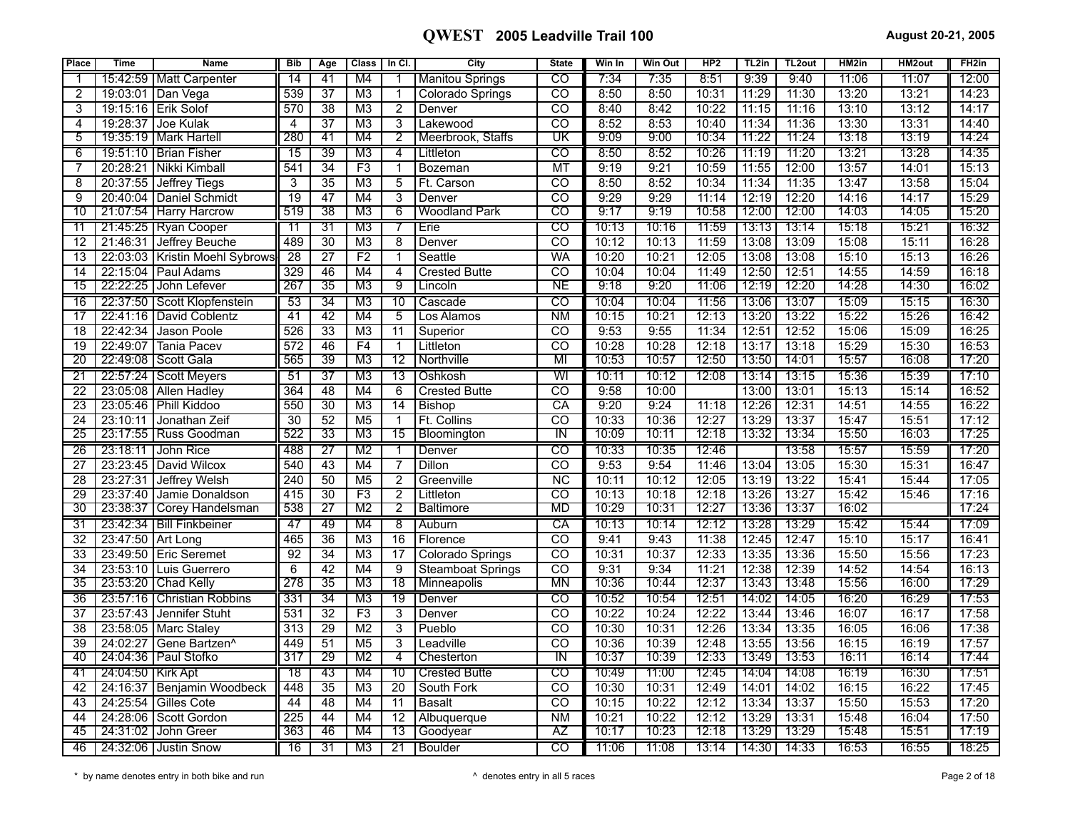| <b>Place</b>    | <b>Time</b>         | <b>Name</b>                | <b>Bib</b>              | Age             | <b>Class</b>    | In Cl.          | City                     | <b>State</b>             | Win In | <b>Win Out</b> | HP2            | TL2in | TL <sub>2</sub> out | HM2in          | HM2out         | FH <sub>2</sub> in |
|-----------------|---------------------|----------------------------|-------------------------|-----------------|-----------------|-----------------|--------------------------|--------------------------|--------|----------------|----------------|-------|---------------------|----------------|----------------|--------------------|
|                 |                     | 15:42:59   Matt Carpenter  | 14                      | 41              | M4              |                 | <b>Manitou Springs</b>   | CO                       | 7:34   | 7:35           | 8:51           | 9:39  | 9:40                | 11:06          | 11:07          | 12:00              |
| 2               |                     | 19:03:01 Dan Vega          | 539                     | 37              | M3              | 1               | <b>Colorado Springs</b>  | $\overline{co}$          | 8:50   | 8:50           | 10:31          | 11:29 | 11:30               | 13:20          | 13:21          | 14:23              |
| 3               | 19:15:16            | <b>Erik Solof</b>          | 570                     | 38              | M <sub>3</sub>  | $\overline{2}$  | Denver                   | $\overline{CO}$          | 8:40   | 8:42           | 10:22          | 11:15 | 11:16               | 13:10          | 13:12          | 14:17              |
| 4               | 19:28:37            | Joe Kulak                  | $\overline{\mathbf{4}}$ | 37              | M <sub>3</sub>  | 3               | Lakewood                 | $\overline{c}$           | 8:52   | 8:53           | 10:40          | 11:34 | 11:36               | 13:30          | 13:31          | 14:40              |
| 5               |                     | 19:35:19   Mark Hartell    | 280                     | 41              | M4              | $\overline{2}$  | Meerbrook, Staffs        | UΚ                       | 9:09   | 9:00           | 10:34          | 11:22 | 11:24               | 13:18          | 13:19          | 14:24              |
| $\overline{6}$  |                     | 19:51:10   Brian Fisher    | 15                      | 39              | M3              | $\overline{4}$  | Littleton                | $\overline{c}$           | 8:50   | 8:52           | 10:26          | 11:19 | 11:20               | 13:21          | 13:28          | 14:35              |
| 7               | 20:28:21            | Nikki Kimball              | 541                     | 34              | F3              | $\mathbf 1$     | <b>Bozeman</b>           | $\overline{\text{MT}}$   | 9:19   | 9:21           | 10:59          | 11:55 | 12:00               | 13:57          | 14:01          | 15:13              |
| 8               | 20:37:55            | <b>Jeffrey Tiegs</b>       | 3                       | 35              | M <sub>3</sub>  | 5               | Ft. Carson               | $\overline{CO}$          | 8:50   | 8:52           | 10:34          | 11:34 | 11:35               | 13:47          | 13:58          | 15:04              |
| 9               | 20:40:04            | Daniel Schmidt             | $\overline{19}$         | 47              | M4              | 3               | Denver                   | $\overline{co}$          | 9:29   | 9:29           | 11:14          | 12:19 | 12:20               | 14:16          | 14:17          | 15:29              |
| 10              |                     | 21:07:54   Harry Harcrow   | 519                     | 38              | M3              | 6               | <b>Woodland Park</b>     | ඟ                        | 9:17   | 9:19           | 10:58          | 12:00 | 12:00               | 14:03          | 14:05          | 15:20              |
| 11              |                     | 21:45:25   Ryan Cooper     | -11                     | 31              | M3              |                 | Erie                     | $\overline{c}$           | 10:13  | 10:16          | 11:59          | 13:13 | 13:14               | 15:18          | 15:21          | 16:32              |
| 12              | 21:46:31            | Jeffrey Beuche             | 489                     | $\overline{30}$ | M3              | $\overline{8}$  | Denver                   | $\overline{co}$          | 10:12  | 10:13          | 11:59          | 13:08 | 13:09               | 15:08          | 15:11          | 16:28              |
| 13              | 22:03:03            | Kristin Moehl Sybrows      | 28                      | $\overline{27}$ | F <sub>2</sub>  | $\mathbf{1}$    | Seattle                  | <b>WA</b>                | 10:20  | 10:21          | 12:05          | 13:08 | 13:08               | 15:10          | 15:13          | 16:26              |
| 14              | 22:15:04            | Paul Adams                 | 329                     | 46              | M4              | $\overline{4}$  | <b>Crested Butte</b>     | $\overline{co}$          | 10:04  | 10:04          | 11:49          | 12:50 | 12:51               | 14:55          | 14:59          | 16:18              |
| 15              | 22:22:25            | John Lefever               | 267                     | 35              | M3              | ९               | Lincoln                  | ΝE                       | 9:18   | 9:20           | 11:06          | 12:19 | 12:20               | 14:28          | 14:30          | 16:02              |
| 16              | 22:37:50            | Scott Klopfenstein         | 53                      | 34              | M3              | 10              | Cascade                  | CO                       | 10:04  | 10:04          | 11:56          | 13:06 | 13:07               | 15:09          | 15:15          | 16:30              |
| 17              | 22:41:16            | David Coblentz             | 41                      | 42              | M4              | 5               | Los Alamos               | N <sub>M</sub>           | 10:15  | 10:21          | 12:13          | 13:20 | 13:22               | 15:22          | 15:26          | 16:42              |
| 18              | 22:42:34            | Jason Poole                | 526                     | $\overline{33}$ | M3              | 11              | Superior                 | $\overline{co}$          | 9:53   | 9:55           | 11:34          | 12:51 | 12:52               | 15:06          | 15:09          | 16:25              |
| 19              | 22:49:07            | <b>Tania Pacev</b>         | 572                     | 46              | F4              | $\mathbf{1}$    | Littleton                | $\overline{\mathrm{co}}$ | 10:28  | 10:28          | 12:18          | 13:17 | 13:18               | 15:29          | 15:30          | 16:53              |
| $\overline{20}$ |                     | 22:49:08 Scott Gala        | 565                     | 39              | M <sub>3</sub>  | 12              | Northville               | MI                       | 10:53  | 10:57          | 12:50          | 13:50 | 14:01               | 15:57          | 16:08          | 17:20              |
| $\overline{21}$ |                     | 22:57:24   Scott Meyers    | 51                      | $\overline{37}$ | M3              | 13              | Oshkosh                  | WI                       | 10:11  | 10:12          | 12:08          | 13:14 | 13:15               | 15:36          | 15:39          | 17:10              |
| 22              |                     | 23:05:08 Allen Hadley      | 364                     | 48              | M4              | 6               | <b>Crested Butte</b>     | $\overline{c}$           | 9:58   | 10:00          |                | 13:00 | 13:01               | 15:13          | 15:14          | 16:52              |
| $\overline{23}$ | 23:05:46            | Phill Kiddoo               | 550                     | 30              | M3              | 14              | <b>Bishop</b>            | CA                       | 9:20   | 9:24           | 11:18          | 12:26 | 12:31               | 14:51          | 14:55          | 16:22              |
| 24              | 23:10:11            | Jonathan Zeif              | 30                      | 52              | M <sub>5</sub>  | $\overline{1}$  | Ft. Collins              | $\overline{co}$          | 10:33  | 10:36          | 12:27          | 13:29 | 13:37               | 15:47          | 15:51          | 17:12              |
| 25              |                     | 23:17:55   Russ Goodman    | 522                     | 33              | M3              | 15              | Bloomington              | ΤN                       | 10:09  | 10:11          | 12:18          | 13:32 | 13:34               | 15:50          | 16:03          | 17:25              |
| 26              |                     | 23:18:11 I John Rice       | 488                     | 27              | M <sub>2</sub>  |                 | Denver                   | CO                       | 10:33  | 10:35          | 12:46          |       | 13:58               | 15:57          | 15:59          | 17:20              |
| 27              |                     | 23:23:45 David Wilcox      | 540                     | 43              | M4              | 7               | Dillon                   | $\overline{CO}$          | 9:53   | 9:54           | 11:46          | 13:04 | 13:05               | 15:30          | 15:31          | 16:47              |
| 28              | 23:27:31            | Jeffrey Welsh              | 240                     | 50              | M5              | $\overline{2}$  | Greenville               | <b>NC</b>                | 10:11  | 10:12          | 12:05          | 13:19 | 13:22               | 15:41          | 15:44          | 17:05              |
| 29              |                     | 23:37:40 Jamie Donaldson   | 415                     | 30              | $\overline{F3}$ | $\overline{2}$  | Littleton                | $\overline{c}$           | 10:13  | 10:18          | 12:18          | 13:26 | 13:27               | 15:42          | 15:46          | 17:16              |
| 30              |                     | 23:38:37 Corey Handelsman  | 538                     | 27              | M2              | $\overline{2}$  | <b>Baltimore</b>         | MD                       | 10:29  | 10:31          | 12:27          | 13:36 | 13:37               | 16:02          |                | 17:24              |
| 31              |                     | 23:42:34   Bill Finkbeiner | 47                      | 49              | M4              | $\overline{8}$  | Auburn                   | CA                       | 10:13  | 10:14          | 12:12          | 13:28 | 13:29               | 15:42          | 15:44          | 17:09              |
| 32              | 23:47:50 Art Long   |                            | 465                     | 36              | M3              | $\overline{16}$ | Florence                 | $\overline{\text{co}}$   | 9:41   | 9:43           | 11:38          | 12:45 | 12:47               | 15:10          | 15:17          | 16:41              |
| 33              |                     | 23:49:50   Eric Seremet    | 92                      | 34              | MЗ              | 17              | Colorado Springs         | $\overline{co}$          | 10:31  | 10:37          | 12:33          | 13:35 | 13:36               | 15:50          | 15:56          | 17:23              |
| 34              |                     | 23:53:10 Luis Guerrero     | $\overline{6}$          | 42              | M4              | $\overline{9}$  | <b>Steamboat Springs</b> | <b>CO</b>                | 9:31   | 9:34           | 11:21          | 12:38 | 12:39               | 14:52          | 14:54          | 16:13              |
| 35              |                     | 23:53:20 Chad Kelly        | 278                     | $\overline{35}$ | M3              | $\overline{18}$ | Minneapolis              | <b>MN</b>                | 10:36  | 10:44          | 12:37          | 13:43 | 13:48               | 15:56          | 16:00          | 17:29              |
| 36              |                     | 23:57:16 Christian Robbins | 331                     | 34              | M3              | 19              | Denver                   | CO                       | 10:52  | 10:54          | 12:51          | 14:02 | 14:05               | 16:20          | 16:29          | 17:53              |
| 37              | 23:57:43            | Jennifer Stuht             | 531                     | $\overline{32}$ | F <sub>3</sub>  | 3               | Denver                   | CO                       | 10:22  | 10:24          | 12:22          | 13:44 | 13:46               | 16:07          | 16:17          | 17:58              |
| 38              | 23:58:05            | Marc Staley                | 313                     | $\overline{29}$ | $\overline{M2}$ | $\overline{3}$  | Pueblo                   | $\overline{\text{co}}$   | 10:30  | 10:31          | 12:26          | 13:34 | 13:35               | 16:05          | 16:06          | 17:38              |
| 39              | 24:02:27            | Gene Bartzen <sup>^</sup>  | 449                     | 51              | M <sub>5</sub>  | $\overline{3}$  | Leadville                | CO                       | 10:36  | 10:39          | 12:48          | 13:55 | 13:56               | 16:15          | 16:19          | 17:57              |
| 40              |                     | 24:04:36   Paul Stofko     | 317                     | 29              | M2              | 4               | Chesterton               | ΤN                       | 10:37  | 10:39          | 12:33          | 13:49 | 13:53               | 16:11          | 16:14          | 17:44              |
| -41             | 24:04:50   Kirk Apt |                            | $\overline{18}$         | 43              | M4              | 10              | <b>Crested Butte</b>     | $\overline{c}$           | 10:49  | 11:00          | 12:45          | 14:04 | 14:08               | 16:19          | 16:30          | 17:51              |
| 42              | 24:16:37            | Benjamin Woodbeck          | 448                     | $\overline{35}$ | M <sub>3</sub>  | $\overline{20}$ | South Fork               | $\overline{co}$          | 10:30  | 10:31          | 12:49          | 14:01 | 14:02               | 16:15          | 16:22          | 17:45              |
| 43              | 24:25:54            | <b>Gilles Cote</b>         | 44                      | 48              | M4              | 11              | <b>Basalt</b>            | $\overline{c}$           | 10:15  | 10:22          | 12:12          | 13:34 | 13:37               | 15:50          | 15:53          | 17:20              |
| 44              | 24:28:06            | Scott Gordon               | $\overline{225}$        | 44<br>46        | M4<br>M4        | 12              | Albuquerque              | $\overline{\text{NM}}$   | 10:21  | 10:22<br>10:23 | 12:12<br>12:18 | 13:29 | 13:31               | 15:48<br>15:48 | 16:04<br>15:51 | 17:50              |
| 45              | 24:31:02            | John Greer                 | 363                     |                 |                 | 13              | Goodyear                 | ΑZ                       | 10:17  |                |                | 13:29 | 13:29               |                |                | 17:19              |
| 46              |                     | 24:32:06   Justin Snow     | 16                      | 31              | M3              | 21              | Boulder                  | $\overline{co}$          | 11:06  | 11:08          | 13:14          | 14:30 | 14:33               | 16:53          | 16:55          | 18:25              |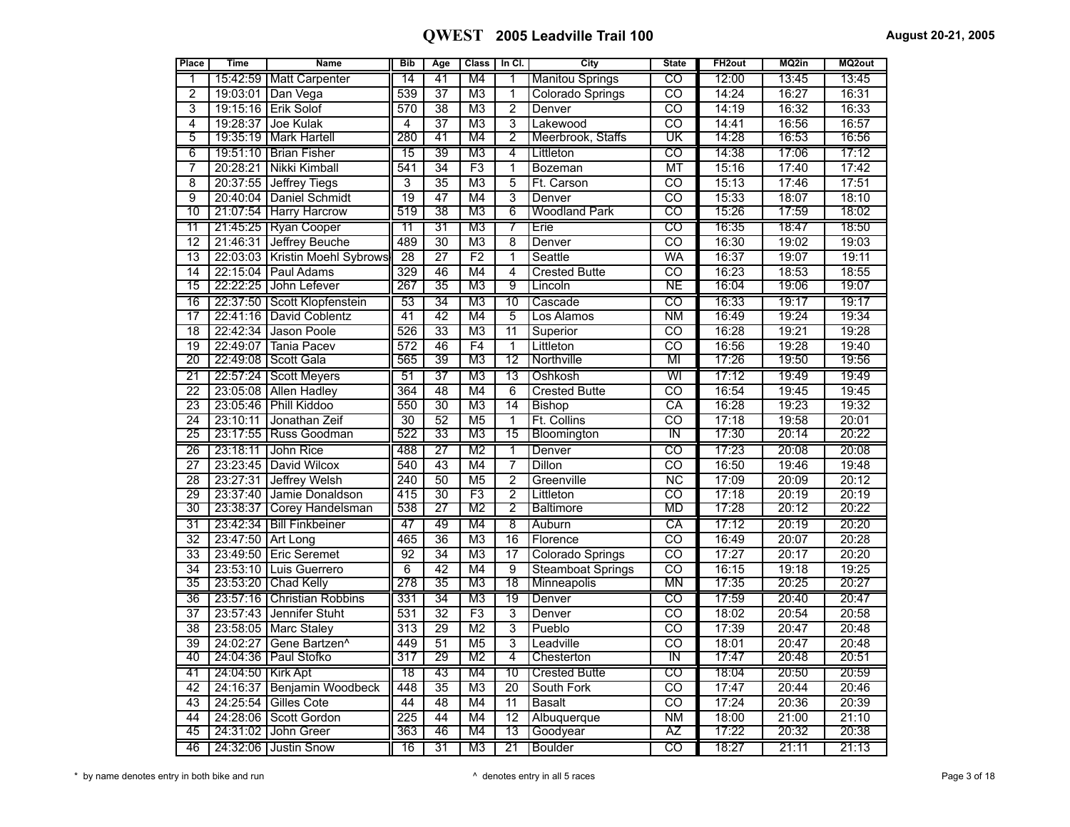| Place           | Time                | <b>Name</b>                   | <b>Bib</b>       | Age             | <b>Class</b>    | In Cl.          | City                     | <b>State</b>             | FH <sub>2out</sub> | MQ2in | MQ2out |
|-----------------|---------------------|-------------------------------|------------------|-----------------|-----------------|-----------------|--------------------------|--------------------------|--------------------|-------|--------|
| 1               | 15:42:59            | <b>Matt Carpenter</b>         | 14               | 41              | M4              | 1               | <b>Manitou Springs</b>   | $\overline{\text{co}}$   | 12:00              | 13:45 | 13:45  |
| $\overline{2}$  | 19:03:01            | Dan Vega                      | 539              | $\overline{37}$ | M <sub>3</sub>  | 1               | <b>Colorado Springs</b>  | $\overline{\text{co}}$   | 14:24              | 16:27 | 16:31  |
| $\overline{3}$  | 19:15:16            | <b>Erik Solof</b>             | 570              | $\overline{38}$ | $\overline{M3}$ | $\overline{2}$  | Denver                   | $\overline{\text{co}}$   | 14:19              | 16:32 | 16:33  |
| $\overline{4}$  | 19:28:37            | Joe Kulak                     | 4                | $\overline{37}$ | M <sub>3</sub>  | 3               | Lakewood                 | $\overline{\text{co}}$   | 14:41              | 16:56 | 16:57  |
| $\overline{5}$  | 19:35:19            | Mark Hartell                  | 280              | 41              | M4              | 2               | Meerbrook, Staffs        | $\overline{\mathtt{UK}}$ | 14:28              | 16:53 | 16:56  |
| 6               |                     | 19:51:10   Brian Fisher       | $\overline{15}$  | $\overline{39}$ | M <sub>3</sub>  | 4               | Littleton                | $\overline{c}$           | 14:38              | 17:06 | 17:12  |
| 7               | 20:28:21            | Nikki Kimball                 | 541              | $\overline{34}$ | F3              | 1               | <b>Bozeman</b>           | <b>MT</b>                | 15:16              | 17:40 | 17:42  |
| $\overline{8}$  | 20:37:55            | Jeffrey Tiegs                 | 3                | $\overline{35}$ | $\overline{M3}$ | $\overline{5}$  | Ft. Carson               | $\overline{\text{co}}$   | 15:13              | 17:46 | 17:51  |
| $\overline{9}$  | 20:40:04            | Daniel Schmidt                | $\overline{19}$  | 47              | M4              | $\overline{3}$  | Denver                   | $\overline{co}$          | 15:33              | 18:07 | 18:10  |
| 10              |                     | 21:07:54 Harry Harcrow        | 519              | 38              | M <sub>3</sub>  | 6               | <b>Woodland Park</b>     | $\overline{\text{co}}$   | 15:26              | 17:59 | 18:02  |
| $\overline{11}$ |                     | 21:45:25   Ryan Cooper        | 11               | $\overline{31}$ | M3              | 7               | Erie                     | $\overline{\text{co}}$   | 16:35              | 18:47 | 18:50  |
| 12              | 21:46:31            | Jeffrey Beuche                | 489              | 30              | M <sub>3</sub>  | 8               | Denver                   | $\overline{co}$          | 16:30              | 19:02 | 19:03  |
| $\overline{13}$ | 22:03:03            | <b>Kristin Moehl Sybrows</b>  | $\overline{28}$  | $\overline{27}$ | F2              | 1               | Seattle                  | WA                       | 16:37              | 19:07 | 19:11  |
| 14              | 22:15:04            | Paul Adams                    | 329              | 46              | M4              | $\overline{4}$  | <b>Crested Butte</b>     | $\overline{\mathrm{co}}$ | 16:23              | 18:53 | 18:55  |
| 15              | 22:22:25            | John Lefever                  | 267              | 35              | M3              | g               | Lincoln                  | NE                       | 16:04              | 19:06 | 19:07  |
| $\overline{16}$ |                     | 22:37:50   Scott Klopfenstein | 53               | 34              | M3              | $\overline{10}$ | Cascade                  | $\overline{c}$           | 16:33              | 19:17 | 19:17  |
| 17              | 22:41:16            | David Coblentz                | $\overline{41}$  | $\overline{42}$ | M4              | $\overline{5}$  | Los Alamos               | $\overline{\text{NM}}$   | 16:49              | 19:24 | 19:34  |
| 18              | 22:42:34            | <b>Jason Poole</b>            | 526              | $\overline{33}$ | $\overline{M3}$ | 11              | Superior                 | $\overline{co}$          | 16:28              | 19:21 | 19:28  |
| 19              | 22:49:07            | Tania Pacev                   | 572              | 46              | F4              | 1               | Littleton                | $\overline{\text{co}}$   | 16:56              | 19:28 | 19:40  |
| 20              | 22:49:08            | Scott Gala                    | 565              | 39              | $\overline{M3}$ | 12              | Northville               | MI                       | 17:26              | 19:50 | 19:56  |
| $\overline{21}$ |                     | 22:57:24   Scott Meyers       | 51               | $\overline{37}$ | M <sub>3</sub>  | $\overline{13}$ | Oshkosh                  | WI                       | 17:12              | 19:49 | 19:49  |
| $\overline{22}$ | 23:05:08            | <b>Allen Hadley</b>           | 364              | $\overline{48}$ | M4              | 6               | <b>Crested Butte</b>     | $\overline{\text{co}}$   | 16:54              | 19:45 | 19:45  |
| $\overline{23}$ | 23:05:46            | <b>Phill Kiddoo</b>           | 550              | $\overline{30}$ | $\overline{M3}$ | 14              | <b>Bishop</b>            | $\overline{CA}$          | 16:28              | 19:23 | 19:32  |
| 24              | 23:10:11            | Jonathan Zeif                 | $\overline{30}$  | $\overline{52}$ | M <sub>5</sub>  | 1               | Ft. Collins              | $\overline{\text{co}}$   | 17:18              | 19:58 | 20:01  |
| 25              | 23:17:55            | Russ Goodman                  | 522              | 33              | M3              | 15              | Bloomington              | TN                       | 17:30              | 20:14 | 20:22  |
| 26              |                     | 23:18:11 John Rice            | 488              | 27              | M2              | 1               | Denver                   | CO                       | 17:23              | 20:08 | 20:08  |
| $\overline{27}$ | 23:23:45            | David Wilcox                  | 540              | 43              | M4              | $\overline{7}$  | Dillon                   | $\overline{\text{co}}$   | 16:50              | 19:46 | 19:48  |
| $\overline{28}$ | 23:27:31            | Jeffrey Welsh                 | 240              | 50              | M <sub>5</sub>  | $\overline{2}$  | Greenville               | $\overline{\text{NC}}$   | 17:09              | 20:09 | 20:12  |
| 29              | 23:37:40            | Jamie Donaldson               | $\overline{415}$ | $\overline{30}$ | F3              | $\overline{2}$  | Littleton                | $\overline{\mathrm{co}}$ | 17:18              | 20:19 | 20:19  |
| 30              | 23:38:37            | Corey Handelsman              | 538              | 27              | M2              | 2               | <b>Baltimore</b>         | МD                       | 17:28              | 20:12 | 20:22  |
| 31              |                     | 23:42:34   Bill Finkbeiner    | 47               | 49              | M4              | 8               | Auburn                   | CA                       | 17:12              | 20:19 | 20:20  |
| $\overline{32}$ | 23:47:50            | <b>Art Long</b>               | 465              | $\overline{36}$ | M <sub>3</sub>  | $\overline{16}$ | Florence                 | $\overline{\mathrm{co}}$ | 16:49              | 20:07 | 20:28  |
| $\overline{33}$ | 23:49:50            | <b>Eric Seremet</b>           | $\overline{92}$  | $\overline{34}$ | M <sub>3</sub>  | $\overline{17}$ | Colorado Springs         | $\overline{co}$          | 17:27              | 20:17 | 20:20  |
| 34              | 23:53:10            | Luis Guerrero                 | $\overline{6}$   | $\overline{42}$ | M4              | 9               | <b>Steamboat Springs</b> | $\overline{\mathrm{co}}$ | 16:15              | 19:18 | 19:25  |
| 35              |                     | 23:53:20 Chad Kelly           | 278              | $\overline{35}$ | M <sub>3</sub>  | $\overline{18}$ | Minneapolis              | ΜN                       | 17:35              | 20:25 | 20:27  |
| 36              |                     | 23:57:16   Christian Robbins  | 331              | $\overline{34}$ | M3              | 19              | Denver                   | $\overline{c}$           | 17:59              | 20:40 | 20:47  |
| 37              |                     | 23:57:43 Jennifer Stuht       | 531              | $\overline{32}$ | F3              | 3               | Denver                   | CO                       | 18:02              | 20:54 | 20:58  |
| $\overline{38}$ | 23:58:05            | Marc Staley                   | 313              | $\overline{29}$ | $\overline{M2}$ | $\overline{3}$  | Pueblo                   | $\overline{\mathrm{co}}$ | 17:39              | 20:47 | 20:48  |
| 39              | 24:02:27            | Gene Bartzen <sup>^</sup>     | 449              | 51              | M <sub>5</sub>  | $\overline{3}$  | Leadville                | $\overline{co}$          | 18:01              | 20:47 | 20:48  |
| 40              | 24:04:36            | <b>Paul Stofko</b>            | 317              | 29              | M2              | 4               | Chesterton               | ℼ                        | 17:47              | 20:48 | 20:51  |
| 41              | 24:04:50   Kirk Apt |                               | $\overline{18}$  | 43              | M4              | 10              | <b>Crested Butte</b>     | $\overline{\text{co}}$   | 18:04              | 20:50 | 20:59  |
| 42              | 24:16:37            | Benjamin Woodbeck             | 448              | $\overline{35}$ | $\overline{M3}$ | 20              | South Fork               | $\overline{co}$          | 17:47              | 20:44 | 20:46  |
| $\overline{43}$ | 24:25:54            | <b>Gilles Cote</b>            | $\overline{44}$  | $\overline{48}$ | M4              | 11              | <b>Basalt</b>            | $\overline{\text{co}}$   | 17:24              | 20:36 | 20:39  |
| 44              | 24:28:06            | Scott Gordon                  | $\overline{225}$ | 44              | M <sub>4</sub>  | $\overline{12}$ | Albuquerque              | $\overline{\text{NM}}$   | 18:00              | 21:00 | 21:10  |
| 45              |                     | 24:31:02 John Greer           | 363              | 46              | M4              | 13              | Goodyear                 | ΑZ                       | 17:22              | 20:32 | 20:38  |
| 46              |                     | 24:32:06   Justin Snow        | $\overline{16}$  | 31              | M3              | $\overline{21}$ | Boulder                  | $\overline{C}$           | 18:27              | 21:11 | 21:13  |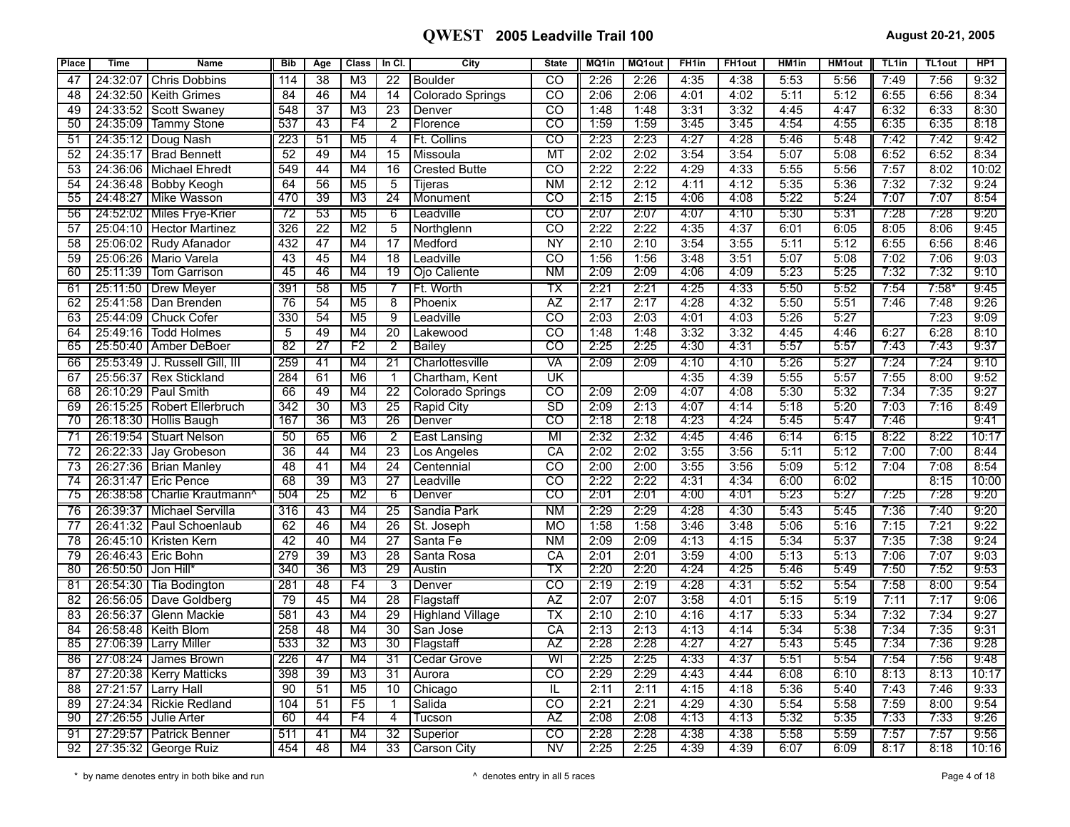| Place           | <b>Time</b>        | <b>Name</b>                     | <b>Bib</b>      | Age             | <b>Class</b>    | In CI.          | City                    | <b>State</b>             | MQ1in | <b>MQ1out</b> | FH <sub>1in</sub> | <b>FH1out</b> | HM <sub>1in</sub> | <b>HM1out</b> | TL <sub>1in</sub> | TL1out  | HP <sub>1</sub> |
|-----------------|--------------------|---------------------------------|-----------------|-----------------|-----------------|-----------------|-------------------------|--------------------------|-------|---------------|-------------------|---------------|-------------------|---------------|-------------------|---------|-----------------|
| 47              | 24:32:07           | <b>Chris Dobbins</b>            | 114             | 38              | M <sub>3</sub>  | 22              | <b>Boulder</b>          | CO                       | 2:26  | 2:26          | 4:35              | 4:38          | 5:53              | 5:56          | 7:49              | 7:56    | 9:32            |
| 48              | 24:32:50           | <b>Keith Grimes</b>             | 84              | 46              | M4              | 14              | Colorado Springs        | $\overline{co}$          | 2:06  | 2:06          | 4:01              | 4:02          | 5:11              | 5:12          | 6:55              | 6:56    | 8:34            |
| 49              | 24:33:52           | l Scott Swanev                  | 548             | $\overline{37}$ | M <sub>3</sub>  | 23              | Denver                  | $\overline{\mathrm{CO}}$ | 1:48  | 1:48          | 3:31              | 3:32          | 4:45              | 4:47          | 6:32              | 6:33    | 8:30            |
| 50              |                    | 24:35:09   Tammy Stone          | 537             | 43              | F4              | $\overline{2}$  | Florence                | CO                       | 1:59  | 1:59          | 3:45              | 3:45          | 4:54              | 4:55          | 6:35              | 6:35    | 8:18            |
| -51             |                    | 24:35:12   Doug Nash            | 223             | 51              | M <sub>5</sub>  | 4               | Ft. Collins             | $\overline{c}$           | 2:23  | 2:23          | 4:27              | 4:28          | 5:46              | 5:48          | 7:42              | 7:42    | 9:42            |
| 52              |                    | 24:35:17   Brad Bennett         | 52              | 49              | M4              | 15              | <b>Missoula</b>         | <b>MT</b>                | 2:02  | 2:02          | 3:54              | 3:54          | 5:07              | 5:08          | 6:52              | 6:52    | 8:34            |
| 53              |                    | 24:36:06 Michael Ehredt         | 549             | 44              | M4              | $\overline{16}$ | <b>Crested Butte</b>    | CO                       | 2:22  | 2:22          | 4:29              | 4:33          | 5:55              | 5:56          | 7:57              | 8:02    | 10:02           |
| 54              |                    | 24:36:48   Bobby Keogh          | 64              | 56              | M <sub>5</sub>  | 5               | Tiieras                 | <b>NM</b>                | 2:12  | 2:12          | 4:11              | 4:12          | 5:35              | 5:36          | 7:32              | 7:32    | 9:24            |
| 55              |                    | 24:48:27   Mike Wasson          | 470             | 39              | M3              | $\overline{24}$ | Monument                | $_{\rm CO}$              | 2:15  | 2:15          | 4:06              | 4:08          | 5:22              | 5:24          | 7:07              | 7:07    | 8:54            |
| 56              |                    | 24:52:02   Miles Frye-Krier     | 72              | 53              | M5              | 6               | Leadville               | CO                       | 2:07  | 2:07          | 4:07              | 4:10          | 5:30              | 5:31          | 7:28              | 7:28    | 9:20            |
| 57              |                    | 25:04:10   Hector Martinez      | 326             | $\overline{22}$ | M <sub>2</sub>  | $\overline{5}$  | Northglenn              | ਨਹ                       | 2:22  | 2:22          | 4:35              | 4:37          | 6:01              | 6:05          | 8:05              | 8:06    | 9:45            |
| 58              |                    | 25:06:02 Rudy Afanador          | 432             | 47              | M4              | $\overline{17}$ | Medford                 | <b>NY</b>                | 2:10  | 2:10          | 3:54              | 3:55          | 5:11              | 5:12          | 6:55              | 6:56    | 8:46            |
| 59              |                    | 25:06:26   Mario Varela         | 43              | 45              | M4              | $\overline{18}$ | Leadville               | $\overline{\text{co}}$   | 1:56  | 1:56          | 3:48              | 3:51          | 5:07              | 5:08          | 7:02              | 7:06    | 9:03            |
| 60              |                    | 25:11:39   Tom Garrison         | 45              | 46              | M4              | 19              | Ojo Caliente            | ΝM                       | 2:09  | 2:09          | 4:06              | 4:09          | 5:23              | 5:25          | 7:32              | 7:32    | 9:10            |
| 61              |                    | 25:11:50   Drew Meyer           | 391             | 58              | M <sub>5</sub>  | -7              | Ft. Worth               | ТX                       | 2:21  | 2:21          | 4:25              | 4:33          | 5:50              | 5:52          | 7:54              | $7:58*$ | 9:45            |
| 62              | 25:41:58           | Dan Brenden                     | $\overline{76}$ | 54              | M <sub>5</sub>  | $\overline{8}$  | Phoenix                 | $\overline{AZ}$          | 2:17  | 2:17          | 4:28              | 4:32          | 5:50              | 5:51          | 7:46              | 7:48    | 9:26            |
| 63              |                    | 25:44:09   Chuck Cofer          | 330             | $\overline{54}$ | M <sub>5</sub>  | $\overline{9}$  | Leadville               | $\overline{\text{co}}$   | 2:03  | 2:03          | 4:01              | 4:03          | 5:26              | 5:27          |                   | 7:23    | 9:09            |
| 64              | 25:49:16           | <b>Todd Holmes</b>              | $\overline{5}$  | 49              | M4              | $\overline{20}$ | Lakewood                | $\overline{\text{co}}$   | 1:48  | 1:48          | 3:32              | 3:32          | 4:45              | 4:46          | 6:27              | 6:28    | 8:10            |
| 65              |                    | 25:50:40   Amber DeBoer         | 82              | 27              | F <sub>2</sub>  | $\overline{2}$  | <b>Bailey</b>           | CO                       | 2:25  | 2:25          | 4:30              | 4:31          | 5:57              | 5:57          | 7:43              | 7:43    | 9:37            |
| 66              |                    | 25:53:49   J. Russell Gill, III | 259             | 41              | M4              | $\overline{21}$ | Charlottesville         | VA                       | 2:09  | 2:09          | 4:10              | 4:10          | 5:26              | 5:27          | 7:24              | 7:24    | 9:10            |
| 67              | 25:56:37           | <b>Rex Stickland</b>            | 284             | 61              | M6              | $\overline{1}$  | Chartham, Kent          | UK                       |       |               | 4:35              | 4:39          | 5:55              | 5:57          | 7:55              | 8:00    | 9:52            |
| 68              |                    | 26:10:29   Paul Smith           | 66              | 49              | M4              | $\overline{22}$ | Colorado Springs        | $\overline{co}$          | 2:09  | 2:09          | 4:07              | 4:08          | 5:30              | 5:32          | 7:34              | 7:35    | 9:27            |
| 69              |                    | 26:15:25 Robert Ellerbruch      | 342             | $\overline{30}$ | M <sub>3</sub>  | $\overline{25}$ | Rapid City              | $\overline{SD}$          | 2:09  | 2:13          | 4:07              | 4:14          | 5:18              | 5:20          | 7:03              | 7:16    | 8:49            |
| 70              |                    | 26:18:30 Hollis Baugh           | 167             | $\overline{36}$ | M3              | $\overline{26}$ | Denver                  | $\overline{\mathrm{co}}$ | 2:18  | 2:18          | 4:23              | 4:24          | 5:45              | 5:47          | 7:46              |         | 9:41            |
| 71              |                    | 26:19:54   Stuart Nelson        | 50              | 65              | M6              | $\overline{2}$  | <b>East Lansing</b>     | MI                       | 2:32  | 2:32          | 4:45              | 4:46          | 6:14              | 6:15          | 8:22              | 8:22    | 10:17           |
| 72              | 26:22:33           | Jay Grobeson                    | 36              | 44              | M4              | 23              | Los Angeles             | CA                       | 2:02  | 2:02          | 3:55              | 3:56          | 5:11              | 5:12          | 7:00              | 7:00    | 8:44            |
| 73              |                    | 26:27:36 Brian Manley           | 48              | $\overline{41}$ | M <sub>4</sub>  | $\overline{24}$ | Centennial              | $\overline{\mathrm{CO}}$ | 2:00  | 2:00          | 3:55              | 3:56          | 5:09              | 5:12          | 7:04              | 7:08    | 8:54            |
| 74              | 26:31:47           | <b>Eric Pence</b>               | 68              | 39              | M <sub>3</sub>  | 27              | Leadville               | $\overline{co}$          | 2:22  | 2:22          | 4:31              | 4:34          | 6:00              | 6:02          |                   | 8:15    | 10:00           |
| 75              |                    | 26:38:58   Charlie Krautmann^   | 504             | 25              | M2              | -6              | Denver                  | $_{\rm CO}$              | 2:01  | 2:01          | 4:00              | 4:01          | 5:23              | 5:27          | 7:25              | 7:28    | 9:20            |
| 76              |                    | 26:39:37   Michael Servilla     | 316             | 43              | M4              | 25              | Sandia Park             | ΝM                       | 2:29  | 2:29          | 4:28              | 4:30          | 5:43              | 5:45          | 7:36              | 7:40    | 9:20            |
| 77              | 26:41:32           | Paul Schoenlaub                 | 62              | 46              | M4              | $\overline{26}$ | St. Joseph              | <b>MO</b>                | 1:58  | 1:58          | 3:46              | 3:48          | 5:06              | 5:16          | 7:15              | 7:21    | 9:22            |
| 78              |                    | 26:45:10   Kristen Kern         | 42              | 40              | M4              | $\overline{27}$ | Santa Fe                | <b>NM</b>                | 2:09  | 2:09          | 4:13              | 4:15          | 5:34              | 5:37          | 7:35              | 7:38    | 9:24            |
| $\overline{79}$ |                    | 26:46:43 Eric Bohn              | 279             | $\overline{39}$ | $\overline{M3}$ | $\overline{28}$ | Santa Rosa              | $\overline{CA}$          | 2:01  | 2:01          | 3:59              | 4:00          | 5:13              | 5:13          | 7:06              | 7:07    | 9:03            |
| 80              | 26:50:50 Jon Hill* |                                 | 340             | 36              | M3              | 29              | <b>Austin</b>           | TХ                       | 2:20  | 2:20          | 4:24              | 4:25          | 5:46              | 5:49          | 7:50              | 7:52    | 9:53            |
| -81             |                    | 26:54:30   Tia Bodington        | 281             | 48              | F4              | 3               | Denver                  | CO                       | 2:19  | 2:19          | 4:28              | 4:31          | 5:52              | 5:54          | 7:58              | 8:00    | 9:54            |
| 82              |                    | 26:56:05 Dave Goldberg          | $\overline{79}$ | 45              | M4              | $\overline{28}$ | Flagstaff               | $\overline{AZ}$          | 2:07  | 2:07          | 3:58              | 4:01          | 5:15              | 5:19          | 7:11              | 7:17    | 9:06            |
| 83              | 26:56:37           | Glenn Mackie                    | 581             | 43              | M4              | 29              | <b>Highland Village</b> | $\overline{\mathsf{TX}}$ | 2:10  | 2:10          | 4:16              | 4:17          | 5:33              | 5:34          | 7:32              | 7:34    | 9:27            |
| 84              | 26:58:48           | Keith Blom                      | 258             | $\overline{48}$ | M4              | $\overline{30}$ | San Jose                | CA                       | 2:13  | 2:13          | 4:13              | 4:14          | 5:34              | 5:38          | 7:34              | 7:35    | 9:31            |
| 85              | 27:06:39           | <b>Larry Miller</b>             | 533             | $\overline{32}$ | M3              | 30              | Flagstaff               | ΑZ                       | 2:28  | 2:28          | 4:27              | 4:27          | 5:43              | 5:45          | 7:34              | 7:36    | 9:28            |
| 86              |                    | 27:08:24   James Brown          | 226             | 47              | M4              | $\overline{31}$ | <b>Cedar Grove</b>      | WI                       | 2:25  | 2:25          | 4:33              | 4:37          | 5:51              | 5:54          | 7:54              | 7:56    | 9:48            |
| 87              |                    | 27:20:38   Kerry Matticks       | 398             | $\overline{39}$ | M <sub>3</sub>  | 31              | Aurora                  | CO                       | 2:29  | 2:29          | 4:43              | 4:44          | 6:08              | 6:10          | 8:13              | 8:13    | 10:17           |
| 88              | 27:21:57           | Larry Hal                       | 90              | 51              | M <sub>5</sub>  | 10              | Chicago                 | IL                       | 2:11  | 2:11          | 4:15              | 4:18          | 5:36              | 5:40          | 7:43              | 7:46    | 9:33            |
| 89              |                    | 27:24:34   Rickie Redland       | 104             | 51              | F5              | $\mathbf{1}$    | Salida                  | $\overline{co}$          | 2:21  | 2:21          | 4:29              | 4:30          | 5:54              | 5:58          | 7:59              | 8:00    | 9:54            |
| 90              | 27:26:55           | Julie Arter                     | 60              | 44              | F4              | 4               | Tucson                  | ΑZ                       | 2:08  | 2:08          | 4:13              | 4:13          | 5:32              | 5:35          | 7:33              | 7:33    | 9:26            |
| 91              |                    | 27:29:57   Patrick Benner       | 511             | 41              | M4              | 32              | Superior                | $\overline{c}$           | 2:28  | 2:28          | 4:38              | 4:38          | 5:58              | 5:59          | 7:57              | 7:57    | 9:56            |
| 92              |                    | 27:35:32 George Ruiz            | 454             | 48              | M4              | $\overline{33}$ | Carson City             | $\overline{\text{NV}}$   | 2:25  | 2:25          | 4:39              | 4:39          | 6:07              | 6:09          | 8:17              | 8:18    | 10:16           |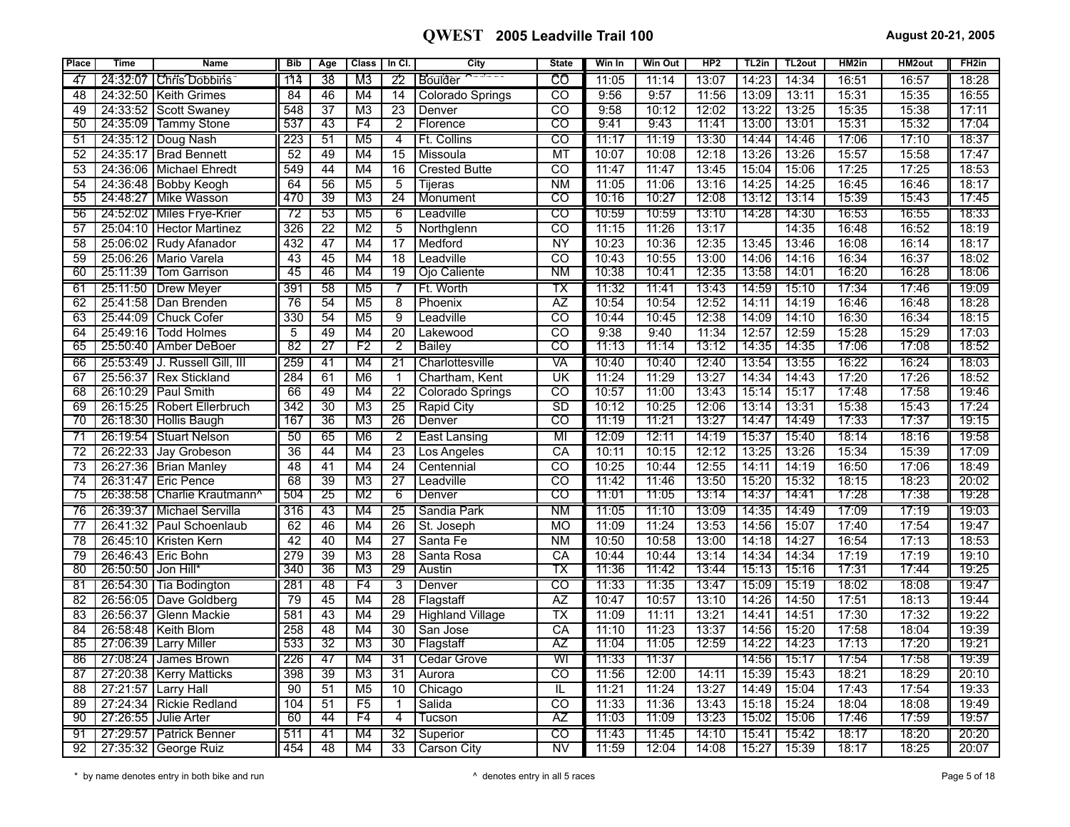| <b>Place</b>    | <b>Time</b>        | <b>Name</b>                    | <b>Bib</b> | Age             | Class                    | In Cl.          | City                    | <b>State</b>             | Win In | <b>Win Out</b> | HP2   | TL2in | TL <sub>2</sub> out | HM2in | <b>HM2out</b> | FH <sub>2</sub> in |
|-----------------|--------------------|--------------------------------|------------|-----------------|--------------------------|-----------------|-------------------------|--------------------------|--------|----------------|-------|-------|---------------------|-------|---------------|--------------------|
| 47              | 24:32:07           | <b>Chris Dobbins</b>           | 114        | 38              | M3                       | 22              | Boulder                 | ĈÔ                       | 11:05  | 11:14          | 13:07 | 14:23 | 14:34               | 16:51 | 16:57         | 18:28              |
| 48              |                    | 24:32:50   Keith Grimes        | 84         | 46              | M4                       | 14              | <b>Colorado Springs</b> | <sub>CO</sub>            | 9:56   | 9:57           | 11:56 | 13:09 | 13:11               | 15:31 | 15:35         | 16:55              |
| 49              |                    | 24:33:52 Scott Swaney          | 548        | $\overline{37}$ | M3                       | 23              | Denver                  | $\overline{CO}$          | 9:58   | 10:12          | 12:02 | 13:22 | 13:25               | 15:35 | 15:38         | 17:11              |
| 50              |                    | 24:35:09   Tammy Stone         | 537        | 43              | F4                       | $\overline{2}$  | Florence                | CO                       | 9:41   | 9:43           | 11:41 | 13:00 | 13:01               | 15:31 | 15:32         | 17:04              |
| 51              |                    | 24:35:12   Doug Nash           | 223        | 51              | M5                       | 4               | Ft. Collins             | $\overline{co}$          | 11:17  | 11:19          | 13:30 | 14:44 | 14:46               | 17:06 | 17:10         | 18:37              |
| 52              | 24:35:17           | <b>Brad Bennett</b>            | 52         | 49              | M4                       | 15              | Missoula                | <b>MT</b>                | 10:07  | 10:08          | 12:18 | 13:26 | 13:26               | 15:57 | 15:58         | 17:47              |
| 53              | 24:36:06           | Michael Ehredt                 | 549        | 44              | M4                       | 16              | <b>Crested Butte</b>    | CO                       | 11:47  | 11:47          | 13:45 | 15:04 | 15:06               | 17:25 | 17:25         | 18:53              |
| 54              |                    | 24:36:48 Bobby Keogh           | 64         | 56              | M <sub>5</sub>           | 5               | Tijeras                 | <b>NM</b>                | 11:05  | 11:06          | 13:16 | 14:25 | 14:25               | 16:45 | 16:46         | 18:17              |
| 55              |                    | 24:48:27   Mike Wasson         | 470        | 39              | M3                       | $\overline{24}$ | Monument                | CO                       | 10:16  | 10:27          | 12:08 | 13:12 | 13:14               | 15:39 | 15:43         | 17:45              |
| 56              |                    | 24:52:02   Miles Frye-Krien    | 72         | 53              | M <sub>5</sub>           | 6               | Leadville               | CO                       | 10:59  | 10:59          | 13:10 | 14:28 | 14:30               | 16:53 | 16:55         | 18:33              |
| 57              |                    | 25:04:10 Hector Martinez       | 326        | 22              | M2                       | 5               | Northglenn              | $\overline{\mathrm{co}}$ | 11:15  | 11:26          | 13:17 |       | 14:35               | 16:48 | 16:52         | 18:19              |
| 58              |                    | 25:06:02 Rudy Afanador         | 432        | 47              | M4                       | 17              | Medford                 | <b>NY</b>                | 10:23  | 10:36          | 12:35 | 13:45 | 13:46               | 16:08 | 16:14         | 18:17              |
| 59              | 25:06:26           | Mario Varela                   | 43         | 45              | M4                       | 18              | Leadville               | $\overline{CO}$          | 10:43  | 10:55          | 13:00 | 14:06 | 14:16               | 16:34 | 16:37         | 18:02              |
| 60              | 25:11:39           | Tom Garrison                   | 45         | 46              | M4                       | 19              | Ojo Caliente            | ΝM                       | 10:38  | 10:41          | 12:35 | 13:58 | 14:01               | 16:20 | 16:28         | 18:06              |
| 61              |                    | 25:11:50   Drew Meyer          | 391        | 58              | M <sub>5</sub>           |                 | Ft. Worth               | TX                       | 11:32  | 11:41          | 13:43 | 14:59 | 15:10               | 17:34 | 17:46         | 19:09              |
| 62              | 25:41:58           | Dan Brenden                    | 76         | 54              | M <sub>5</sub>           | 8               | Phoenix                 | $\overline{AZ}$          | 10:54  | 10:54          | 12:52 | 14:11 | 14:19               | 16:46 | 16:48         | 18:28              |
| 63              | 25:44:09           | <b>Chuck Cofer</b>             | 330        | 54              | M <sub>5</sub>           | 9               | Leadville               | $\overline{\text{co}}$   | 10:44  | 10:45          | 12:38 | 14:09 | 14:10               | 16:30 | 16:34         | 18:15              |
| 64              | 25:49:16           | <b>Todd Holmes</b>             | 5          | 49              | M <sub>4</sub>           | $\overline{20}$ | Lakewood                | $\overline{CO}$          | 9:38   | 9:40           | 11:34 | 12:57 | 12:59               | 15:28 | 15:29         | 17:03              |
| 65              |                    | 25:50:40   Amber DeBoer        | 82         | 27              | F2                       | $\overline{2}$  | Bailey                  | CO                       | 11:13  | 11:14          | 13:12 | 14:35 | 14:35               | 17:06 | 17:08         | 18:52              |
| 66              |                    | 25:53:49 IJ. Russell Gill. III | 259        | $\overline{41}$ | M4                       | 21              | Charlottesville         | VA                       | 10:40  | 10:40          | 12:40 | 13:54 | 13:55               | 16:22 | 16:24         | 18:03              |
| 67              | 25:56:37           | <b>Rex Stickland</b>           | 284        | 61              | $\overline{\mathsf{M6}}$ | $\mathbf 1$     | Chartham, Kent          | UK                       | 11:24  | 11:29          | 13:27 | 14:34 | 14:43               | 17:20 | 17:26         | 18:52              |
| 68              |                    | 26:10:29   Paul Smith          | 66         | 49              | M4                       | $\overline{22}$ | <b>Colorado Springs</b> | $\overline{co}$          | 10:57  | 11:00          | 13:43 | 15:14 | 15:17               | 17:48 | 17:58         | 19:46              |
| 69              |                    | 26:15:25   Robert Ellerbruch   | 342        | $\overline{30}$ | $\overline{M3}$          | $\overline{25}$ | Rapid City              | SD                       | 10:12  | 10:25          | 12:06 | 13:14 | 13:31               | 15:38 | 15:43         | 17:24              |
| 70              |                    | 26:18:30   Hollis Baugh        | 167        | 36              | M3                       | 26              | Denver                  | $\overline{\text{co}}$   | 11:19  | 11:21          | 13:27 | 14:47 | 14:49               | 17:33 | 17:37         | 19:15              |
| 71              |                    | 26:19:54   Stuart Nelson       | 50         | 65              | M <sub>6</sub>           | $\overline{2}$  | East Lansing            | $\overline{\mathsf{M}}$  | 12:09  | 12:11          | 14:19 | 15:37 | 15:40               | 18:14 | 18:16         | 19:58              |
| 72              | 26:22:33           | Jay Grobeson                   | 36         | 44              | M4                       | 23              | Los Angeles             | CA                       | 10:11  | 10:15          | 12:12 | 13:25 | 13:26               | 15:34 | 15:39         | 17:09              |
| 73              |                    | 26:27:36 Brian Manley          | 48         | 41              | M <sub>4</sub>           | $\overline{24}$ | Centennial              | $\overline{co}$          | 10:25  | 10:44          | 12:55 | 14:11 | 14:19               | 16:50 | 17:06         | 18:49              |
| $\overline{74}$ |                    | 26:31:47 Eric Pence            | 68         | 39              | M3                       | $\overline{27}$ | Leadville               | $\overline{co}$          | 11:42  | 11:46          | 13:50 | 15:20 | 15:32               | 18:15 | 18:23         | 20:02              |
| 75              |                    | 26:38:58   Charlie Krautmann^  | 504        | 25              | M2                       | 6               | Denver                  | $_{\rm CO}$              | 11:01  | 11:05          | 13:14 | 14:37 | 14:41               | 17:28 | 17:38         | 19:28              |
| 76              | 26:39:37           | Michael Servilla               | 316        | 43              | M4                       | $\overline{25}$ | Sandia Park             | ΝM                       | 11:05  | 11:10          | 13:09 | 14:35 | 14:49               | 17:09 | 17:19         | 19:03              |
| 77              | 26:41:32           | Paul Schoenlaub                | 62         | 46              | M4                       | $\overline{26}$ | St. Joseph              | <b>MO</b>                | 11:09  | 11:24          | 13:53 | 14:56 | 15:07               | 17:40 | 17:54         | 19:47              |
| 78              |                    | 26:45:10   Kristen Kern        | 42         | 40              | M4                       | $\overline{27}$ | Santa Fe                | <b>NM</b>                | 10:50  | 10:58          | 13:00 | 14:18 | 14:27               | 16:54 | 17:13         | 18:53              |
| 79              |                    | 26:46:43 Eric Bohn             | 279        | 39              | $\overline{M3}$          | 28              | Santa Rosa              | CA                       | 10:44  | 10:44          | 13:14 | 14:34 | 14:34               | 17:19 | 17:19         | 19:10              |
| 80              | 26:50:50 Jon Hill* |                                | 340        | 36              | M3                       | 29              | Austin                  | тх                       | 11:36  | 11:42          | 13:44 | 15:13 | 15:16               | 17:31 | 17:44         | 19:25              |
| 81              | 26:54:30           | Tia Bodington                  | 281        | 48              | F4                       | 3               | Denver                  | $\overline{c}$           | 11:33  | 11:35          | 13:47 | 15:09 | 15:19               | 18:02 | 18:08         | 19:47              |
| 82              | 26:56:05           | Dave Goldberg                  | 79         | 45              | M4                       | 28              | Flagstaff               | $\overline{AZ}$          | 10:47  | 10:57          | 13:10 | 14:26 | 14:50               | 17:51 | 18:13         | 19:44              |
| 83              | 26:56:37           | Glenn Mackie                   | 581        | 43              | M4                       | $\overline{29}$ | <b>Highland Village</b> | $\overline{TX}$          | 11:09  | 11:11          | 13:21 | 14:41 | 14:51               | 17:30 | 17:32         | 19:22              |
| 84              | 26:58:48           | Keith Blom                     | 258        | 48              | M4                       | 30              | San Jose                | CA                       | 11:10  | 11:23          | 13:37 | 14:56 | 15:20               | 17:58 | 18:04         | 19:39              |
| 85              | 27:06:39           | <b>Larry Miller</b>            | 533        | 32              | M3                       | 30              | Flagstaff               | ΆZ                       | 11:04  | 11:05          | 12:59 | 14:22 | 14:23               | 17:13 | 17:20         | 19:21              |
| 86              | 27:08:24           | James Brown                    | 226        | 47              | M4                       | 31              | Cedar Grove             | WI                       | 11:33  | 11:37          |       | 14:56 | 15:17               | 17:54 | 17:58         | 19:39              |
| 87              | 27:20:38           | <b>Kerry Matticks</b>          | 398        | 39              | M <sub>3</sub>           | 31              | Aurora                  | $\overline{c}$           | 11:56  | 12:00          | 14:11 | 15:39 | 15:43               | 18:21 | 18:29         | 20:10              |
| 88              | 27:21:57           | Larry Hall                     | 90         | 51              | M <sub>5</sub>           | 10              | Chicago                 | IL                       | 11:21  | 11:24          | 13:27 | 14:49 | 15:04               | 17:43 | 17:54         | 19:33              |
| 89              | 27:24:34           | <b>Rickie Redland</b>          | 104        | 51              | F5                       | $\mathbf{1}$    | Salida                  | $\overline{CO}$          | 11:33  | 11:36          | 13:43 | 15:18 | 15:24               | 18:04 | 18:08         | 19:49              |
| 90              | 27:26:55           | <b>Julie Arter</b>             | 60         | 44              | F4                       | 4               | Tucson                  | ΆZ                       | 11:03  | 11:09          | 13:23 | 15:02 | 15:06               | 17:46 | 17:59         | 19:57              |
| 91              |                    | 27:29:57   Patrick Benner      | 511        | 41              | M4                       | 32              | Superior                | CO                       | 11:43  | 11:45          | 14:10 | 15:41 | 15:42               | 18:17 | 18:20         | 20:20              |
| 92              |                    | 27:35:32 George Ruiz           | 454        | 48              | M4                       | $\overline{33}$ | Carson City             | <b>NV</b>                | 11:59  | 12:04          | 14:08 | 15:27 | 15:39               | 18:17 | 18:25         | 20:07              |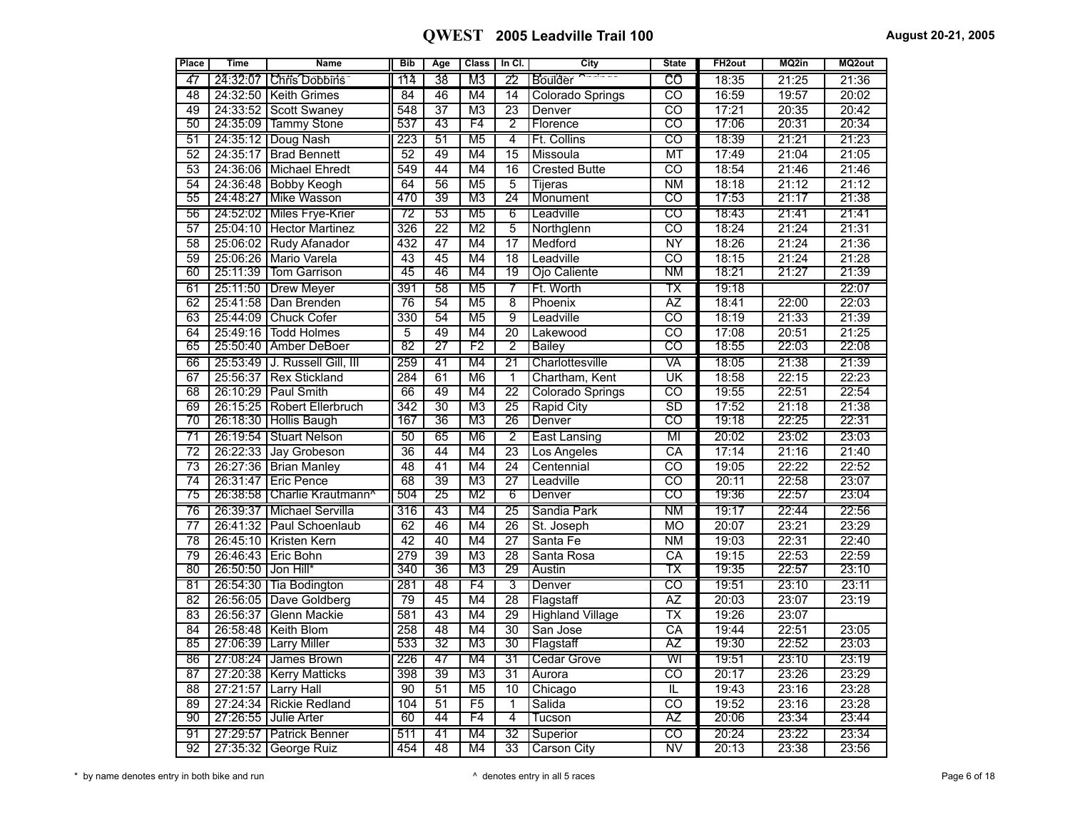| Place           | <b>Time</b>        | <b>Name</b>                     | <b>Bib</b>       | Age             | <b>Class</b>    | In Cl.          | City                    | <b>State</b>             | FH <sub>2out</sub> | MQ2in | MQ2out |
|-----------------|--------------------|---------------------------------|------------------|-----------------|-----------------|-----------------|-------------------------|--------------------------|--------------------|-------|--------|
| 47              |                    | 24:32:07   Chris Dobbins        | 114              | 38              | M3              | 22              | Boulder                 | CÔ                       | 18:35              | 21:25 | 21:36  |
| 48              |                    | 24:32:50   Keith Grimes         | 84               | 46              | M4              | 14              | <b>Colorado Springs</b> | CO                       | 16:59              | 19:57 | 20:02  |
| 49              |                    | 24:33:52 Scott Swaney           | 548              | $\overline{37}$ | M <sub>3</sub>  | 23              | Denver                  | $\overline{c}$           | 17:21              | 20:35 | 20:42  |
| 50              |                    | 24:35:09 Tammy Stone            | 537              | 43              | F4              | 2               | Florence                | CO                       | 17:06              | 20:31 | 20:34  |
| $\overline{51}$ |                    | 24:35:12   Doug Nash            | 223              | $\overline{51}$ | M <sub>5</sub>  | 4               | Ft. Collins             | $\overline{c}$           | 18:39              | 21:21 | 21:23  |
| 52              |                    | 24:35:17 Brad Bennett           | 52               | 49              | M4              | $\overline{15}$ | Missoula                | MT                       | 17:49              | 21:04 | 21:05  |
| $\overline{53}$ |                    | 24:36:06 Michael Ehredt         | 549              | 44              | M4              | $\overline{16}$ | <b>Crested Butte</b>    | $\overline{co}$          | 18:54              | 21:46 | 21:46  |
| 54              |                    | 24:36:48 Bobby Keogh            | 64               | $\overline{56}$ | M <sub>5</sub>  | 5               | Tijeras                 | N <sub>M</sub>           | 18:18              | 21:12 | 21:12  |
| 55              | 24:48:27           | <b>IMike Wasson</b>             | 470              | 39              | M <sub>3</sub>  | $\overline{24}$ | Monument                | $\overline{\mathrm{co}}$ | 17:53              | 21:17 | 21:38  |
| 56              |                    | 24:52:02   Miles Frye-Krier     | $\overline{72}$  | 53              | M <sub>5</sub>  | $\overline{6}$  | Leadville               | $\overline{c}$           | 18:43              | 21:41 | 21:41  |
| 57              |                    | 25:04:10 Hector Martinez        | $\overline{326}$ | $\overline{22}$ | M <sub>2</sub>  | 5               | Northglenn              | ਨਹ                       | 18:24              | 21:24 | 21:31  |
| 58              |                    | 25:06:02 Rudy Afanador          | 432              | 47              | M4              | $\overline{17}$ | Medford                 | $\overline{NY}$          | 18:26              | 21:24 | 21:36  |
| $\overline{59}$ |                    | 25:06:26   Mario Varela         | 43               | 45              | M4              | $\overline{18}$ | Leadville               | $\overline{co}$          | 18:15              | 21:24 | 21:28  |
| 60              | 25:11:39           | <b>Tom Garrison</b>             | 45               | 46              | M4              | 19              | Ojo Caliente            | ΝM                       | 18:21              | 21:27 | 21:39  |
| 61              |                    | 25:11:50   Drew Meyer           | 391              | 58              | M <sub>5</sub>  | 7               | Ft. Worth               | ТX                       | 19:18              |       | 22:07  |
| 62              |                    | 25:41:58   Dan Brenden          | $\overline{76}$  | 54              | M <sub>5</sub>  | $\overline{8}$  | Phoenix                 | $\overline{AZ}$          | 18:41              | 22:00 | 22:03  |
| 63              |                    | 25:44:09 Chuck Cofer            | 330              | $\overline{54}$ | M <sub>5</sub>  | 9               | Leadville               | $\overline{\text{co}}$   | 18:19              | 21:33 | 21:39  |
| 64              | 25:49:16           | <b>Todd Holmes</b>              | $\overline{5}$   | 49              | M <sub>4</sub>  | $\overline{20}$ | Lakewood                | $\overline{co}$          | 17:08              | 20:51 | 21:25  |
| 65              |                    | 25:50:40 Amber DeBoer           | 82               | 27              | F <sub>2</sub>  | 2               | <b>Bailey</b>           | $\overline{CO}$          | 18:55              | 22:03 | 22:08  |
| 66              |                    | 25:53:49   J. Russell Gill, III | 259              | $\overline{41}$ | M4              | $\overline{21}$ | Charlottesville         | VĀ                       | 18:05              | 21:38 | 21:39  |
| $\overline{67}$ |                    | 25:56:37 Rex Stickland          | 284              | 61              | M6              | $\overline{1}$  | Chartham, Kent          | $\overline{\mathtt{UK}}$ | 18:58              | 22:15 | 22:23  |
| 68              |                    | 26:10:29   Paul Smith           | 66               | 49              | M4              | 22              | Colorado Springs        | $\overline{co}$          | 19:55              | 22:51 | 22:54  |
| 69              | 26:15:25           | Robert Ellerbruch               | $\overline{342}$ | $\overline{30}$ | M <sub>3</sub>  | $\overline{25}$ | <b>Rapid City</b>       | $\overline{\text{SD}}$   | 17:52              | 21:18 | 21:38  |
| $\overline{70}$ | 26:18:30           | <b>Hollis Baugh</b>             | 167              | 36              | M <sub>3</sub>  | 26              | Denver                  | $\overline{\text{co}}$   | 19:18              | 22:25 | 22:31  |
| 71              |                    | 26:19:54   Stuart Nelson        | 50               | 65              | M <sub>6</sub>  | $\overline{2}$  | East Lansing            | MI                       | 20:02              | 23:02 | 23:03  |
| $\overline{72}$ |                    | 26:22:33 Jay Grobeson           | $\overline{36}$  | 44              | M4              | $\overline{23}$ | Los Angeles             | $\overline{\text{CA}}$   | 17:14              | 21:16 | 21:40  |
| $\overline{73}$ |                    | 26:27:36 Brian Manley           | $\overline{48}$  | 41              | M4              | $\overline{24}$ | Centennial              | टठ                       | 19:05              | 22:22 | 22:52  |
| 74              | 26:31:47           | <b>Eric Pence</b>               | 68               | 39              | $\overline{M3}$ | 27              | Leadville               | $\overline{\text{co}}$   | 20:11              | 22:58 | 23:07  |
| 75              | 26:38:58           | Charlie Krautmann <sup>^</sup>  | 504              | 25              | M2              | 6               | Denver                  | ငဝ                       | 19:36              | 22:57 | 23:04  |
| 76              |                    | 26:39:37   Michael Servilla     | 316              | 43              | M4              | 25              | Sandia Park             | ΝM                       | 19:17              | 22:44 | 22:56  |
| $\overline{77}$ |                    | 26:41:32 Paul Schoenlaub        | 62               | 46              | M4              | $\overline{26}$ | St. Joseph              | <b>MO</b>                | 20:07              | 23:21 | 23:29  |
| $\overline{78}$ |                    | 26:45:10   Kristen Kern         | 42               | 40              | M4              | $\overline{27}$ | Santa Fe                | N <sub>M</sub>           | 19:03              | 22:31 | 22:40  |
| $\overline{79}$ |                    | 26:46:43 Eric Bohn              | 279              | 39              | $\overline{M3}$ | $\overline{28}$ | Santa Rosa              | $\overline{CA}$          | 19:15              | 22:53 | 22:59  |
| 80              | 26:50:50 Jon Hill* |                                 | 340              | 36              | M <sub>3</sub>  | 29              | Austin                  | ТX                       | 19:35              | 22:57 | 23:10  |
| $\overline{81}$ |                    | 26:54:30   Tia Bodington        | 281              | 48              | F4              | 3               | Denver                  | $\overline{\text{co}}$   | 19:51              | 23:10 | 23:11  |
| 82              |                    | 26:56:05 Dave Goldberg          | 79               | $\overline{45}$ | M4              | 28              | Flagstaff               | AZ                       | 20:03              | 23:07 | 23:19  |
| 83              | 26:56:37           | Glenn Mackie                    | 581              | 43              | M4              | 29              | <b>Highland Village</b> | $\overline{\text{TX}}$   | 19:26              | 23:07 |        |
| $\overline{84}$ |                    | 26:58:48 Keith Blom             | 258              | 48              | M4              | $\overline{30}$ | San Jose                | CA                       | 19:44              | 22:51 | 23:05  |
| 85              |                    | 27:06:39 Larry Miller           | 533              | $\overline{32}$ | M3              | 30              | Flagstaff               | AΖ                       | 19:30              | 22:52 | 23:03  |
| 86              |                    | 27:08:24   James Brown          | 226              | 47              | M4              | 31              | <b>Cedar Grove</b>      | WI                       | 19:51              | 23:10 | 23:19  |
| 87              |                    | 27:20:38   Kerry Matticks       | 398              | $\overline{39}$ | M <sub>3</sub>  | 31              | Aurora                  | $\overline{co}$          | 20:17              | 23:26 | 23:29  |
| 88              |                    | 27:21:57 Larry Hall             | 90               | $\overline{51}$ | M <sub>5</sub>  | 10              | Chicago                 | IL                       | 19:43              | 23:16 | 23:28  |
| 89              | 27:24:34           | <b>Rickie Redland</b>           | 104              | $\overline{51}$ | $\overline{F5}$ | $\mathbf{1}$    | Salida                  | $\overline{co}$          | 19:52              | 23:16 | 23:28  |
| 90              | 27:26:55           | Julie Arter                     | 60               | 44              | F4              | 4               | Tucson                  | AΖ                       | 20:06              | 23:34 | 23:44  |
| 91              |                    | 27:29:57   Patrick Benner       | 511              | 41              | M4              | 32              | Superior                | $\overline{\text{co}}$   | 20:24              | 23:22 | 23:34  |
| $\overline{92}$ |                    | 27:35:32 George Ruiz            | 454              | 48              | M4              | $\overline{33}$ | <b>Carson City</b>      | $\overline{\text{NV}}$   | 20:13              | 23:38 | 23:56  |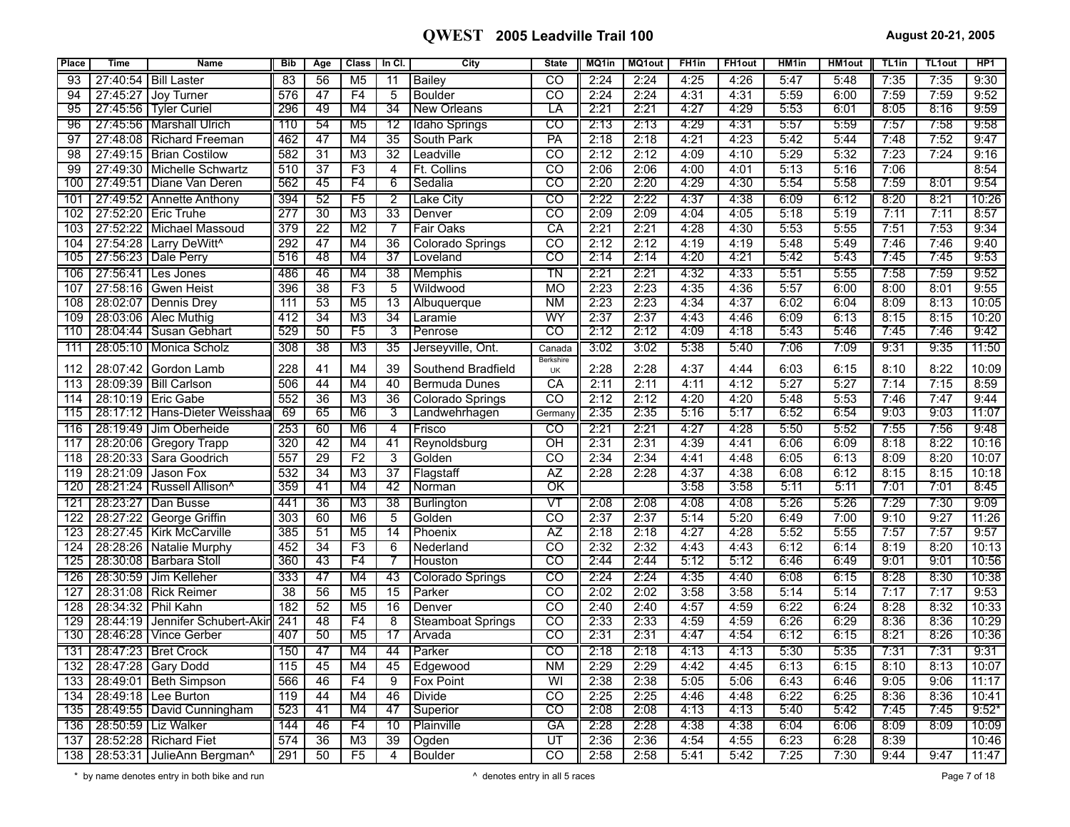| <b>Place</b> | <b>Time</b> | <b>Name</b>                             | <b>Bib</b>       | Age             | <b>Class</b>    | In CI.          | City                     | <b>State</b>                      | MQ1in | MQ1out | FH <sub>1in</sub> | FH <sub>1</sub> out | HM <sub>1</sub> in | <b>HM1out</b> | TL <sub>1in</sub> | <b>TL1out</b> | HP <sub>1</sub> |
|--------------|-------------|-----------------------------------------|------------------|-----------------|-----------------|-----------------|--------------------------|-----------------------------------|-------|--------|-------------------|---------------------|--------------------|---------------|-------------------|---------------|-----------------|
| 93           | 27:40:54    | <b>Bill Laster</b>                      | 83               | 56              | M <sub>5</sub>  | 11              | <b>Bailey</b>            | CO                                | 2:24  | 2:24   | 4:25              | 4:26                | 5:47               | 5:48          | 7:35              | 7:35          | 9:30            |
| 94           | 27:45:27    | Joy Turner                              | 576              | 47              | F <sub>4</sub>  | 5               | <b>Boulder</b>           | CO                                | 2:24  | 2:24   | 4:31              | 4:31                | 5:59               | 6:00          | 7:59              | 7:59          | 9:52            |
| 95           | 27:45:56    | Tyler Curiel                            | 296              | 49              | M4              | $\overline{34}$ | <b>New Orleans</b>       | LA                                | 2:21  | 2:21   | 4:27              | 4:29                | 5:53               | 6:01          | 8:05              | 8:16          | 9:59            |
| 96           |             | 27:45:56   Marshall Ulrich              | 110              | 54              | M <sub>5</sub>  | $\overline{12}$ | <b>Idaho Springs</b>     | CO                                | 2:13  | 2:13   | 4:29              | 4:31                | 5:57               | 5:59          | 7:57              | 7:58          | 9:58            |
| 97           |             | 27:48:08 Richard Freeman                | 462              | 47              | M4              | 35              | South Park               | PA                                | 2:18  | 2:18   | 4:21              | 4:23                | 5:42               | 5:44          | 7:48              | 7:52          | 9:47            |
| 98           |             | 27:49:15   Brian Costilow               | 582              | 31              | M3              | $\overline{32}$ | Leadville                | $\overline{\mathrm{co}}$          | 2:12  | 2:12   | 4:09              | 4:10                | 5:29               | 5:32          | 7:23              | 7:24          | 9:16            |
| 99           |             | 27:49:30   Michelle Schwartz            | 510              | $\overline{37}$ | F3              | $\overline{4}$  | Ft. Collins              | $\overline{\text{co}}$            | 2:06  | 2:06   | 4:00              | 4:01                | 5:13               | 5:16          | 7:06              |               | 8:54            |
| 100          |             | 27:49:51 Diane Van Deren                | 562              | 45              | F4              | 6               | Sedalia                  | ငဝ                                | 2:20  | 2:20   | 4:29              | 4:30                | 5:54               | 5:58          | 7:59              | 8:01          | 9:54            |
| 101          |             | 27:49:52   Annette Anthony              | 394              | 52              | F5              | 2               | Lake City                | CO                                | 2:22  | 2:22   | 4:37              | 4:38                | 6:09               | 6:12          | 8:20              | 8:21          | 10:26           |
| 102          |             | 27:52:20 Eric Truhe                     | 277              | 30              | M3              | $\overline{33}$ | Denver                   | $\overline{co}$                   | 2:09  | 2:09   | 4:04              | 4:05                | 5:18               | 5:19          | 7:11              | 7:11          | 8:57            |
| 103          | 27:52:22    | Michael Massoud                         | 379              | $\overline{22}$ | M <sub>2</sub>  | 7               | <b>Fair Oaks</b>         | CA                                | 2:21  | 2:21   | 4:28              | 4:30                | 5:53               | 5:55          | 7:51              | 7:53          | 9:34            |
| 104          |             | 27:54:28   Larry DeWitt^                | 292              | 47              | M4              | 36              | Colorado Springs         | $\overline{\mathrm{co}}$          | 2:12  | 2:12   | 4:19              | 4:19                | 5:48               | 5:49          | 7:46              | 7:46          | 9:40            |
| 105          |             | 27:56:23   Dale Perry                   | 516              | 48              | M4              | $\overline{37}$ | Loveland                 | CO                                | 2:14  | 2:14   | 4:20              | 4:21                | 5:42               | 5:43          | 7:45              | 7:45          | 9:53            |
| 106          |             | 27:56:41   Les Jones                    | 486              | 46              | M4              | $\overline{38}$ | Memphis                  | $\overline{\mathsf{T}}\mathsf{N}$ | 2:21  | 2:21   | 4:32              | 4:33                | 5:51               | 5:55          | 7:58              | 7:59          | 9:52            |
| 107          | 27:58:16    | Gwen Heist                              | 396              | $\overline{38}$ | F3              | 5               | Wildwood                 | <b>MO</b>                         | 2:23  | 2:23   | 4:35              | 4:36                | 5:57               | 6:00          | 8:00              | 8:01          | 9:55            |
| 108          | 28:02:07    | Dennis Drey                             | 111              | 53              | M <sub>5</sub>  | $\overline{13}$ | Albuquerque              | <b>NM</b>                         | 2:23  | 2:23   | 4:34              | 4:37                | 6:02               | 6:04          | 8:09              | 8:13          | 10:05           |
| 109          | 28:03:06    | Alec Muthig                             | 412              | $\overline{34}$ | $\overline{M3}$ | $\overline{34}$ | Laramie                  | WY                                | 2:37  | 2:37   | 4:43              | 4:46                | 6:09               | 6:13          | 8:15              | 8:15          | 10:20           |
| 110          |             | 28:04:44   Susan Gebhart                | 529              | 50              | F5              | 3               | Penrose                  | CO                                | 2:12  | 2:12   | 4:09              | 4:18                | 5:43               | 5:46          | 7:45              | 7:46          | 9:42            |
| 111          |             | 28:05:10   Monica Scholz                | 308              | $\overline{38}$ | M <sub>3</sub>  | $\overline{35}$ | Jerseyville, Ont.        | Canada                            | 3:02  | 3:02   | 5:38              | 5:40                | 7:06               | 7:09          | 9:31              | 9:35          | 11:50           |
| 112          |             | 28:07:42 Gordon Lamb                    | 228              | 41              | M4              | 39              | Southend Bradfield       | <b>Berkshire</b><br>UK            | 2:28  | 2:28   | 4:37              | 4:44                | 6:03               | 6:15          | 8:10              | 8:22          | 10:09           |
| 113          |             | 28:09:39   Bill Carlson                 | 506              | 44              | M4              | 40              | <b>Bermuda Dunes</b>     | CA                                | 2:11  | 2:11   | 4:11              | 4:12                | 5:27               | 5:27          | 7:14              | 7:15          | 8:59            |
| 114          |             | 28:10:19   Eric Gabe                    | 552              | 36              | M <sub>3</sub>  | $\overline{36}$ | Colorado Springs         | CO                                | 2:12  | 2:12   | 4:20              | 4:20                | 5:48               | 5:53          | 7:46              | 7:47          | 9:44            |
| 115          |             | 28:17:12   Hans-Dieter Weisshaa         | 69               | 65              | M6              | 3               | Landwehrhagen            | Germany                           | 2:35  | 2:35   | 5:16              | 5:17                | 6:52               | 6:54          | 9:03              | 9:03          | 11:07           |
| 116          | 28:19:49    | Jim Oberheide                           | 253              | 60              | M <sub>6</sub>  | $\overline{4}$  | Frisco                   | CO                                | 2:21  | 2:21   | 4:27              | 4:28                | 5:50               | 5:52          | 7:55              | 7:56          | 9:48            |
| 117          |             | 28:20:06   Gregory Trapp                | 320              | 42              | M4              | 41              | Reynoldsburg             | OH                                | 2:31  | 2:31   | 4:39              | 4:41                | 6:06               | 6:09          | 8:18              | 8:22          | 10:16           |
| 118          | 28:20:33    | Sara Goodrich                           | 557              | $\overline{29}$ | F <sub>2</sub>  | $\overline{3}$  | Golden                   | $\overline{\text{co}}$            | 2:34  | 2:34   | 4:41              | 4:48                | 6:05               | 6:13          | 8:09              | 8:20          | 10:07           |
| 119          | 28:21:09    | Jason Fox                               | 532              | $\overline{34}$ | M3              | $\overline{37}$ | Flagstaff                | $\overline{AZ}$                   | 2:28  | 2:28   | 4:37              | 4:38                | 6:08               | 6:12          | 8:15              | 8:15          | 10:18           |
| 120          |             | 28:21:24   Russell Allison <sup>^</sup> | 359              | 41              | M4              | -42             | Norman                   | σκ                                |       |        | 3:58              | 3:58                | 5:11               | 5:11          | 7:01              | 7:01          | 8:45            |
| 121          |             | 28:23:27   Dan Busse                    | 441              | 36              | M3              | 38              | <b>Burlington</b>        | VT                                | 2:08  | 2:08   | 4:08              | 4:08                | 5:26               | 5:26          | 7:29              | 7:30          | 9:09            |
| 122          |             | 28:27:22 George Griffin                 | 303              | 60              | M <sub>6</sub>  | 5               | Golden                   | CO                                | 2:37  | 2:37   | 5:14              | 5:20                | 6:49               | 7:00          | 9:10              | 9:27          | 11:26           |
| 123          | 28:27:45    | Kirk McCarville                         | 385              | $\overline{51}$ | M <sub>5</sub>  | $\overline{14}$ | Phoenix                  | $\overline{AZ}$                   | 2:18  | 2:18   | 4:27              | 4:28                | 5:52               | 5:55          | 7:57              | 7:57          | 9:57            |
| 124          |             | 28:28:26   Natalie Murphy               | 452              | $\overline{34}$ | F3              | 6               | Nederland                | $\overline{\text{co}}$            | 2:32  | 2:32   | 4:43              | 4:43                | 6:12               | 6:14          | 8:19              | 8:20          | 10:13           |
| 125          |             | 28:30:08 Barbara Stoll                  | 360              | 43              | F4              | 7               | Houston                  | CO                                | 2:44  | 2:44   | 5:12              | 5:12                | 6:46               | 6:49          | 9:01              | 9:01          | 10:56           |
| 126          |             | 28:30:59 Jim Kelleher                   | 333              | 47              | M4              | 43              | <b>Colorado Springs</b>  | $\overline{c}$                    | 2:24  | 2:24   | 4:35              | 4:40                | 6:08               | 6:15          | 8:28              | 8:30          | 10:38           |
| 127          |             | 28:31:08 Rick Reimer                    | 38               | $\overline{56}$ | M <sub>5</sub>  | $\overline{15}$ | Parker                   | टव                                | 2:02  | 2:02   | 3:58              | 3:58                | 5:14               | 5:14          | 7:17              | 7:17          | 9:53            |
| 128          | 28:34:32    | Phil Kahn                               | 182              | 52              | M <sub>5</sub>  | 16              | Denver                   | CO                                | 2:40  | 2:40   | 4:57              | 4:59                | 6:22               | 6:24          | 8:28              | 8:32          | 10:33           |
| 129          | 28:44:19    | Jennifer Schubert-Akir                  | 241              | 48              | F4              | 8               | <b>Steamboat Springs</b> | $\overline{\text{co}}$            | 2:33  | 2:33   | 4:59              | 4:59                | 6:26               | 6:29          | 8:36              | 8:36          | 10:29           |
| 130          |             | 28:46:28   Vince Gerber                 | 407              | 50              | M <sub>5</sub>  | 17              | Arvada                   | CO                                | 2:31  | 2:31   | 4:47              | 4:54                | 6:12               | 6:15          | 8:21              | 8:26          | 10:36           |
| 131          |             | 28:47:23   Bret Crock                   | 150              | 47              | M4              | 44              | Parker                   | CO                                | 2:18  | 2:18   | 4:13              | 4:13                | 5:30               | 5:35          | 7:31              | 7:31          | 9:31            |
| 132          | 28:47:28    | <b>Gary Dodd</b>                        | 115              | 45              | M4              | $\overline{45}$ | Edgewood                 | <b>NM</b>                         | 2:29  | 2:29   | 4:42              | 4:45                | 6:13               | 6:15          | 8:10              | 8:13          | 10:07           |
| 133          | 28:49:01    | Beth Simpson                            | 566              | 46              | F4              | $\overline{9}$  | <b>Fox Point</b>         | WI                                | 2:38  | 2:38   | 5:05              | 5:06                | 6:43               | 6:46          | 9:05              | 9:06          | 11:17           |
| 134          | 28:49:18    | Lee Burton                              | $\overline{119}$ | 44              | M4              | 46              | <b>Divide</b>            | $\overline{\text{co}}$            | 2:25  | 2:25   | 4:46              | 4:48                | 6:22               | 6:25          | 8:36              | 8:36          | 10:41           |
| 135          |             | 28:49:55   David Cunningham             | 523              | 41              | M4              | 47              | Superior                 | CO                                | 2:08  | 2:08   | 4:13              | 4:13                | 5:40               | 5:42          | 7:45              | 7:45          | $9:52*$         |
| 136          |             | 28:50:59   Liz Walker                   | 144              | 46              | F4              | $\overline{10}$ | Plainville               | GA                                | 2:28  | 2:28   | 4:38              | 4:38                | 6:04               | 6:06          | 8:09              | 8:09          | 10:09           |
| 137          | 28:52:28    | <b>Richard Fiet</b>                     | 574              | $\overline{36}$ | M3              | 39              | Ogden                    | $\overline{\mathtt{UT}}$          | 2:36  | 2:36   | 4:54              | 4:55                | 6:23               | 6:28          | 8:39              |               | 10:46           |
| 138          |             | 28:53:31 JulieAnn Bergman^              | 291              | 50              | F <sub>5</sub>  | $\overline{4}$  | <b>Boulder</b>           | $\overline{co}$                   | 2:58  | 2:58   | 5:41              | 5:42                | 7:25               | 7:30          | 9:44              | 9:47          | 11:47           |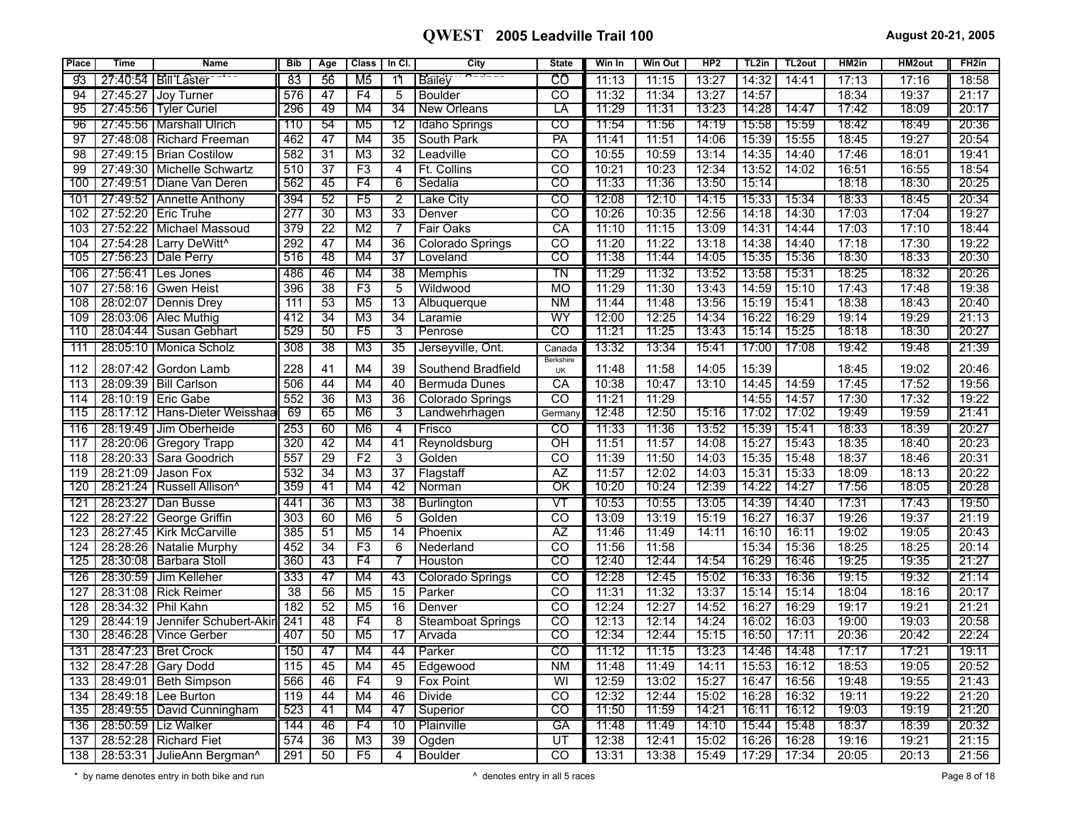| <b>Place</b> | <b>Time</b> | <b>Name</b>                  | <b>Bib</b>       | Age             | <b>Class</b>    | In Cl.          | City                     | <b>State</b>                      | Win In | <b>Win Out</b> | HP2   | TL2in | TL <sub>2</sub> out | HM2in | HM2out | FH <sub>2in</sub> |
|--------------|-------------|------------------------------|------------------|-----------------|-----------------|-----------------|--------------------------|-----------------------------------|--------|----------------|-------|-------|---------------------|-------|--------|-------------------|
| g3           |             | 27:40:54   Bill Laster       | 83               | 56              | M5              | $\overline{11}$ | Bailey                   | උල                                | 11:13  | 11:15          | 13:27 | 14:32 | 14:41               | 17:13 | 17:16  | 18:58             |
| 94           | 27:45:27    | Joy Turner                   | 576              | 47              | F4              | 5               | <b>Boulder</b>           | $\overline{c}$                    | 11:32  | 11:34          | 13:27 | 14:57 |                     | 18:34 | 19:37  | 21:17             |
| 95           | 27:45:56    | <b>Tyler Curiel</b>          | 296              | 49              | M4              | 34              | <b>New Orleans</b>       | LΑ                                | 11:29  | 11:31          | 13:23 | 14:28 | 14:47               | 17:42 | 18:09  | 20:17             |
| 96           |             | 27:45:56   Marshall Ulrich   | 110              | 54              | M <sub>5</sub>  | $\overline{12}$ | Idaho Springs            | $\overline{c}$                    | 11:54  | 11:56          | 14:19 | 15:58 | 15:59               | 18:42 | 18:49  | 20:36             |
| 97           |             | 27:48:08   Richard Freeman   | 462              | 47              | M <sub>4</sub>  | 35              | South Park               | PA                                | 11:41  | 11:51          | 14:06 | 15:39 | 15:55               | 18:45 | 19:27  | 20:54             |
| 98           |             | 27:49:15   Brian Costilow    | 582              | 31              | M <sub>3</sub>  | $\overline{32}$ | Leadville                | $\overline{CO}$                   | 10:55  | 10:59          | 13:14 | 14:35 | 14:40               | 17:46 | 18:01  | 19:41             |
| 99           |             | 27:49:30   Michelle Schwartz | 510              | $\overline{37}$ | F3              | $\overline{4}$  | Ft. Collins              | $\overline{CO}$                   | 10:21  | 10:23          | 12:34 | 13:52 | 14:02               | 16:51 | 16:55  | 18:54             |
| 100          |             | 27:49:51 Diane Van Deren     | 562              | 45              | F4              | 6               | Sedalia                  | $_{\rm CO}$                       | 11:33  | 11:36          | 13:50 | 15:14 |                     | 18:18 | 18:30  | 20:25             |
| 101          |             | 27:49:52   Annette Anthony   | 394              | 52              | F5              | 2               | Lake City                | CO                                | 12:08  | 12:10          | 14:15 | 15:33 | 15:34               | 18:33 | 18:45  | 20:34             |
| 102          |             | 27:52:20 Eric Truhe          | 277              | 30              | M <sub>3</sub>  | 33              | Denver                   | $\overline{co}$                   | 10:26  | 10:35          | 12:56 | 14:18 | 14:30               | 17:03 | 17:04  | 19:27             |
| 103          | 27:52:22    | Michael Massoud              | 379              | 22              | M <sub>2</sub>  | 7               | Fair Oaks                | CA                                | 11:10  | 11:15          | 13:09 | 14:31 | 14:44               | 17:03 | 17:10  | 18:44             |
| 104          | 27:54:28    | Larry DeWitt <sup>^</sup>    | 292              | 47              | M <sub>4</sub>  | 36              | Colorado Springs         | $\overline{CO}$                   | 11:20  | 11:22          | 13:18 | 14:38 | 14:40               | 17:18 | 17:30  | 19:22             |
| 105          |             | 27:56:23   Dale Perry        | 516              | 48              | M4              | 37              | Loveland                 | $\overline{\text{co}}$            | 11:38  | 11:44          | 14:05 | 15:35 | 15:36               | 18:30 | 18:33  | 20:30             |
| 106          |             | 27:56:41   Les Jones         | 486              | 46              | M4              | $\overline{38}$ | Memphis                  | $\overline{\mathsf{T}}\mathsf{N}$ | 11:29  | 11:32          | 13:52 | 13:58 | 15:31               | 18:25 | 18:32  | 20:26             |
| 107          | 27:58:16    | <b>Gwen Heist</b>            | 396              | 38              | F3              | 5               | Wildwood                 | <b>MO</b>                         | 11:29  | 11:30          | 13:43 | 14:59 | 15:10               | 17:43 | 17:48  | 19:38             |
| 108          |             | 28:02:07 Dennis Drey         | 111              | 53              | M <sub>5</sub>  | 13              | Albuquerque              | <b>NM</b>                         | 11:44  | 11:48          | 13:56 | 15:19 | 15:41               | 18:38 | 18:43  | 20:40             |
| 109          | 28:03:06    | Alec Muthig                  | 412              | $\overline{34}$ | M <sub>3</sub>  | 34              | Laramie                  | WY                                | 12:00  | 12:25          | 14:34 | 16:22 | 16:29               | 19:14 | 19:29  | 21:13             |
| 110          |             | 28:04:44   Susan Gebhart     | 529              | 50              | F5              | 3               | Penrose                  | $\overline{\text{co}}$            | 11:21  | 11:25          | 13:43 | 15:14 | 15:25               | 18:18 | 18:30  | 20:27             |
| 111          |             | 28:05:10   Monica Scholz     | 308              | $\overline{38}$ | M <sub>3</sub>  | $\overline{35}$ | Jerseyville, Ont.        | Canada                            | 13:32  | 13:34          | 15:41 | 17:00 | 17:08               | 19:42 | 19:48  | 21:39             |
| 112          |             | 28:07:42 Gordon Lamb         | 228              | 41              | M4              | 39              | Southend Bradfield       | Berkshire<br>UK                   | 11:48  | 11:58          | 14:05 | 15:39 |                     | 18:45 | 19:02  | 20:46             |
| 113          |             | 28:09:39 Bill Carlson        | 506              | 44              | M4              | 40              | <b>Bermuda Dunes</b>     | $\overline{CA}$                   | 10:38  | 10:47          | 13:10 | 14:45 | 14:59               | 17:45 | 17:52  | 19:56             |
| 114          | 28:10:19    | <b>Eric Gabe</b>             | 552              | 36              | M <sub>3</sub>  | 36              | Colorado Springs         | CO                                | 11:21  | 11:29          |       | 14:55 | 14:57               | 17:30 | 17:32  | 19:22             |
| 115          | 28:17:12    | Hans-Dieter Weisshaa         | 69               | 65              | M <sub>6</sub>  | 3               | Landwehrhagen            | German                            | 12:48  | 12:50          | 15:16 | 17:02 | 17:02               | 19:49 | 19:59  | 21:41             |
| 116          | 28:19:49    | Jim Oberheide                | 253              | 60              | M <sub>6</sub>  | 4               | Frisco                   | CO                                | 11:33  | 11:36          | 13:52 | 15:39 | 15:41               | 18:33 | 18:39  | 20:27             |
| 117          | 28:20:06    | <b>Gregory Trapp</b>         | 320              | 42              | M4              | 41              | Reynoldsburg             | OH                                | 11:51  | 11:57          | 14:08 | 15:27 | 15:43               | 18:35 | 18:40  | 20:23             |
| 118          | 28:20:33    | Sara Goodrich                | 557              | 29              | F2              | $\overline{3}$  | Golden                   | $\overline{co}$                   | 11:39  | 11:50          | 14:03 | 15:35 | 15:48               | 18:37 | 18:46  | 20:31             |
| 119          | 28:21:09    | Jason Fox                    | 532              | $\overline{34}$ | $\overline{M3}$ | $\overline{37}$ | Flagstaff                | $\overline{AZ}$                   | 11:57  | 12:02          | 14:03 | 15:31 | 15:33               | 18:09 | 18:13  | 20:22             |
| 120          | 28:21:24    | Russell Allison <sup>^</sup> | 359              | 41              | M4              | -42             | Norman                   | σκ                                | 10:20  | 10:24          | 12:39 | 14:22 | 14:27               | 17:56 | 18:05  | 20:28             |
| 121          | 28:23:27    | Dan Busse                    | 441              | 36              | M3              | 38              | Burlington               | VT                                | 10:53  | 10:55          | 13:05 | 14:39 | 14:40               | 17:31 | 17:43  | 19:50             |
| 122          | 28:27:22    | George Griffin               | 303              | 60              | M <sub>6</sub>  | $\overline{5}$  | Golden                   | $\overline{CO}$                   | 13:09  | 13:19          | 15:19 | 16:27 | 16:37               | 19:26 | 19:37  | 21:19             |
| 123          | 28:27:45    | <b>Kirk McCarville</b>       | 385              | $\overline{51}$ | M <sub>5</sub>  | $\overline{14}$ | Phoenix                  | $\overline{AZ}$                   | 11:46  | 11:49          | 14:11 | 16:10 | 16:11               | 19:02 | 19:05  | 20:43             |
| 124          |             | 28:28:26 Natalie Murphy      | 452              | $\overline{34}$ | F3              | 6               | Nederland                | $\overline{co}$                   | 11:56  | 11:58          |       | 15:34 | 15:36               | 18:25 | 18:25  | 20:14             |
| 125          |             | 28:30:08 Barbara Stoll       | 360              | 43              | F4              |                 | <b>Houston</b>           | $\overline{c}$                    | 12:40  | 12:44          | 14:54 | 16:29 | 16:46               | 19:25 | 19:35  | 21:27             |
| 126          |             | 28:30:59 Jim Kelleher        | 333              | 47              | M4              | 43              | Colorado Springs         | $\overline{c}$                    | 12:28  | 12:45          | 15:02 | 16:33 | 16:36               | 19:15 | 19:32  | 21:14             |
| 127          | 28:31:08    | <b>Rick Reimer</b>           | 38               | 56              | M <sub>5</sub>  | $\overline{15}$ | Parker                   | $\overline{co}$                   | 11:31  | 11:32          | 13:37 | 15:14 | 15:14               | 18:04 | 18:16  | 20:17             |
| 128          | 28:34:32    | Phil Kahn                    | 182              | 52              | M <sub>5</sub>  | 16              | Denver                   | <b>CO</b>                         | 12:24  | 12:27          | 14:52 | 16:27 | 16:29               | 19:17 | 19:21  | 21:21             |
| 129          | 28:44:19    | Jennifer Schubert-Akir       | 241              | 48              | F4              | $\overline{8}$  | <b>Steamboat Springs</b> | $\overline{c}$                    | 12:13  | 12:14          | 14:24 | 16:02 | 16:03               | 19:00 | 19:03  | 20:58             |
| 130          | 28:46:28    | <b>Vince Gerber</b>          | 407              | 50              | M <sub>5</sub>  | 17              | Arvada                   | $\overline{\text{co}}$            | 12:34  | 12:44          | 15:15 | 16:50 | 17:11               | 20:36 | 20:42  | 22:24             |
| 131          |             | 28:47:23   Bret Crock        | 150              | 47              | M4              | 44              | Parker                   | $\overline{c}$                    | 11:12  | 11:15          | 13:23 | 14:46 | 14:48               | 17:17 | 17:21  | 19:11             |
| 132          | 28:47:28    | Gary Dodd                    | 115              | 45              | M <sub>4</sub>  | 45              | Edgewood                 | <b>NM</b>                         | 11:48  | 11:49          | 14:11 | 15:53 | 16:12               | 18:53 | 19:05  | 20:52             |
| 133          | 28:49:01    | <b>Beth Simpson</b>          | 566              | 46              | F4              | $\overline{9}$  | <b>Fox Point</b>         | WI                                | 12:59  | 13:02          | 15:27 | 16:47 | 16:56               | 19:48 | 19:55  | 21:43             |
| 134          | 28:49:18    | Lee Burton                   | $\overline{119}$ | 44              | M4              | 46              | <b>Divide</b>            | $\overline{co}$                   | 12:32  | 12:44          | 15:02 | 16:28 | 16:32               | 19:11 | 19:22  | 21:20             |
| 135          |             | 28:49:55 David Cunningham    | 523              | 41              | M4              | 47              | Superior                 | $_{\rm CO}$                       | 11:50  | 11:59          | 14:21 | 16:11 | 16:12               | 19:03 | 19:19  | 21:20             |
| 136          |             | 28:50:59   Liz Walker        | 144              | 46              | F4              | 10              | Plainville               | GA                                | 11:48  | 11:49          | 14:10 | 15:44 | 15:48               | 18:37 | 18:39  | 20:32             |
| 137          | 28:52:28    | <b>Richard Fiet</b>          | 574              | 36              | M3              | 39              | Ogden                    | UT                                | 12:38  | 12:41          | 15:02 | 16:26 | 16:28               | 19:16 | 19:21  | 21:15             |
| 138          |             | 28:53:31 JulieAnn Bergman^   | 291              | 50              | F <sub>5</sub>  | 4               | <b>Boulder</b>           | $\overline{co}$                   | 13:31  | 13:38          | 15:49 | 17:29 | 17:34               | 20:05 | 20:13  | 21:56             |

\* by name denotes entry in both bike and run **contract and run contract and run** and run contract to the contract of 18 contract of 18 contract of 18 contract of 18 contract of 18 contract of 18 contract of 18 contract of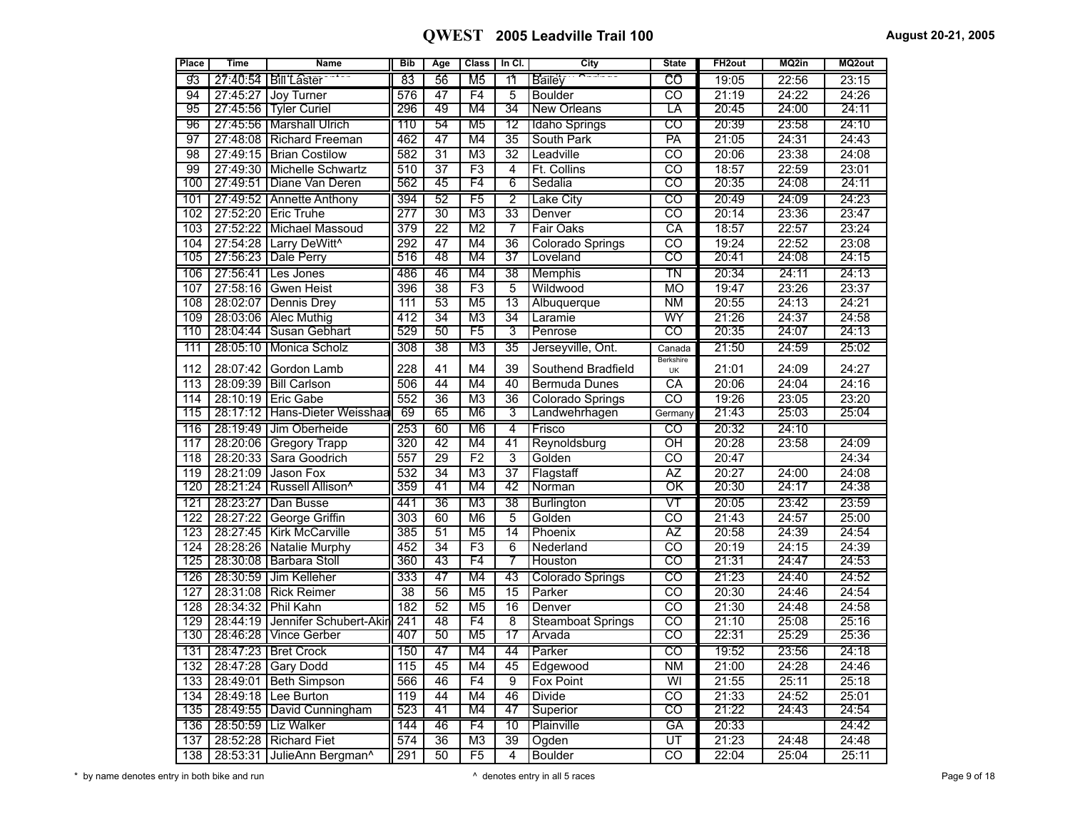| Place            | <b>Time</b> | <b>Name</b>                             | <b>Bib</b>       | Age             | <b>Class</b>    | In Cl.          | City                     | <b>State</b>             | FH <sub>2out</sub> | MQ2in | MQ2out |
|------------------|-------------|-----------------------------------------|------------------|-----------------|-----------------|-----------------|--------------------------|--------------------------|--------------------|-------|--------|
| 93               |             | 27:40:54   Bill Laster                  | 83               | 56              | M5              | 11              | Bailey                   | CÔ                       | 19:05              | 22:56 | 23:15  |
| 94               | 27:45:27    | Joy Turner                              | 576              | 47              | F4              | 5               | <b>Boulder</b>           | CO                       | 21:19              | 24:22 | 24:26  |
| 95               |             | 27:45:56 Tyler Curiel                   | 296              | 49              | M4              | 34              | <b>New Orleans</b>       | LΑ                       | 20:45              | 24:00 | 24:11  |
| 96               |             | 27:45:56   Marshall Ulrich              | 110              | 54              | M <sub>5</sub>  | $\overline{12}$ | Idaho Springs            | $\overline{co}$          | 20:39              | 23:58 | 24:10  |
| 97               |             | 27:48:08 Richard Freeman                | 462              | 47              | M4              | 35              | South Park               | PA                       | 21:05              | 24:31 | 24:43  |
| $\overline{98}$  |             | 27:49:15 Brian Costilow                 | 582              | $\overline{31}$ | $\overline{M3}$ | $\overline{32}$ | Leadville                | टठ                       | 20:06              | 23:38 | 24:08  |
| 99               |             | 27:49:30 Michelle Schwartz              | 510              | $\overline{37}$ | F3              | 4               | Ft. Collins              | $\overline{co}$          | 18:57              | 22:59 | 23:01  |
| 100              | 27:49:51    | Diane Van Deren                         | 562              | 45              | F4              | 6               | Sedalia                  | co                       | 20:35              | 24:08 | 24:11  |
| 101              |             | 27:49:52   Annette Anthony              | 394              | 52              | F5              | 2               | <b>Lake City</b>         | $\overline{\text{co}}$   | 20:49              | 24:09 | 24:23  |
| 102              |             | 27:52:20 Eric Truhe                     | $\overline{277}$ | $\overline{30}$ | M <sub>3</sub>  | $\overline{33}$ | Denver                   | $\overline{co}$          | 20:14              | 23:36 | 23:47  |
| 103              |             | 27:52:22 Michael Massoud                | 379              | $\overline{22}$ | M <sub>2</sub>  | $\overline{7}$  | Fair Oaks                | $\overline{\text{CA}}$   | 18:57              | 22:57 | 23:24  |
| 104              |             | 27:54:28 Larry DeWitt^                  | 292              | 47              | M <sub>4</sub>  | 36              | Colorado Springs         | $\overline{\mathrm{co}}$ | 19:24              | 22:52 | 23:08  |
| 105              |             | 27:56:23 Dale Perry                     | 516              | 48              | M4              | 37              | Loveland                 | CO                       | 20:41              | 24:08 | 24:15  |
| 106              |             | 27:56:41   Les Jones                    | 486              | 46              | M4              | 38              | Memphis                  | $\overline{\text{TN}}$   | 20:34              | 24:11 | 24:13  |
| 107              | 27:58:16    | <b>Gwen Heist</b>                       | 396              | $\overline{38}$ | F3              | 5               | Wildwood                 | <b>MO</b>                | 19:47              | 23:26 | 23:37  |
| 108              | 28:02:07    | Dennis Drey                             | $\overline{111}$ | 53              | M <sub>5</sub>  | $\overline{13}$ | Albuquerque              | <b>NM</b>                | 20:55              | 24:13 | 24:21  |
| 109              |             | 28:03:06 Alec Muthig                    | 412              | $\overline{34}$ | M <sub>3</sub>  | $\overline{34}$ | Laramie                  | WY                       | 21:26              | 24:37 | 24:58  |
| 110              |             | 28:04:44   Susan Gebhart                | 529              | 50              | F5              | 3               | Penrose                  | $\overline{\mathrm{co}}$ | 20:35              | 24:07 | 24:13  |
| 111              |             | 28:05:10   Monica Scholz                | 308              | $\overline{38}$ | M <sub>3</sub>  | $\overline{35}$ | Jerseyville, Ont.        | Canada                   | 21:50              | 24:59 | 25:02  |
| 112              | 28:07:42    | Gordon Lamb                             | 228              | 41              | M <sub>4</sub>  | 39              | Southend Bradfield       | Berkshire<br>UK          | 21:01              | 24:09 | 24:27  |
| 113              |             | 28:09:39   Bill Carlson                 | 506              | 44              | M <sub>4</sub>  | 40              | Bermuda Dunes            | СA                       | 20:06              | 24:04 | 24:16  |
| 114              |             | 28:10:19   Eric Gabe                    | 552              | $\overline{36}$ | M <sub>3</sub>  | $\overline{36}$ | Colorado Springs         | $\overline{c}$           | 19:26              | 23:05 | 23:20  |
| 115              |             | 28:17:12 Hans-Dieter Weisshaa           | 69               | 65              | M <sub>6</sub>  | 3               | Landwehrhagen            | Germany                  | 21:43              | 25:03 | 25:04  |
| 116              |             | 28:19:49 Jim Oberheide                  | 253              | 60              | M <sub>6</sub>  | 4               | Frisco                   | $\overline{c}$           | 20:32              | 24:10 |        |
| 117              |             | 28:20:06 Gregory Trapp                  | 320              | 42              | M4              | 41              | Reynoldsburg             | $\overline{O}$ H         | 20:28              | 23:58 | 24:09  |
| $\overline{118}$ |             | 28:20:33 Sara Goodrich                  | 557              | $\overline{29}$ | $\overline{F2}$ | $\overline{3}$  | Golden                   | $\overline{c}$           | 20:47              |       | 24:34  |
| 119              | 28:21:09    | Jason Fox                               | 532              | $\overline{34}$ | M <sub>3</sub>  | $\overline{37}$ | Flagstaff                | $\overline{AZ}$          | 20:27              | 24:00 | 24:08  |
| 120              |             | 28:21:24   Russell Allison <sup>^</sup> | 359              | 41              | M4              | 42              | Norman                   | $\overline{\textsf{OK}}$ | 20:30              | 24:17 | 24:38  |
| 121              |             | 28:23:27   Dan Busse                    | 441              | 36              | M3              | 38              | <b>Burlington</b>        | VТ                       | 20:05              | 23:42 | 23:59  |
| 122              |             | 28:27:22 George Griffin                 | 303              | 60              | M6              | 5               | Golden                   | $\overline{co}$          | 21:43              | 24:57 | 25:00  |
| $\overline{123}$ |             | 28:27:45 Kirk McCarville                | 385              | $\overline{51}$ | M <sub>5</sub>  | 14              | Phoenix                  | ĀΖ                       | 20:58              | 24:39 | 24:54  |
| 124              |             | 28:28:26 Natalie Murphy                 | 452              | $\overline{34}$ | F3              | 6               | Nederland                | $\overline{c}$           | 20:19              | 24:15 | 24:39  |
| 125              |             | 28:30:08 Barbara Stoll                  | 360              | 43              | F4              | 7               | <b>Houston</b>           | CO                       | 21:31              | 24:47 | 24:53  |
| 126              | 28:30:59    | Jim Kelleher                            | 333              | 47              | M4              | 43              | <b>Colorado Springs</b>  | $\overline{c}$           | 21:23              | 24:40 | 24:52  |
| 127              |             | 28:31:08 Rick Reimer                    | $\overline{38}$  | $\overline{56}$ | M <sub>5</sub>  | 15              | Parker                   | $\overline{\mathrm{co}}$ | 20:30              | 24:46 | 24:54  |
| 128              |             | 28:34:32 Phil Kahn                      | 182              | 52              | M <sub>5</sub>  | $\overline{16}$ | Denver                   | $\overline{co}$          | 21:30              | 24:48 | 24:58  |
| 129              | 28:44:19    | Jennifer Schubert-Akir                  | 241              | 48              | F4              | 8               | <b>Steamboat Springs</b> | $\overline{co}$          | 21:10              | 25:08 | 25:16  |
| 130              | 28:46:28    | <b>Vince Gerber</b>                     | 407              | 50              | M <sub>5</sub>  | 17              | Arvada                   | $\overline{\mathrm{co}}$ | 22:31              | 25:29 | 25:36  |
| 131              |             | 28:47:23   Bret Crock                   | 150              | 47              | M4              | 44              | Parker                   | $\overline{c}$           | 19:52              | 23:56 | 24:18  |
| 132              | 28:47:28    | Gary Dodd                               | $\overline{115}$ | 45              | M4              | 45              | Edgewood                 | $\overline{\text{NM}}$   | 21:00              | 24:28 | 24:46  |
| 133              | 28:49:01    | Beth Simpson                            | 566              | 46              | $\overline{F4}$ | $\overline{9}$  | Fox Point                | $\overline{\mathsf{W}}$  | 21:55              | 25:11 | 25:18  |
| 134              |             | 28:49:18 Lee Burton                     | 119              | 44              | M <sub>4</sub>  | 46              | <b>Divide</b>            | $\overline{co}$          | 21:33              | 24:52 | 25:01  |
| 135              |             | 28:49:55 David Cunningham               | 523              | 41              | M4              | 47              | Superior                 | co                       | 21:22              | 24:43 | 24:54  |
| 136              |             | 28:50:59   Liz Walker                   | 144              | 46              | F4              | 10              | Plainville               | GĀ                       | 20:33              |       | 24:42  |
| 137              |             | 28:52:28 Richard Fiet                   | 574              | $\overline{36}$ | M <sub>3</sub>  | $\overline{39}$ | Ogden                    | ŪT                       | 21:23              | 24:48 | 24:48  |
| 138              |             | 28:53:31 JulieAnn Bergman^              | 291              | 50              | $\overline{F5}$ | $\overline{4}$  | Boulder                  | टठ                       | 22:04              | 25:04 | 25:11  |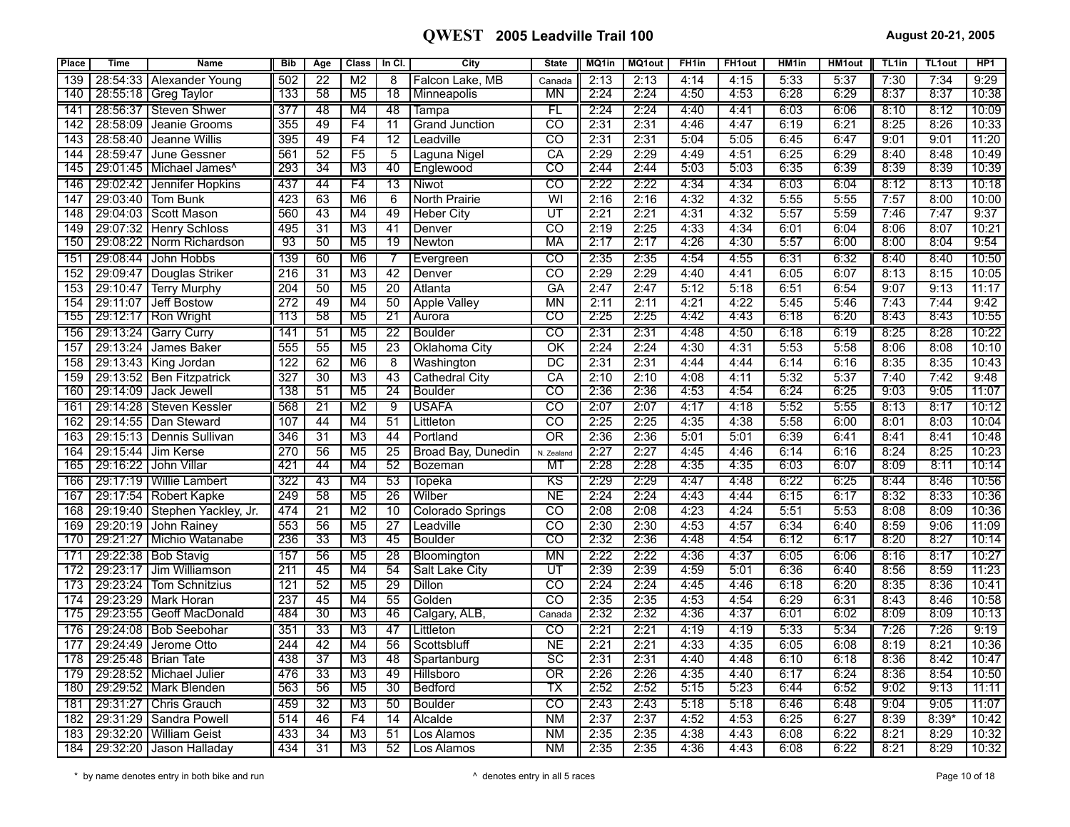| Place | <b>Time</b> | <b>Name</b>                           | <b>Bib</b>       | Age             | <b>Class</b>    | In $CI.$        | City                  | <b>State</b>             | MQ1in | <b>MQ1out</b> | FH <sub>1in</sub> | <b>FH1out</b> | HM1in | <b>HM1out</b> | TL <sub>1in</sub> | <b>TL1out</b> | HP <sub>1</sub> |
|-------|-------------|---------------------------------------|------------------|-----------------|-----------------|-----------------|-----------------------|--------------------------|-------|---------------|-------------------|---------------|-------|---------------|-------------------|---------------|-----------------|
| 139   | 28:54:33    | Alexander Young                       | 502              | $\overline{22}$ | M <sub>2</sub>  | 8               | Falcon Lake, MB       | Canada                   | 2:13  | 2:13          | 4:14              | 4:15          | 5:33  | 5:37          | 7:30              | 7:34          | 9:29            |
| 140   |             | 28:55:18   Greg Taylor                | 133              | 58              | M5              | 78              | Minneapolis           | MΝ                       | 2:24  | 2:24          | 4:50              | 4:53          | 6:28  | 6:29          | 8:37              | 8:37          | 10:38           |
| 141   | 28:56:37    | Steven Shwer                          | 377              | 48              | M4              | 48              | Tampa                 | FL                       | 2:24  | 2:24          | 4:40              | 4:41          | 6:03  | 6:06          | 8:10              | 8:12          | 10:09           |
| 142   | 28:58:09    | Jeanie Grooms                         | 355              | 49              | F <sub>4</sub>  | $\overline{11}$ | <b>Grand Junction</b> | CO                       | 2:31  | 2:31          | 4:46              | 4:47          | 6:19  | 6:21          | 8:25              | 8:26          | 10:33           |
| 143   | 28:58:40    | Jeanne Willis                         | 395              | 49              | F4              | $\overline{12}$ | Leadville             | $\overline{\text{co}}$   | 2:31  | 2:31          | 5:04              | 5:05          | 6:45  | 6:47          | 9:01              | 9:01          | 11:20           |
| 144   | 28:59:47    | June Gessner                          | 561              | $\overline{52}$ | F5              | $\overline{5}$  | Laguna Nigel          | $\overline{CA}$          | 2:29  | 2:29          | 4:49              | 4:51          | 6:25  | 6:29          | 8:40              | 8:48          | 10:49           |
| 145   |             | 29:01:45   Michael James <sup>^</sup> | 293              | 34              | M <sub>3</sub>  | 40              | Englewood             | CO                       | 2:44  | 2:44          | 5:03              | 5:03          | 6:35  | 6:39          | 8:39              | 8:39          | 10:39           |
| 146   |             | 29:02:42   Jennifer Hopkins           | 437              | 44              | F4              | 13              | Niwot                 | $\overline{\text{co}}$   | 2:22  | 2:22          | 4:34              | 4:34          | 6:03  | 6:04          | 8:12              | 8:13          | 10:18           |
| 147   |             | 29:03:40   Tom Bunk                   | 423              | 63              | M6              | 6               | North Prairie         | WI                       | 2:16  | 2:16          | 4:32              | 4:32          | 5:55  | 5:55          | 7:57              | 8:00          | 10:00           |
| 148   | 29:04:03    | Scott Mason                           | 560              | 43              | M4              | 49              | <b>Heber City</b>     | UT                       | 2:21  | 2:21          | 4:31              | 4:32          | 5:57  | 5:59          | 7:46              | 7:47          | 9:37            |
| 149   |             | 29:07:32 Henry Schloss                | 495              | 31              | M <sub>3</sub>  | 41              | Denver                | CO                       | 2:19  | 2:25          | 4:33              | 4:34          | 6:01  | 6:04          | 8:06              | 8:07          | 10:21           |
| 150   |             | 29:08:22 Norm Richardson              | 93               | 50              | M <sub>5</sub>  | $\overline{19}$ | Newton                | MA                       | 2:17  | 2:17          | 4:26              | 4:30          | 5:57  | 6:00          | 8:00              | 8:04          | 9:54            |
| 151   | 29:08:44    | <b>John Hobbs</b>                     | 139              | 60              | M6              | 7               | Evergreen             | CO                       | 2:35  | 2:35          | 4:54              | 4:55          | 6:31  | 6:32          | 8:40              | 8:40          | 10:50           |
| 152   | 29:09:47    | Douglas Striker                       | $\overline{216}$ | $\overline{31}$ | M <sub>3</sub>  | $\overline{42}$ | Denver                | $\overline{\text{co}}$   | 2:29  | 2:29          | 4:40              | 4:41          | 6:05  | 6:07          | 8:13              | 8:15          | 10:05           |
| 153   | 29:10:47    | Terry Murphy                          | $\overline{204}$ | $\overline{50}$ | $\overline{M5}$ | $\overline{20}$ | Atlanta               | GA                       | 2:47  | 2:47          | 5:12              | 5:18          | 6:51  | 6:54          | 9:07              | 9:13          | 11:17           |
| 154   | 29:11:07    | Jeff Bostow                           | 272              | 49              | M4              | 50              | <b>Apple Valley</b>   | $\overline{\mathsf{MN}}$ | 2:11  | 2:11          | 4:21              | 4:22          | 5:45  | 5:46          | 7:43              | 7:44          | 9:42            |
| 155   |             | 29:12:17   Ron Wright                 | 113              | 58              | M5              | 21              | Aurora                | CO                       | 2:25  | 2:25          | 4:42              | 4:43          | 6:18  | 6:20          | 8:43              | 8:43          | 10:55           |
| 156   |             | 29:13:24   Garry Curry                | 141              | 51              | M <sub>5</sub>  | $\overline{22}$ | <b>Boulder</b>        | $\overline{C}$           | 2:31  | 2:31          | 4:48              | 4:50          | 6:18  | 6:19          | 8:25              | 8:28          | 10:22           |
| 157   | 29:13:24    | James Baker                           | 555              | $\overline{55}$ | M <sub>5</sub>  | $\overline{23}$ | Oklahoma City         | $\overline{\text{OK}}$   | 2:24  | 2:24          | 4:30              | 4:31          | 5:53  | 5:58          | 8:06              | 8:08          | 10:10           |
| 158   |             | 29:13:43   King Jordan                | 122              | 62              | M <sub>6</sub>  | $\overline{8}$  | Washington            | $\overline{DC}$          | 2:31  | 2:31          | 4:44              | 4:44          | 6:14  | 6:16          | 8:35              | 8:35          | 10:43           |
| 159   | 29:13:52    | Ben Fitzpatrick                       | 327              | $\overline{30}$ | $\overline{M3}$ | $\overline{43}$ | Cathedral City        | CA                       | 2:10  | 2:10          | 4:08              | 4:11          | 5:32  | 5:37          | 7:40              | 7:42          | 9:48            |
| 160   |             | 29:14:09   Jack Jewell                | 138              | 51              | M <sub>5</sub>  | 24              | <b>Boulder</b>        | CO                       | 2:36  | 2:36          | 4:53              | 4:54          | 6:24  | 6:25          | 9:03              | 9:05          | 11:07           |
| 161   | 29:14:28    | Steven Kessler                        | 568              | $\overline{21}$ | M <sub>2</sub>  | 9               | <b>USAFA</b>          | $\overline{\text{co}}$   | 2:07  | 2:07          | 4:17              | 4:18          | 5:52  | 5:55          | 8:13              | 8:17          | 10:12           |
| 162   | 29:14:55    | Dan Steward                           | 107              | 44              | M4              | 51              | Littleton             | $\overline{\mathrm{co}}$ | 2:25  | 2:25          | 4:35              | 4:38          | 5:58  | 6:00          | 8:01              | 8:03          | 10:04           |
| 163   | 29:15:13    | Dennis Sullivan                       | 346              | $\overline{31}$ | M <sub>3</sub>  | 44              | Portland              | $\overline{\text{OR}}$   | 2:36  | 2:36          | 5:01              | 5:01          | 6:39  | 6:41          | 8:41              | 8:41          | 10:48           |
| 164   | 29:15:44    | Jim Kerse                             | 270              | 56              | M <sub>5</sub>  | $\overline{25}$ | Broad Bay, Dunedin    | N. Zealand               | 2:27  | 2:27          | 4:45              | 4:46          | 6:14  | 6:16          | 8:24              | 8:25          | 10:23           |
| 165   | 29:16:22    | John Villar                           | 421              | 44              | M4              | 52              | <b>Bozeman</b>        | МT                       | 2:28  | 2:28          | 4:35              | 4:35          | 6:03  | 6:07          | 8:09              | 8:11          | 10:14           |
| 166   |             | 29:17:19   Willie Lambert             | 322              | 43              | M4              | 53              | Topeka                | $\overline{\text{KS}}$   | 2:29  | 2:29          | 4:47              | 4:48          | 6:22  | 6:25          | 8:44              | 8:46          | 10:56           |
| 167   |             | 29:17:54   Robert Kapke               | 249              | $\overline{58}$ | M <sub>5</sub>  | $\overline{26}$ | Wilber                | $\overline{\sf NE}$      | 2:24  | 2:24          | 4:43              | 4:44          | 6:15  | 6:17          | 8:32              | 8:33          | 10:36           |
| 168   |             | 29:19:40 Stephen Yackley, Jr.         | 474              | $\overline{21}$ | $\overline{M2}$ | $\overline{10}$ | Colorado Springs      | $\overline{co}$          | 2:08  | 2:08          | 4:23              | 4:24          | 5:51  | 5:53          | 8:08              | 8:09          | 10:36           |
| 169   | 29:20:19    | Uohn Rainev                           | 553              | 56              | M <sub>5</sub>  | $\overline{27}$ | Leadville             | $\overline{co}$          | 2:30  | 2:30          | 4:53              | 4:57          | 6:34  | 6:40          | 8:59              | 9:06          | 11:09           |
| 170   |             | 29:21:27   Michio Watanabe            | 236              | 33              | M3              | 45              | <b>Boulder</b>        | co                       | 2:32  | 2:36          | 4:48              | 4:54          | 6:12  | 6:17          | 8:20              | 8:27          | 10:14           |
| 171   |             | 29:22:38   Bob Stavig                 | 157              | 56              | M <sub>5</sub>  | 28              | Bloomington           | MN                       | 2:22  | 2:22          | 4:36              | 4:37          | 6:05  | 6:06          | 8:16              | 8:17          | 10:27           |
| 172   | 29:23:17    | Jim Williamson                        | 211              | 45              | M4              | 54              | Salt Lake City        | UT                       | 2:39  | 2:39          | 4:59              | 5:01          | 6:36  | 6:40          | 8:56              | 8:59          | 11:23           |
| 173   | 29:23:24    | Tom Schnitzius                        | 121              | 52              | M <sub>5</sub>  | 29              | Dillon                | टठ                       | 2:24  | 2:24          | 4:45              | 4:46          | 6:18  | 6:20          | 8:35              | 8:36          | 10:41           |
| 174   | 29:23:29    | l Mark Horan                          | 237              | 45              | M <sub>4</sub>  | 55              | Golden                | $\overline{CO}$          | 2:35  | 2:35          | 4:53              | 4:54          | 6:29  | 6:31          | 8:43              | 8:46          | 10:58           |
| 175   | 29:23:55    | Geoff MacDonald                       | 484              | 30              | M3              | 46              | Calgary, ALB,         | Canada                   | 2:32  | 2:32          | 4:36              | 4:37          | 6:01  | 6:02          | 8:09              | 8:09          | 10:13           |
| 176   | 29:24:08    | I Bob Seebohar                        | 351              | 33              | M3              | 47              | Littleton             | CO                       | 2:21  | 2:21          | 4:19              | 4:19          | 5:33  | 5:34          | 7:26              | 7:26          | 9:19            |
| 177   | 29:24:49    | Jerome Otto                           | $\overline{244}$ | $\overline{42}$ | M4              | $\overline{56}$ | Scottsbluff           | N <sub>E</sub>           | 2:21  | 2:21          | 4:33              | 4:35          | 6:05  | 6:08          | 8:19              | 8:21          | 10:36           |
| 178   | 29:25:48    | Brian Tate                            | 438              | $\overline{37}$ | M <sub>3</sub>  | 48              | Spartanburg           | $\overline{SC}$          | 2:31  | 2:31          | 4:40              | 4:48          | 6:10  | 6:18          | 8:36              | 8:42          | 10:47           |
| 179   | 29:28:52    | Michael Julier                        | 476              | $\overline{33}$ | M <sub>3</sub>  | 49              | Hillsboro             | $\overline{OR}$          | 2:26  | 2:26          | 4:35              | 4:40          | 6:17  | 6:24          | 8:36              | 8:54          | 10:50           |
| 180   |             | 29:29:52   Mark Blenden               | 563              | 56              | M <sub>5</sub>  | $\overline{30}$ | <b>Bedford</b>        | ТX                       | 2:52  | 2:52          | 5:15              | 5:23          | 6:44  | 6:52          | 9:02              | 9:13          | 11:11           |
| 181   | 29:31:27    | <b>Chris Grauch</b>                   | 459              | $\overline{32}$ | M3              | 50              | <b>Boulder</b>        | $\overline{c}$           | 2:43  | 2:43          | 5:18              | 5:18          | 6:46  | 6:48          | 9:04              | 9:05          | 11:07           |
| 182   | 29:31:29    | Sandra Powell                         | 514              | $\overline{46}$ | F4              | 14              | Alcalde               | <b>NM</b>                | 2:37  | 2:37          | 4:52              | 4:53          | 6:25  | 6:27          | 8:39              | $8:39*$       | 10:42           |
| 183   | 29:32:20    | William Geist                         | 433              | $\overline{34}$ | M <sub>3</sub>  | $\overline{51}$ | Los Alamos            | <b>NM</b>                | 2:35  | 2:35          | 4:38              | 4:43          | 6:08  | 6:22          | 8:21              | 8:29          | 10:32           |
| 184   | 29:32:20    | Jason Halladay                        | 434              | $\overline{31}$ | M <sub>3</sub>  | 52              | Los Alamos            | $N$ M                    | 2:35  | 2:35          | 4:36              | 4:43          | 6:08  | 6:22          | 8:21              | 8:29          | 10:32           |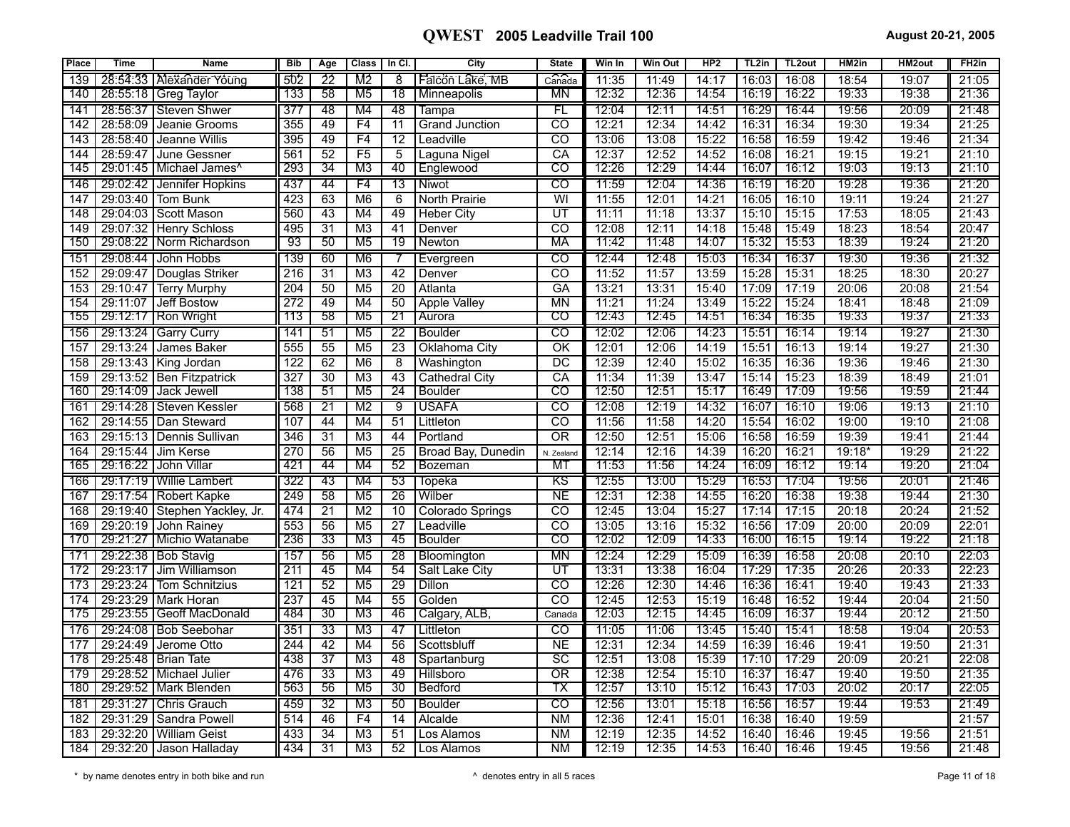| Place           | <b>Time</b> | <b>Name</b>                           | <b>Bib</b>       | Age             | <b>Class</b>    | In Cl.          | City               | <b>State</b>             | Win In | <b>Win Out</b> | HP <sub>2</sub> | TL <sub>2</sub> in | TL <sub>2</sub> out | HM2in    | <b>HM2out</b> | FH <sub>2in</sub> |
|-----------------|-------------|---------------------------------------|------------------|-----------------|-----------------|-----------------|--------------------|--------------------------|--------|----------------|-----------------|--------------------|---------------------|----------|---------------|-------------------|
| 139             |             | 28:54:33   Alexander Young            | 502              | 22              | M2              | 8               | Falcon Lake, MB    | Canada                   | 11:35  | 11:49          | 14:17           | 16:03              | 16:08               | 18:54    | 19:07         | 21:05             |
| 140             |             | 28:55:18 Greg Taylor                  | 133              | 58              | M5              | 18              | <b>Minneapolis</b> | MN                       | 12:32  | 12:36          | 14:54           | 16:19              | 16:22               | 19:33    | 19:38         | 21:36             |
| 141             |             | 28:56:37   Steven Shwer               | 377              | 48              | M4              | 48              | Tampa              | FL                       | 12:04  | 12:11          | 14:51           | 16:29              | 16:44               | 19:56    | 20:09         | 21:48             |
| 142             | 28:58:09    | Jeanie Grooms                         | 355              | 49              | F4              | 11              | Grand Junction     | CO                       | 12:21  | 12:34          | 14:42           | 16:31              | 16:34               | 19:30    | 19:34         | 21:25             |
| 143             | 28:58:40    | Jeanne Willis                         | 395              | 49              | F4              | $\overline{12}$ | Leadville          | $\overline{c}$           | 13:06  | 13:08          | 15:22           | 16:58              | 16:59               | 19:42    | 19:46         | 21:34             |
| 144             | 28:59:47    | June Gessner                          | 561              | $\overline{52}$ | F5              | $\overline{5}$  | Laguna Nigel       | CA                       | 12:37  | 12:52          | 14:52           | 16:08              | 16:21               | 19:15    | 19:21         | 21:10             |
| 145             |             | 29:01:45   Michael James <sup>^</sup> | 293              | 34              | M3              | 40              | Englewood          | $\overline{\text{co}}$   | 12:26  | 12:29          | 14:44           | 16:07              | 16:12               | 19:03    | 19:13         | 21:10             |
| 146             |             | 29:02:42   Jennifer Hopkins           | 437              | 44              | F4              | 13              | Niwot              | $\overline{c}$           | 11:59  | 12:04          | 14:36           | 16:19              | 16:20               | 19:28    | 19:36         | 21:20             |
| 147             | 29:03:40    | Tom Bunk                              | 423              | 63              | M6              | $\overline{6}$  | North Prairie      | $\overline{\mathsf{W}}$  | 11:55  | 12:01          | 14:21           | 16:05              | 16:10               | 19:11    | 19:24         | 21:27             |
| 148             | 29:04:03    | <b>Scott Mason</b>                    | 560              | 43              | M4              | 49              | Heber Citv         | UT                       | 11:11  | 11:18          | 13:37           | 15:10              | 15:15               | 17:53    | 18:05         | 21:43             |
| 149             | 29:07:32    | <b>Henry Schloss</b>                  | 495              | $\overline{31}$ | M <sub>3</sub>  | 41              | Denver             | CO                       | 12:08  | 12:11          | 14:18           | 15:48              | 15:49               | 18:23    | 18:54         | 20:47             |
| 150             |             | 29:08:22   Norm Richardson            | 93               | 50              | M <sub>5</sub>  | 19              | <b>Newton</b>      | MA                       | 11:42  | 11:48          | 14:07           | 15:32              | 15:53               | 18:39    | 19:24         | 21:20             |
| 15 <sup>′</sup> |             | 29:08:44 John Hobbs                   | 139              | 60              | M6              |                 | Evergreen          | CO                       | 12:44  | 12:48          | 15:03           | 16:34              | 16:37               | 19:30    | 19:36         | 21:32             |
| 152             | 29:09:47    | Douglas Striker                       | 216              | 31              | M <sub>3</sub>  | 42              | Denver             | <b>CO</b>                | 11:52  | 11:57          | 13:59           | 15:28              | 15:31               | 18:25    | 18:30         | 20:27             |
| 153             | 29:10:47    | <b>Terry Murphy</b>                   | 204              | 50              | M <sub>5</sub>  | $\overline{20}$ | Atlanta            | $G$ A                    | 13:21  | 13:31          | 15:40           | 17:09              | 17:19               | 20:06    | 20:08         | 21:54             |
| 154             | 29:11:07    | Jeff Bostow                           | 272              | 49              | M4              | 50              | Apple Valley       | <b>MN</b>                | 11:21  | 11:24          | 13:49           | 15:22              | 15:24               | 18:41    | 18:48         | 21:09             |
| 155             |             | 29:12:17   Ron Wright                 | 113              | 58              | M5              | 21              | Aurora             | co                       | 12:43  | 12:45          | 14:51           | 16:34              | 16:35               | 19:33    | 19:37         | 21:33             |
| 156             |             | 29:13:24   Garry Curry                | 141              | 51              | M <sub>5</sub>  | 22              | <b>Boulder</b>     | $\overline{c}$           | 12:02  | 12:06          | 14:23           | 15:51              | 16:14               | 19:14    | 19:27         | 21:30             |
| 157             | 29:13:24    | James Baker                           | 555              | 55              | M <sub>5</sub>  | $\overline{23}$ | Oklahoma City      | $\overline{\text{OK}}$   | 12:01  | 12:06          | 14:19           | 15:51              | 16:13               | 19:14    | 19:27         | 21:30             |
| 158             | 29:13:43    | <b>King Jordan</b>                    | 122              | 62              | M6              | $\overline{8}$  | Washington         | $\overline{DC}$          | 12:39  | 12:40          | 15:02           | 16:35              | 16:36               | 19:36    | 19:46         | 21:30             |
| 159             |             | 29:13:52 Ben Fitzpatrick              | 327              | 30              | M <sub>3</sub>  | 43              | Cathedral City     | CA                       | 11:34  | 11:39          | 13:47           | 15:14              | 15:23               | 18:39    | 18:49         | 21:01             |
| 160             |             | 29:14:09 Jack Jewell                  | 138              | 51              | M5              | 24              | <b>Boulder</b>     | CO                       | 12:50  | 12:51          | 15:17           | 16:49              | 17:09               | 19:56    | 19:59         | 21:44             |
| 161             | 29:14:28    | Steven Kessler                        | 568              | 21              | M2              | 9               | USAFA              | CO                       | 12:08  | 12:19          | 14:32           | 16:07              | 16:10               | 19:06    | 19:13         | 21:10             |
| 162             | 29:14:55    | Dan Steward                           | 107              | 44              | M4              | $\overline{51}$ | Littleton          | $\overline{co}$          | 11:56  | 11:58          | 14:20           | 15:54              | 16:02               | 19:00    | 19:10         | 21:08             |
| 163             | 29:15:13    | Dennis Sullivan                       | 346              | $\overline{31}$ | M <sub>3</sub>  | 44              | Portland           | $\overline{OR}$          | 12:50  | 12:51          | 15:06           | 16:58              | 16:59               | 19:39    | 19:41         | 21:44             |
| 164             | 29:15:44    | Jim Kerse                             | 270              | 56              | M <sub>5</sub>  | $\overline{25}$ | Broad Bay, Dunedin | N. Zealand               | 12:14  | 12:16          | 14:39           | 16:20              | 16:21               | $19:18*$ | 19:29         | 21:22             |
| 165             | 29:16:22    | John Villar                           | 421              | 44              | M4              | 52              | Bozeman            | MT                       | 11:53  | 11:56          | 14:24           | 16:09              | 16:12               | 19:14    | 19:20         | 21:04             |
| 166             |             | 29:17:19   Willie Lambert             | 322              | 43              | M4              | 53              | Topeka             | KS                       | 12:55  | 13:00          | 15:29           | 16:53              | 17:04               | 19:56    | 20:01         | 21:46             |
| 167             | 29:17:54    | Robert Kapke                          | 249              | 58              | M <sub>5</sub>  | $\overline{26}$ | Wilber             | <b>NE</b>                | 12:31  | 12:38          | 14:55           | 16:20              | 16:38               | 19:38    | 19:44         | 21:30             |
| 168             |             | 29:19:40 Stephen Yackley, Jr.         | 474              | $\overline{21}$ | M <sub>2</sub>  | 10              | Colorado Springs   | $\overline{\text{co}}$   | 12:45  | 13:04          | 15:27           | 17:14              | 17:15               | 20:18    | 20:24         | 21:52             |
| 169             | 29:20:19    | I John Rainev                         | 553              | 56              | M <sub>5</sub>  | $\overline{27}$ | Leadville          | $\overline{co}$          | 13:05  | 13:16          | 15:32           | 16:56              | 17:09               | 20:00    | 20:09         | 22:01             |
| 170             |             | 29:21:27   Michio Watanabe            | 236              | 33              | M3              | 45              | <b>Boulder</b>     | co                       | 12:02  | 12:09          | 14:33           | 16:00              | 16:15               | 19:14    | 19:22         | 21:18             |
| 171             |             | 29:22:38   Bob Stavig                 | 157              | 56              | M <sub>5</sub>  | 28              | Bloomington        | MN                       | 12:24  | 12:29          | 15:09           | 16:39              | 16:58               | 20:08    | 20:10         | 22:03             |
| 172             | 29:23:17    | Jim Williamson                        | 211              | 45              | M4              | 54              | Salt Lake City     | UT                       | 13:31  | 13:38          | 16:04           | 17:29              | 17:35               | 20:26    | 20:33         | 22:23             |
| 173             | 29:23:24    | Tom Schnitzius                        | $\overline{121}$ | 52              | M <sub>5</sub>  | $\overline{29}$ | Dillon             | $\overline{\mathrm{co}}$ | 12:26  | 12:30          | 14:46           | 16:36              | 16:41               | 19:40    | 19:43         | 21:33             |
| 174             | 29:23:29    | <b>Mark Horan</b>                     | 237              | 45              | M4              | 55              | Golden             | $\overline{\text{co}}$   | 12:45  | 12:53          | 15:19           | 16:48              | 16:52               | 19:44    | 20:04         | 21:50             |
| 175             |             | 29:23:55 Geoff MacDonald              | 484              | 30              | MЗ              | 46              | Calgary, ALB,      | Canada                   | 12:03  | 12:15          | 14:45           | 16:09              | 16:37               | 19:44    | 20:12         | 21:50             |
| 176             |             | 29:24:08   Bob Seebohar               | 351              | 33              | M <sub>3</sub>  | 47              | Littleton          | $\overline{c}$           | 11:05  | 11:06          | 13:45           | 15:40              | 15:41               | 18:58    | 19:04         | 20:53             |
| 177             | 29:24:49    | Jerome Otto                           | 244              | 42              | M4              | $\overline{56}$ | Scottsbluff        | <b>NE</b>                | 12:31  | 12:34          | 14:59           | 16:39              | 16:46               | 19:41    | 19:50         | 21:31             |
| 178             | 29:25:48    | <b>Brian Tate</b>                     | 438              | $\overline{37}$ | M <sub>3</sub>  | 48              | Spartanburg        | $\overline{SC}$          | 12:51  | 13:08          | 15:39           | 17:10              | 17:29               | 20:09    | 20:21         | 22:08             |
| 179             |             | 29:28:52   Michael Julier             | 476              | 33              | M <sub>3</sub>  | 49              | Hillsboro          | $\overline{OR}$          | 12:38  | 12:54          | 15:10           | 16:37              | 16:47               | 19:40    | 19:50         | 21:35             |
| 180             |             | 29:29:52 Mark Blenden                 | 563              | 56              | M <sub>5</sub>  | $\overline{30}$ | Bedford            | ТX                       | 12:57  | 13:10          | 15:12           | 16:43              | 17:03               | 20:02    | 20:17         | 22:05             |
| 181             | 29:31:27    | <b>Chris Grauch</b>                   | 459              | 32              | M3              | 50              | Boulder            | $\overline{c}$           | 12:56  | 13:01          | 15:18           | 16:56              | 16:57               | 19:44    | 19:53         | 21:49             |
| 182             | 29:31:29    | Sandra Powell                         | 514              | 46              | F4              | 14              | Alcalde            | <b>NM</b>                | 12:36  | 12:41          | 15:01           | 16:38              | 16:40               | 19:59    |               | 21:57             |
| 183             | 29:32:20    | <b>William Geist</b>                  | 433              | 34              | M <sub>3</sub>  | 51              | Los Alamos         | N <sub>M</sub>           | 12:19  | 12:35          | 14:52           | 16:40              | 16:46               | 19:45    | 19:56         | 21:51             |
| 184             |             | 29:32:20 Jason Halladay               | 434              | 31              | $\overline{M3}$ | 52              | Los Alamos         | <b>NM</b>                | 12:19  | 12:35          | 14:53           | 16:40              | 16:46               | 19:45    | 19:56         | 21:48             |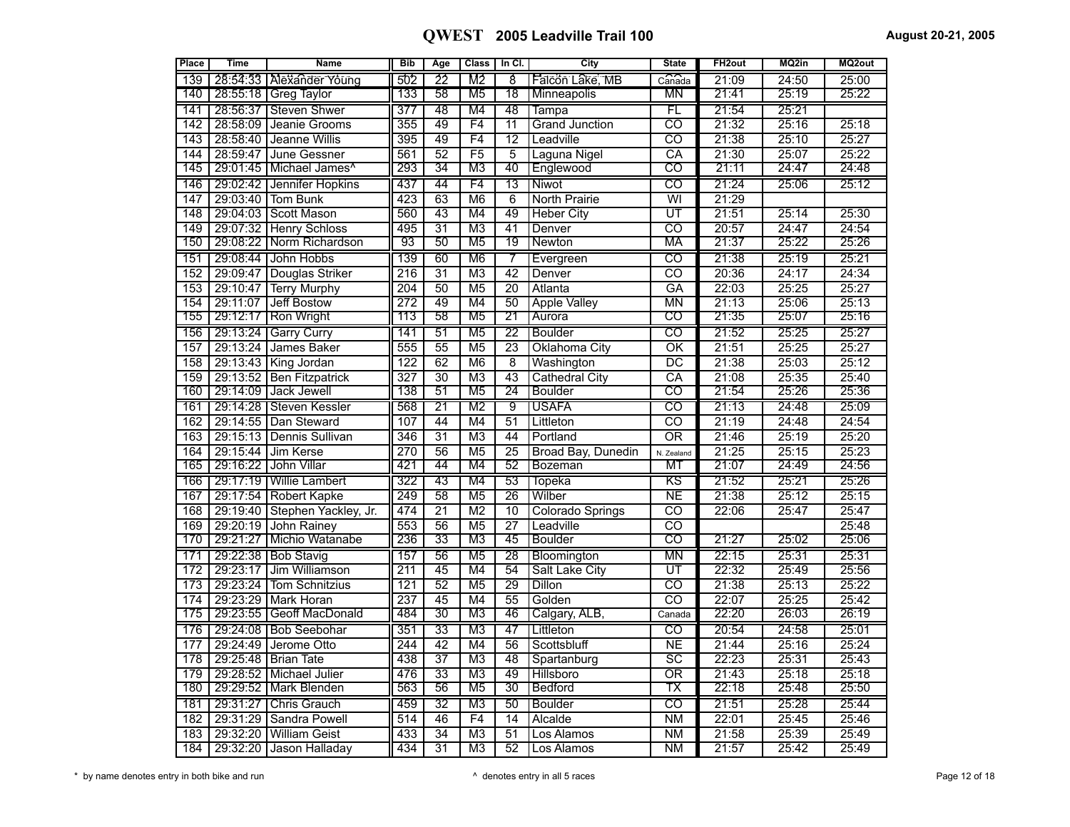| <b>Place</b>     | <b>Time</b> | <b>Name</b>                           | <b>Bib</b>       | Age             | <b>Class</b>   | In Cl.          | City                    | <b>State</b>             | FH <sub>2out</sub> | MQ2in | MQ2out |
|------------------|-------------|---------------------------------------|------------------|-----------------|----------------|-----------------|-------------------------|--------------------------|--------------------|-------|--------|
| 139              |             | 28:54:33   Alexander Young            | 502              | 22              | M2             | 8               | Falcon Lake, MB         | Can <sub>a</sub> da      | 21:09              | 24:50 | 25:00  |
| 140              |             | 28:55:18   Greg Taylor                | 133              | 58              | M5             | 78              | Minneapolis             | ΜN                       | 21:41              | 25:19 | 25:22  |
| 141              |             | 28:56:37   Steven Shwer               | 377              | 48              | M4             | 48              | Tampa                   | FL                       | 21:54              | 25:21 |        |
| 142              | 28:58:09    | Jeanie Grooms                         | 355              | 49              | F4             | $\overline{11}$ | <b>Grand Junction</b>   | $\overline{co}$          | 21:32              | 25:16 | 25:18  |
| 143              |             | 28:58:40 Jeanne Willis                | 395              | 49              | F4             | $\overline{12}$ | Leadville               | $\overline{CO}$          | 21:38              | 25:10 | 25:27  |
| 144              | 28:59:47    | June Gessner                          | 561              | 52              | F5             | 5               | Laguna Nigel            | $\overline{\mathsf{CA}}$ | 21:30              | 25:07 | 25:22  |
| 145              |             | 29:01:45   Michael James <sup>^</sup> | 293              | 34              | M3             | 40              | Englewood               | CO                       | 21:11              | 24:47 | 24:48  |
| 146              |             | 29:02:42   Jennifer Hopkins           | 437              | 44              | F4             | 13              | Niwot                   | $\overline{c}$           | 21:24              | 25:06 | 25:12  |
| 147              | 29:03:40    | <b>Tom Bunk</b>                       | 423              | 63              | M6             | 6               | North Prairie           | $\overline{\mathsf{W}}$  | 21:29              |       |        |
| 148              |             | 29:04:03 Scott Mason                  | 560              | 43              | M4             | 49              | <b>Heber City</b>       | $\overline{\mathtt{UT}}$ | 21:51              | 25:14 | 25:30  |
| 149              | 29:07:32    | <b>Henry Schloss</b>                  | 495              | $\overline{31}$ | M <sub>3</sub> | 41              | Denver                  | ਨਹ                       | 20:57              | 24:47 | 24:54  |
| 150              |             | 29:08:22 Norm Richardson              | 93               | 50              | M <sub>5</sub> | 19              | Newton                  | МA                       | 21:37              | 25:22 | 25:26  |
| 151              |             | 29:08:44 John Hobbs                   | 139              | 60              | M <sub>6</sub> | 7               | Evergreen               | $\overline{c}$           | 21:38              | 25:19 | 25:21  |
| 152              | 29:09:47    | Douglas Striker                       | $\overline{216}$ | $\overline{31}$ | M <sub>3</sub> | 42              | Denver                  | CO                       | 20:36              | 24:17 | 24:34  |
| 153              | 29:10:47    | <b>Terry Murphy</b>                   | 204              | 50              | M <sub>5</sub> | 20              | Atlanta                 | GA                       | 22:03              | 25:25 | 25:27  |
| 154              | 29:11:07    | Jeff Bostow                           | 272              | 49              | M4             | 50              | <b>Apple Valley</b>     | $\overline{\text{MN}}$   | 21:13              | 25:06 | 25:13  |
| 155              |             | 29:12:17 Ron Wright                   | 113              | 58              | M5             | 21              | Aurora                  | $\overline{\text{co}}$   | 21:35              | 25:07 | 25:16  |
| 156              |             | 29:13:24   Garry Curry                | 141              | 51              | M <sub>5</sub> | $\overline{22}$ | <b>Boulder</b>          | CO                       | 21:52              | 25:25 | 25:27  |
| 157              |             | 29:13:24 James Baker                  | 555              | 55              | M <sub>5</sub> | 23              | Oklahoma City           | OK                       | 21:51              | 25:25 | 25:27  |
| 158              |             | 29:13:43 King Jordan                  | 122              | 62              | M6             | $\overline{8}$  | Washington              | $\overline{\mathtt{DC}}$ | 21:38              | 25:03 | 25:12  |
| 159              |             | 29:13:52 Ben Fitzpatrick              | 327              | $\overline{30}$ | M <sub>3</sub> | $\overline{43}$ | <b>Cathedral City</b>   | $\overline{CA}$          | 21:08              | 25:35 | 25:40  |
| 160              |             | 29:14:09 Jack Jewell                  | 138              | 51              | M5             | 24              | <b>Boulder</b>          | CO                       | 21:54              | 25:26 | 25:36  |
| 161              |             | 29:14:28   Steven Kessler             | 568              | $\overline{21}$ | M <sub>2</sub> | g               | <b>USAFA</b>            | $\overline{\text{co}}$   | 21:13              | 24:48 | 25:09  |
| $\overline{162}$ |             | 29:14:55 Dan Steward                  | 107              | 44              | M4             | $\overline{51}$ | Littleton               | $\overline{\mathrm{co}}$ | 21:19              | 24:48 | 24:54  |
| 163              |             | 29:15:13   Dennis Sullivan            | 346              | $\overline{31}$ | M <sub>3</sub> | 44              | Portland                | $\overline{OR}$          | 21:46              | 25:19 | 25:20  |
| 164              |             | 29:15:44 Jim Kerse                    | 270              | 56              | M <sub>5</sub> | $\overline{25}$ | Broad Bay, Dunedin      | N. Zealand               | 21:25              | 25:15 | 25:23  |
| 165              |             | 29:16:22 John Villar                  | 421              | 44              | M4             | 52              | Bozeman                 | MT                       | 21:07              | 24:49 | 24:56  |
| 166              |             | 29:17:19   Willie Lambert             | 322              | 43              | M4             | 53              | Topeka                  | KS                       | 21:52              | 25:21 | 25:26  |
| 167              |             | 29:17:54 Robert Kapke                 | 249              | $\overline{58}$ | M <sub>5</sub> | 26              | Wilber                  | NE                       | 21:38              | 25:12 | 25:15  |
| 168              |             | 29:19:40 Stephen Yackley, Jr.         | 474              | $\overline{21}$ | M <sub>2</sub> | 10              | <b>Colorado Springs</b> | $\overline{c}$           | 22:06              | 25:47 | 25:47  |
| 169              | 29:20:19    | John Rainey                           | 553              | 56              | M <sub>5</sub> | $\overline{27}$ | Leadville               | $\overline{co}$          |                    |       | 25:48  |
| 170              | 29:21:27    | <b>I Michio Watanabe</b>              | 236              | 33              | M3             | 45              | <b>Boulder</b>          | co                       | 21:27              | 25:02 | 25:06  |
| 171              |             | 29:22:38   Bob Stavig                 | 157              | 56              | M <sub>5</sub> | 28              | Bloomington             | МN                       | 22:15              | 25:31 | 25:31  |
| 172              | 29:23:17    | Jim Williamson                        | 211              | 45              | M4             | 54              | Salt Lake City          | $\overline{\mathtt{UT}}$ | 22:32              | 25:49 | 25:56  |
| 173              |             | 29:23:24 Tom Schnitzius               | $\overline{121}$ | $\overline{52}$ | M <sub>5</sub> | 29              | Dillon                  | ਨਹ                       | 21:38              | 25:13 | 25:22  |
| 174              |             | 29:23:29 Mark Horan                   | 237              | 45              | M4             | 55              | Golden                  | $\overline{CO}$          | 22:07              | 25:25 | 25:42  |
| 175              |             | 29:23:55 Geoff MacDonald              | 484              | 30              | M <sub>3</sub> | 46              | Calgary, ALB            | Canada                   | 22:20              | 26:03 | 26:19  |
| 176              |             | 29:24:08   Bob Seebohar               | 351              | $\overline{33}$ | M <sub>3</sub> | 47              | Littleton               | $\overline{c}$           | 20:54              | 24:58 | 25:01  |
| 177              |             | 29:24:49 Jerome Otto                  | 244              | 42              | M4             | 56              | Scottsbluff             | $\overline{NE}$          | 21:44              | 25:16 | 25:24  |
| 178              |             | 29:25:48   Brian Tate                 | 438              | $\overline{37}$ | M <sub>3</sub> | 48              | Spartanburg             | $\overline{SC}$          | 22:23              | 25:31 | 25:43  |
| 179              |             | 29:28:52   Michael Julier             | 476              | $\overline{33}$ | M <sub>3</sub> | 49              | Hillsboro               | $\overline{OR}$          | 21:43              | 25:18 | 25:18  |
| 180              |             | 29:29:52   Mark Blenden               | 563              | 56              | M <sub>5</sub> | $\overline{30}$ | <b>Bedford</b>          | ТX                       | 22:18              | 25:48 | 25:50  |
| 181              |             | 29:31:27   Chris Grauch               | 459              | 32              | M3             | 50              | Boulder                 | CO                       | 21:51              | 25:28 | 25:44  |
| 182              | 29:31:29    | Sandra Powell                         | 514              | 46              | F <sub>4</sub> | 14              | Alcalde                 | <b>NM</b>                | 22:01              | 25:45 | 25:46  |
| 183              |             | 29:32:20 William Geist                | 433              | $\overline{34}$ | M <sub>3</sub> | 51              | Los Alamos              | <b>NM</b>                | 21:58              | 25:39 | 25:49  |
| 184              |             | 29:32:20 Jason Halladay               | 434              | $\overline{31}$ | M <sub>3</sub> | $\overline{52}$ | Los Alamos              | N <sub>M</sub>           | 21:57              | 25:42 | 25:49  |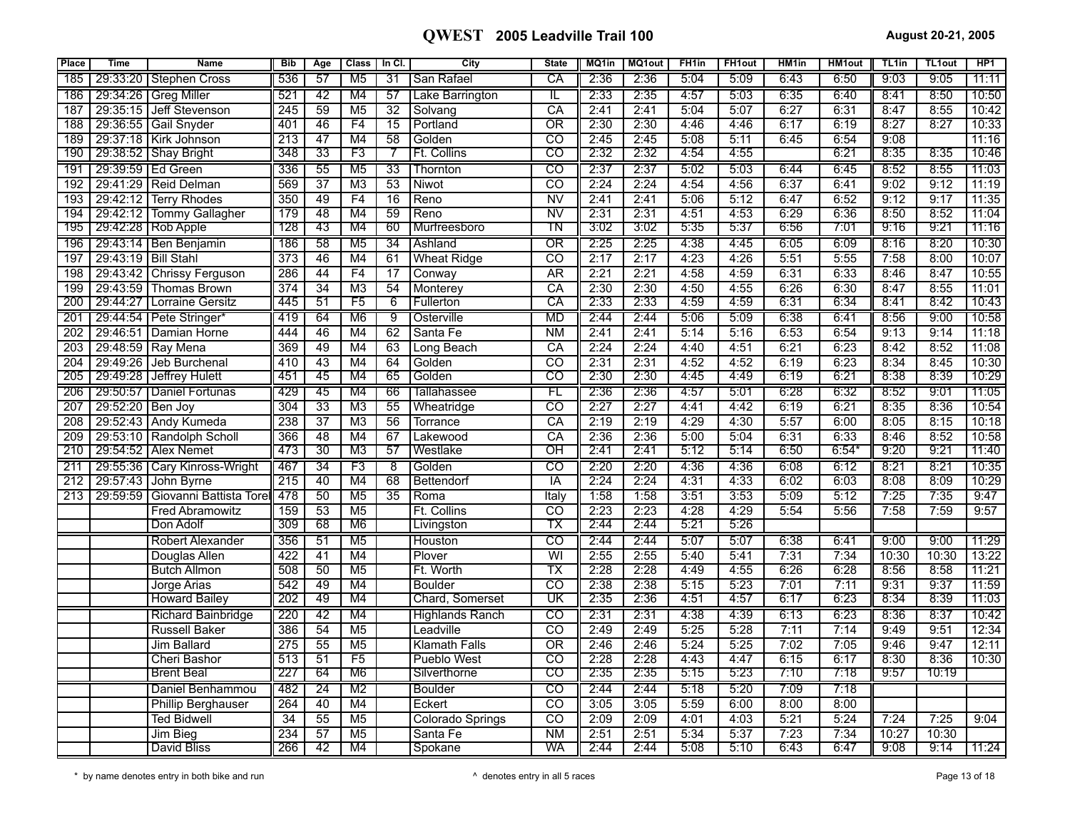| <b>Place</b>     | <b>Time</b>          | <b>Name</b>                             | <b>Bib</b>       | Age                   | <b>Class</b>          | In CI.                             | City                   | <b>State</b>                          | MQ1in        | MQ1out       | FH <sub>1in</sub> | <b>FH1out</b> | HM <sub>1in</sub> | <b>HM1out</b> | TL <sub>1in</sub> | TL1out        | HP <sub>1</sub> |
|------------------|----------------------|-----------------------------------------|------------------|-----------------------|-----------------------|------------------------------------|------------------------|---------------------------------------|--------------|--------------|-------------------|---------------|-------------------|---------------|-------------------|---------------|-----------------|
| 185              |                      | 29:33:20   Stephen Cross                | 536              | 57                    | M5                    | 31                                 | San Rafael             | СA                                    | 2:36         | 2:36         | 5:04              | 5:09          | 6:43              | 6:50          | 9:03              | 9:05          | 11:11           |
| 186              |                      | 29:34:26   Greg Miller                  | 521              | 42                    | M4                    | 57                                 | Lake Barrington        | IL                                    | 2:33         | 2:35         | 4:57              | 5:03          | 6:35              | 6:40          | 8:41              | 8:50          | 10:50           |
| 187              | 29:35:15             | Jeff Stevenson                          | 245              | $\overline{59}$       | M <sub>5</sub>        | $\overline{32}$                    | Solvang                | $\overline{CA}$                       | 2:41         | 2:41         | 5:04              | 5:07          | 6:27              | 6:31          | 8:47              | 8:55          | 10:42           |
| 188              |                      | 29:36:55 Gail Snyder                    | 401              | 46                    | F4                    | 15                                 | Portland               | $\overline{OR}$                       | 2:30         | 2:30         | 4:46              | 4:46          | 6:17              | 6:19          | 8:27              | 8:27          | 10:33           |
| 189              |                      | 29:37:18   Kirk Johnson                 | 213              | $\overline{47}$       | M4                    | $\overline{58}$                    | Golden                 | $\overline{c}$                        | 2:45         | 2:45         | 5:08              | 5:11          | 6:45              | 6:54          | 9:08              |               | 11:16           |
| 190              |                      | 29:38:52   Shay Bright                  | 348              | $\overline{33}$       | F3                    | 7                                  | <b>Ft. Collins</b>     | $\overline{\text{co}}$                | 2:32         | 2:32         | 4:54              | 4:55          |                   | 6:21          | 8:35              | 8:35          | 10:46           |
| 191              | 29:39:59   Ed Green  |                                         | 336              | 55                    | M <sub>5</sub>        | $\overline{33}$                    | Thornton               | $\overline{c}$                        | 2:37         | 2:37         | 5:02              | 5:03          | 6:44              | 6:45          | 8:52              | 8:55          | 11:03           |
| 192              | 29:41:29             | Reid Delman                             | 569              | $\overline{37}$       | M <sub>3</sub>        | 53                                 | Niwot                  | CO                                    | 2:24         | 2:24         | 4:54              | 4:56          | 6:37              | 6:41          | 9:02              | 9:12          | 11:19           |
| 193              | 29:42:12             | <b>Terry Rhodes</b>                     | 350              | 49                    | F4                    | $\overline{16}$                    | Reno                   | $\overline{\text{NV}}$                | 2:41         | 2:41         | 5:06              | 5:12          | 6:47              | 6:52          | 9:12              | 9:17          | 11:35           |
| 194              |                      | 29:42:12   Tommy Gallagher              | 179              | 48                    | M4                    | 59                                 | Reno                   | $\overline{\text{NV}}$                | 2:31         | 2:31         | 4:51              | 4:53          | 6:29              | 6:36          | 8:50              | 8:52          | 11:04           |
| 195              |                      | 29:42:28   Rob Apple                    | 128              | 43                    | M4                    | 60                                 | Murfreesboro           | ΤN                                    | 3:02         | 3:02         | 5:35              | 5:37          | 6:56              | 7:01          | 9:16              | 9:21          | 11:16           |
| 196              |                      | 29:43:14   Ben Benjamin                 | 186              | 58                    | M <sub>5</sub>        | 34                                 | Ashland                | ΟR                                    | 2:25         | 2:25         | 4:38              | 4:45          | 6:05              | 6:09          | 8:16              | 8:20          | 10:30           |
| 197              | 29:43:19             | <b>Bill Stahl</b>                       | $\overline{373}$ | 46                    | M4                    | 61                                 | <b>Wheat Ridge</b>     | $\overline{co}$                       | 2:17         | 2:17         | 4:23              | 4:26          | 5:51              | 5:55          | 7:58              | 8:00          | 10:07           |
| 198              | 29:43:42<br>29:43:59 | <b>Chrissy Ferguson</b>                 | 286<br>374       | 44<br>$\overline{34}$ | F4<br>$\overline{M3}$ | $\overline{17}$<br>$\overline{54}$ | Conway                 | <b>AR</b><br>$\overline{\mathsf{CA}}$ | 2:21<br>2:30 | 2:21<br>2:30 | 4:58<br>4:50      | 4:59<br>4:55  | 6:31<br>6:26      | 6:33<br>6:30  | 8:46<br>8:47      | 8:47<br>8:55  | 10:55<br>11:01  |
| 199<br>200       | 29:44:27             | <b>Thomas Brown</b><br>Lorraine Gersitz | 445              | 51                    | F5                    | 6                                  | Monterey<br>Fullerton  | СA                                    | 2:33         | 2:33         | 4:59              | 4:59          | 6:31              | 6:34          | 8:41              | 8:42          | 10:43           |
| 201              |                      | 29:44:54   Pete Stringer*               | 419              | 64                    | M6                    | 9                                  | Osterville             | <b>MD</b>                             | 2:44         | 2:44         | 5:06              | 5:09          | 6:38              | 6:41          | 8:56              | 9:00          | 10:58           |
| $\overline{202}$ | 29:46:51             | Damian Horne                            | 444              | 46                    | M4                    | 62                                 | Santa Fe               | <b>NM</b>                             | 2:41         | 2:41         | 5:14              | 5:16          | 6:53              | 6:54          | 9:13              | 9:14          | 11:18           |
| 203              | 29:48:59             | Ray Mena                                | 369              | 49                    | M4                    | 63                                 | Long Beach             | $\overline{\text{CA}}$                | 2:24         | 2:24         | 4:40              | 4:51          | 6:21              | 6:23          | 8:42              | 8:52          | 11:08           |
| 204              | 29:49:26             | Jeb Burchenal                           | 410              | 43                    | M4                    | 64                                 | Golden                 | $\overline{c}$                        | 2:31         | 2:31         | 4:52              | 4:52          | 6:19              | 6:23          | 8:34              | 8:45          | 10:30           |
| 205              | 29:49:28             | Jeffrey Hulett                          | 451              | 45                    | M4                    | 65                                 | Golden                 | $_{\rm CO}$                           | 2:30         | 2:30         | 4:45              | 4:49          | 6:19              | 6:21          | 8:38              | 8:39          | 10:29           |
| 206              |                      | 29:50:57   Daniel Fortunas              | 429              | 45                    | M4                    | 66                                 | Tallahassee            | $\overline{\sf FL}$                   | 2:36         | 2:36         | 4:57              | 5:01          | 6:28              | 6:32          | 8:52              | 9:01          | 11:05           |
| 207              | 29:52:20             | Ben Joy                                 | 304              | $\overline{33}$       | M <sub>3</sub>        | $\overline{55}$                    | Wheatridge             | $\overline{c}$                        | 2:27         | 2:27         | 4:41              | 4:42          | 6:19              | 6:21          | 8:35              | 8:36          | 10:54           |
| 208              | 29:52:43             | Andy Kumeda                             | 238              | $\overline{37}$       | $\overline{M3}$       | $\overline{56}$                    | Torrance               | $\overline{\mathsf{CA}}$              | 2:19         | 2:19         | 4:29              | 4:30          | 5:57              | 6:00          | 8:05              | 8:15          | 10:18           |
| 209              | 29:53:10             | Randolph Scholl                         | 366              | 48                    | M4                    | 67                                 | Lakewood               | CA                                    | 2:36         | 2:36         | 5:00              | 5:04          | 6:31              | 6:33          | 8:46              | 8:52          | 10:58           |
| 210              | 29:54:52             | <b>Alex Nemet</b>                       | 473              | 30                    | M3                    | 57                                 | Westlake               | ੦ਸ                                    | 2:41         | 2:41         | 5:12              | 5:14          | 6:50              | 6:54          | 9:20              | 9:21          | 11:40           |
| 211              |                      | 29:55:36   Cary Kinross-Wright          | 467              | 34                    | F3                    | -8                                 | Golden                 | CO                                    | 2:20         | 2:20         | 4:36              | 4:36          | 6:08              | 6:12          | 8:21              | 8:21          | 10:35           |
| 212              | 29:57:43             | John Byrne                              | $\overline{215}$ | 40                    | M4                    | 68                                 | Bettendorf             | IA                                    | 2:24         | 2:24         | 4:31              | 4:33          | 6:02              | 6:03          | 8:08              | 8:09          | 10:29           |
| 213              | 29:59:59             | Giovanni Battista Torel                 | 478              | 50                    | M <sub>5</sub>        | $\overline{35}$                    | Roma                   | Italy                                 | 1:58         | 1:58         | 3:51              | 3:53          | 5:09              | 5:12          | 7:25              | 7:35          | 9:47            |
|                  |                      | <b>Fred Abramowitz</b>                  | 159              | $\overline{53}$       | M <sub>5</sub>        |                                    | Ft. Collins            | $\overline{\text{co}}$                | 2:23         | 2:23         | 4:28              | 4:29          | 5:54              | 5:56          | 7:58              | 7:59          | 9:57            |
|                  |                      | Don Adolf                               | 309              | 68                    | M <sub>6</sub>        |                                    | Livingston             | тх                                    | 2:44         | 2:44         | 5:21              | 5:26          |                   |               |                   |               |                 |
|                  |                      | Robert Alexander                        | 356              | 51                    | M <sub>5</sub>        |                                    | Houston                | CO                                    | 2:44         | 2:44         | 5:07              | 5:07          | 6:38              | 6:41          | 9:00              | 9:00          | 11:29           |
|                  |                      | Douglas Allen                           | 422              | 41                    | M4                    |                                    | Plover                 | WI                                    | 2:55         | 2:55         | 5:40              | 5:41          | 7:31              | 7:34          | 10:30             | 10:30         | 13:22           |
|                  |                      | <b>Butch Allmon</b>                     | 508              | 50                    | M <sub>5</sub>        |                                    | Ft. Worth              | $\overline{\mathsf{TX}}$              | 2:28         | 2:28         | 4:49              | 4:55          | 6:26              | 6:28          | 8:56              | 8:58          | 11:21           |
|                  |                      | Jorge Arias                             | 542              | 49                    | M4                    |                                    | <b>Boulder</b>         | $\overline{\text{co}}$                | 2:38         | 2:38         | 5:15              | 5:23          | 7:01              | 7:11          | 9:31              | 9:37          | 11:59           |
|                  |                      | <b>Howard Bailey</b>                    | 202              | 49                    | M4                    |                                    | <b>Chard, Somerset</b> | UΚ                                    | 2:35         | 2:36         | 4:51              | 4:57          | 6:17              | 6:23          | 8:34              | 8:39          | 11:03           |
|                  |                      | Richard Bainbridge                      | 220              | 42                    | M4                    |                                    | <b>Highlands Ranch</b> | $\overline{c}$                        | 2:31         | 2:31         | 4:38              | 4:39          | 6:13              | 6:23          | 8:36              | 8:37          | 10:42           |
|                  |                      | Russell Baker                           | 386              | 54                    | M <sub>5</sub>        |                                    | Leadville              | CO                                    | 2:49         | 2:49         | 5:25              | 5:28          | 7:11              | 7:14          | 9:49              | 9:51          | 12:34           |
|                  |                      | Jim Ballard                             | $\overline{275}$ | $\overline{55}$       | M <sub>5</sub>        |                                    | <b>Klamath Falls</b>   | $\overline{OR}$                       | 2:46         | 2:46         | 5:24              | 5:25          | 7:02              | 7:05          | 9:46              | 9:47          | 12:11           |
|                  |                      | Cheri Bashor                            | 513              | 51                    | F5                    |                                    | <b>Pueblo West</b>     | $\overline{co}$                       | 2:28         | 2:28         | 4:43              | 4:47          | 6:15              | 6:17          | 8:30              | 8:36          | 10:30           |
|                  |                      | <b>Brent Beal</b>                       | 227              | 64                    | M6                    |                                    | Silverthorne           | ငဝ                                    | 2:35         | 2:35         | 5:15              | 5:23          | 7:10              | 7:18          | 9:57              | 10:19         |                 |
|                  |                      | Daniel Benhammou                        | 482              | 24                    | M <sub>2</sub>        |                                    | <b>Boulder</b>         | $\overline{\text{co}}$                | 2:44         | 2:44         | 5:18              | 5:20          | 7:09              | 7:18          |                   |               |                 |
|                  |                      | <b>Phillip Berghauser</b>               | 264              | 40<br>$\overline{55}$ | M4                    |                                    | Eckert                 | CO                                    | 3:05         | 3:05         | 5:59              | 6:00          | 8:00<br>5:21      | 8:00          |                   | 7:25          | 9:04            |
|                  |                      | Ted Bidwel                              | 34               |                       | M <sub>5</sub>        |                                    | Colorado Springs       | CO                                    | 2:09         | 2:09         | 4:01<br>5:34      | 4:03          | 7:23              | 5:24          | 7:24              |               |                 |
|                  |                      | Jim Biea<br><b>David Bliss</b>          | 234<br>266       | $\overline{57}$<br>42 | M <sub>5</sub><br>M4  |                                    | Santa Fe               | <b>NM</b><br>WA                       | 2:51<br>2:44 | 2:51<br>2:44 | 5:08              | 5:37<br>5:10  | 6:43              | 7:34<br>6:47  | 10:27<br>9:08     | 10:30<br>9:14 | 11:24           |
|                  |                      |                                         |                  |                       |                       |                                    | Spokane                |                                       |              |              |                   |               |                   |               |                   |               |                 |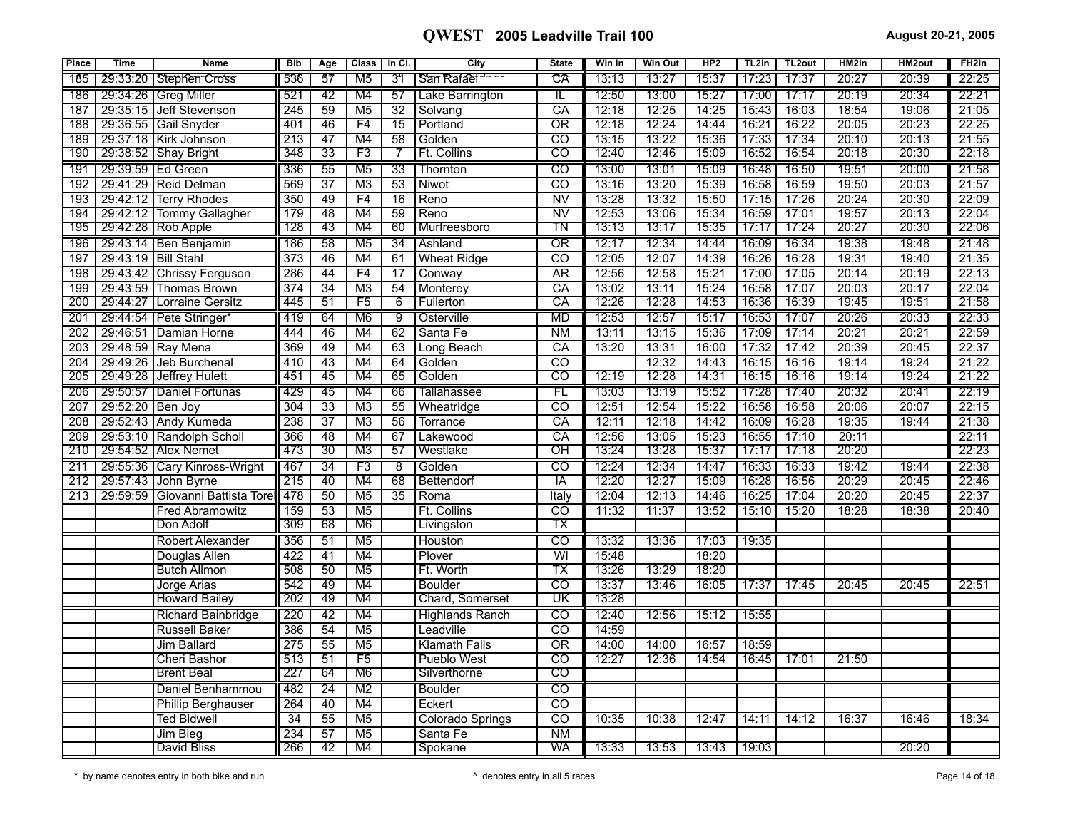| Place      | <b>Time</b>         | <b>Name</b>                              | <b>Bib</b>       | Age             | Class           | In CI.          | City                      | <b>State</b>                                | Win In | Win Out        | HP2            | TL2in          | TL <sub>2</sub> out | HM2in          | HM2out             | FH <sub>2</sub> in |
|------------|---------------------|------------------------------------------|------------------|-----------------|-----------------|-----------------|---------------------------|---------------------------------------------|--------|----------------|----------------|----------------|---------------------|----------------|--------------------|--------------------|
| 185        |                     | 29:33:20 Stephen Cross                   | 536              | 57              | M5              | 31              | San Rafael                | CA                                          | 13:13  | 13:27          | 15:37          | 17:23          | 17:37               | 20:27          | 20:39              | 22:25              |
| 186        |                     | 29:34:26   Greg Miller                   | 521              | 42              | M4              | 57              | Lake Barrington           | IL                                          | 12:50  | 13:00          | 15:27          | 17:00          | 17:17               | 20:19          | 20:34              | 22:21              |
| 187        | 29:35:15            | Jeff Stevenson                           | 245              | $\overline{59}$ | M <sub>5</sub>  | $\overline{32}$ | Solvang                   | CA                                          | 12:18  | 12:25          | 14:25          | 15:43          | 16:03               | 18:54          | 19:06              | 21:05              |
| 188        |                     | 29:36:55 Gail Snyder                     | 401              | 46              | F4              | $\overline{15}$ | Portland                  | $\overline{\text{OR}}$                      | 12:18  | 12:24          | 14:44          | 16:21          | 16:22               | 20:05          | 20:23              | 22:25              |
| 189        |                     | 29:37:18 Kirk Johnson                    | 213              | 47              | M4              | 58              | Golden                    | $\overline{co}$                             | 13:15  | 13:22          | 15:36          | 17:33          | 17:34               | 20:10          | 20:13              | 21:55              |
| 190        |                     | 29:38:52   Shay Bright                   | 348              | $\overline{33}$ | F3              |                 | <b>Ft. Collins</b>        | $\overline{\text{co}}$                      | 12:40  | 12:46          | 15:09          | 16:52          | 16:54               | 20:18          | 20:30              | 22:18              |
| 191        |                     | 29:39:59   Ed Green                      | 336              | 55              | M <sub>5</sub>  | $\overline{33}$ | Thornton                  | $\overline{C}$                              | 13:00  | 13:01          | 15:09          | 16:48          | 16:50               | 19:51          | 20:00              | 21:58              |
| 192        |                     | 29:41:29 Reid Delman                     | 569              | $\overline{37}$ | M <sub>3</sub>  | 53              | Niwot                     | $\overline{c}$                              | 13:16  | 13:20          | 15:39          | 16:58          | 16:59               | 19:50          | 20:03              | 21:57              |
| 193        | 29:42:12            | <b>Terry Rhodes</b>                      | 350              | 49              | F4              | $\overline{16}$ | Reno                      | $\overline{\text{NV}}$                      | 13:28  | 13:32          | 15:50          | 17:15          | 17:26               | 20:24          | 20:30              | 22:09              |
| 194        |                     | 29:42:12 Tommy Gallagher                 | 179              | 48              | M4              | 59              | Reno                      | $\overline{N}$                              | 12:53  | 13:06          | 15:34          | 16:59          | 17:01               | 19:57          | 20:13              | 22:04              |
| 195        |                     | 29:42:28 Rob Apple                       | 128              | 43              | M4              | 60              | Murfreesboro              | TN                                          | 13:13  | 13:17          | 15:35          | 17:17          | 17:24               | 20:27          | 20:30              | 22:06              |
| 196        |                     | 29:43:14   Ben Benjamin                  | 186              | 58              | M <sub>5</sub>  | 34              | Ashland                   | $\overline{OR}$                             | 12:17  | 12:34          | 14:44          | 16:09          | 16:34               | 19:38          | 19:48              | 21:48              |
| 197        | 29:43:19 Bill Stahl |                                          | $\overline{373}$ | 46              | M4              | 61              | <b>Wheat Ridge</b>        | $\overline{co}$                             | 12:05  | 12:07          | 14:39          | 16:26          | 16:28               | 19:31          | 19:40              | 21:35              |
| 198        |                     | 29:43:42 Chrissy Ferguson                | 286              | 44              | F4              | 17              | Conway                    | <b>AR</b>                                   | 12:56  | 12:58          | 15:21          | 17:00          | 17:05               | 20:14          | 20:19              | 22:13              |
| 199        |                     | 29:43:59 Thomas Brown                    | 374              | $\overline{34}$ | $\overline{M3}$ | 54              | Monterey                  | CA                                          | 13:02  | 13:11          | 15:24          | 16:58          | 17:07               | 20:03          | 20:17              | 22:04              |
| 200        | 29:44:27            | Lorraine Gersitz                         | 445              | 51              | F <sub>5</sub>  | 6               | <b>Fullerton</b>          | СA                                          | 12:26  | 12:28          | 14:53          | 16:36          | 16:39               | 19:45          | 19:51              | 21:58              |
| 201        |                     | 29:44:54   Pete Stringer*                | -419             | 64              | M6              | 9               | Osterville                | <b>MD</b>                                   | 12:53  | 12:57          | 15:17          | 16:53          | 17:07               | 20:26          | $\overline{20:33}$ | 22:33              |
| 202        | 29:46:51            | Damian Horne                             | 444              | 46              | M4              | 62              | Santa Fe                  | N <sub>M</sub>                              | 13:11  | 13:15          | 15:36          | 17:09          | 17:14               | 20:21          | 20:21              | 22:59              |
| 203        |                     | 29:48:59 Ray Mena                        | 369              | 49              | M4              | 63<br>64        | Long Beach                | CA                                          | 13:20  | 13:31<br>12:32 | 16:00<br>14:43 | 17:32<br>16:15 | 17:42<br>16:16      | 20:39<br>19:14 | 20:45<br>19:24     | 22:37<br>21:22     |
| 204<br>205 | 29:49:26            | Jeb Burchenal<br>29:49:28 Jeffrey Hulett | 410<br>451       | 43<br>45        | M4<br>M4        | 65              | Golden<br>Golden          | $\overline{co}$<br>$\overline{\mathrm{co}}$ | 12:19  | 12:28          | 14:31          | 16:15          | 16:16               | 19:14          | 19:24              | 21:22              |
|            |                     |                                          |                  | 45              |                 | 66              |                           | FL                                          | 13:03  | 13:19          | 15:52          | 17:28          | 17:40               | 20:32          | 20:41              | 22:19              |
| 206<br>207 | 29:52:20            | 29:50:57   Daniel Fortunas<br>Ben Joy    | 429<br>304       | $\overline{33}$ | M4<br>M3        | $\overline{55}$ | Tallahassee<br>Wheatridge | $\overline{co}$                             | 12:51  | 12:54          | 15:22          | 16:58          | 16:58               | 20:06          | 20:07              | 22:15              |
| 208        |                     | 29:52:43 Andy Kumeda                     | 238              | 37              | M <sub>3</sub>  | $\overline{56}$ | Torrance                  | $\overline{CA}$                             | 12:11  | 12:18          | 14:42          | 16:09          | 16:28               | 19:35          | 19:44              | 21:38              |
| 209        |                     | 29:53:10 Randolph Scholl                 | 366              | 48              | M4              | 67              | Lakewood                  | $\overline{CA}$                             | 12:56  | 13:05          | 15:23          | 16:55          | 17:10               | 20:11          |                    | 22:11              |
| 210        |                     | 29:54:52 Alex Nemet                      | 473              | 30              | M3              | 57              | Westlake                  | OΗ                                          | 13:24  | 13:28          | 15:37          | 17:17          | 17:18               | 20:20          |                    | 22:23              |
| 211        |                     | 29:55:36   Cary Kinross-Wright           | 467              | 34              | F3              | 8               | Golden                    | CO                                          | 12:24  | 12:34          | 14:47          | 16:33          | 16:33               | 19:42          | 19:44              | 22:38              |
| 212        | 29:57:43            | John Byrne                               | 215              | 40              | M4              | 68              | Bettendorf                | IA                                          | 12:20  | 12:27          | 15:09          | 16:28          | 16:56               | 20:29          | 20:45              | 22:46              |
| 213        | 29:59:59            | Giovanni Battista Torel                  | 478              | $\overline{50}$ | M <sub>5</sub>  | $\overline{35}$ | Roma                      | Italy                                       | 12:04  | 12:13          | 14:46          | 16:25          | 17:04               | 20:20          | 20:45              | 22:37              |
|            |                     | <b>Fred Abramowitz</b>                   | 159              | $\overline{53}$ | M <sub>5</sub>  |                 | Ft. Collins               | $\overline{CO}$                             | 11:32  | 11:37          | 13:52          | 15:10          | 15:20               | 18:28          | 18:38              | 20:40              |
|            |                     | Don Adolf                                | 309              | 68              | M6              |                 | Livingston                | ТX                                          |        |                |                |                |                     |                |                    |                    |
|            |                     | Robert Alexander                         | 356              | $\overline{51}$ | M <sub>5</sub>  |                 | Houston                   | $\overline{c}$                              | 13:32  | 13:36          | 17:03          | 19:35          |                     |                |                    |                    |
|            |                     | Douglas Allen                            | 422              | 41              | M4              |                 | Plover                    | WI                                          | 15:48  |                | 18:20          |                |                     |                |                    |                    |
|            |                     | <b>Butch Allmon</b>                      | 508              | 50              | M <sub>5</sub>  |                 | Ft. Worth                 | $\overline{\mathsf{TX}}$                    | 13:26  | 13:29          | 18:20          |                |                     |                |                    |                    |
|            |                     | Jorge Arias                              | 542              | 49              | M4              |                 | <b>Boulder</b>            | $\overline{\mathrm{co}}$                    | 13:37  | 13:46          | 16:05          | 17:37          | 17:45               | 20:45          | 20:45              | 22:51              |
|            |                     | <b>Howard Bailey</b>                     | 202              | 49              | M4              |                 | <b>Chard, Somerset</b>    | $\overline{\mathtt{U}}$ K                   | 13:28  |                |                |                |                     |                |                    |                    |
|            |                     | Richard Bainbridge                       | 220              | 42              | M4              |                 | <b>Highlands Ranch</b>    | $\overline{C}$                              | 12:40  | 12:56          | 15:12          | 15:55          |                     |                |                    |                    |
|            |                     | <b>Russell Baker</b>                     | 386              | $\overline{54}$ | M <sub>5</sub>  |                 | Leadville                 | $\overline{co}$                             | 14:59  |                |                |                |                     |                |                    |                    |
|            |                     | Jim Ballard                              | 275              | 55              | M <sub>5</sub>  |                 | <b>Klamath Falls</b>      | $\overline{\text{OR}}$                      | 14:00  | 14:00          | 16:57          | 18:59          |                     |                |                    |                    |
|            |                     | Cheri Bashor                             | 513              | $\overline{51}$ | F5              |                 | Pueblo West               | $\overline{CO}$                             | 12:27  | 12:36          | 14:54          | 16:45          | 17:01               | 21:50          |                    |                    |
|            |                     | <b>Brent Beal</b>                        | 227              | 64              | M6              |                 | Silverthorne              | $\overline{\text{co}}$                      |        |                |                |                |                     |                |                    |                    |
|            |                     | Daniel Benhammou                         | 482              | $\overline{24}$ | M <sub>2</sub>  |                 | <b>Boulder</b>            | $\overline{\text{co}}$                      |        |                |                |                |                     |                |                    |                    |
|            |                     | <b>Phillip Berghauser</b>                | 264              | 40              | M4              |                 | Eckert                    | $\overline{co}$                             |        |                |                |                |                     |                |                    |                    |
|            |                     | Ted Bidwell                              | $\overline{34}$  | $\overline{55}$ | M <sub>5</sub>  |                 | <b>Colorado Springs</b>   | टठ                                          | 10:35  | 10:38          | 12:47          | 14:11          | 14:12               | 16:37          | 16:46              | 18:34              |
|            |                     | Jim Bieg                                 | 234              | 57              | M <sub>5</sub>  |                 | Santa Fe                  | N <sub>M</sub>                              |        |                |                |                |                     |                |                    |                    |
|            |                     | David Bliss                              | 266              | 42              | M4              |                 | Spokane                   | WA                                          | 13:33  | 13:53          | 13:43          | 19:03          |                     |                | 20:20              |                    |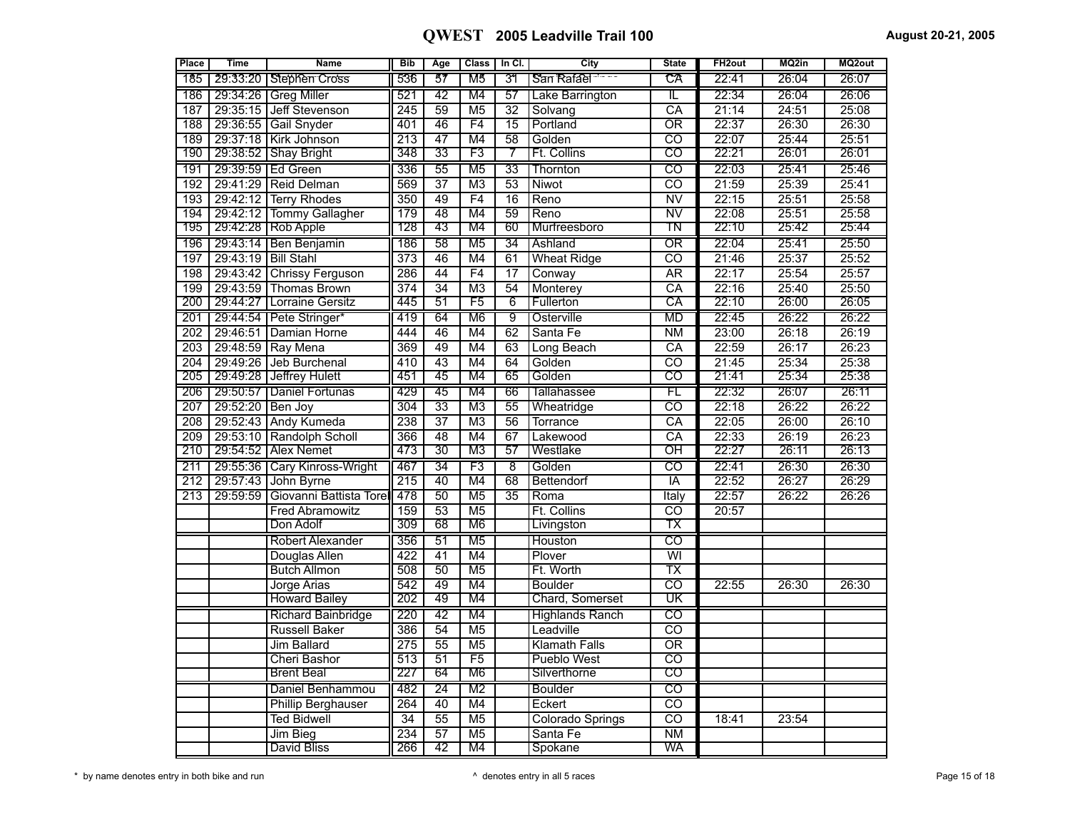| <b>Place</b>     | <b>Time</b>         | <b>Name</b>                    | <b>Bib</b>       | Age             | <b>Class</b>    | In Cl.          | City                    | <b>State</b>             | FH <sub>2out</sub> | MQ2in | MQ2out |
|------------------|---------------------|--------------------------------|------------------|-----------------|-----------------|-----------------|-------------------------|--------------------------|--------------------|-------|--------|
| 185 T            |                     | 29:33:20 Stephen Cross         | 536              | 57              | M5              | 31              | San Rafael              | CA                       | 22:41              | 26:04 | 26:07  |
|                  |                     | 186   29:34:26   Greg Miller   | 521              | $\overline{42}$ | M4              | 57              | Lake Barrington         | π                        | 22:34              | 26:04 | 26:06  |
| 187              |                     | 29:35:15 Jeff Stevenson        | 245              | 59              | M <sub>5</sub>  | $\overline{32}$ | Solvang                 | $\overline{CA}$          | 21:14              | 24:51 | 25:08  |
| 188              |                     | 29:36:55 Gail Snyder           | 401              | 46              | F4              | $\overline{15}$ | Portland                | $\overline{\text{OR}}$   | 22:37              | 26:30 | 26:30  |
| 189              |                     | 29:37:18 Kirk Johnson          | 213              | $\overline{47}$ | M4              | $\overline{58}$ | Golden                  | $\overline{\text{co}}$   | 22:07              | 25:44 | 25:51  |
| 190              |                     | 29:38:52 Shay Bright           | 348              | $\overline{33}$ | F3              | 7               | Ft. Collins             | $\overline{\mathrm{co}}$ | 22:21              | 26:01 | 26:01  |
| 191              |                     | 29:39:59   Ed Green            | 336              | 55              | M <sub>5</sub>  | 33              | Thornton                | $\overline{c}$           | 22:03              | 25:41 | 25:46  |
| 192              |                     | 29:41:29 Reid Delman           | 569              | $\overline{37}$ | M <sub>3</sub>  | 53              | Niwot                   | ਨਹ                       | 21:59              | 25:39 | 25:41  |
| 193              |                     | 29:42:12 Terry Rhodes          | 350              | 49              | F4              | $\overline{16}$ | Reno                    | $\overline{\text{NV}}$   | 22:15              | 25:51 | 25:58  |
| 194              |                     | 29:42:12 Tommy Gallagher       | 179              | 48              | M4              | 59              | Reno                    | $\overline{\text{NV}}$   | 22:08              | 25:51 | 25:58  |
| 195              |                     | 29:42:28 Rob Apple             | 128              | 43              | M4              | 60              | Murfreesboro            | TN                       | 22:10              | 25:42 | 25:44  |
| 196              |                     | 29:43:14   Ben Benjamin        | 186              | 58              | M <sub>5</sub>  | 34              | Ashland                 | $\overline{\text{OR}}$   | 22:04              | 25:41 | 25:50  |
| 197              | 29:43:19 Bill Stahl |                                | 373              | 46              | M4              | 61              | <b>Wheat Ridge</b>      | $\overline{co}$          | 21:46              | 25:37 | 25:52  |
| 198              |                     | 29:43:42 Chrissy Ferguson      | 286              | 44              | F4              | 17              | Conway                  | <b>AR</b>                | 22:17              | 25:54 | 25:57  |
| 199              |                     | 29:43:59 Thomas Brown          | 374              | $\overline{34}$ | M <sub>3</sub>  | 54              | Monterey                | CA                       | 22:16              | 25:40 | 25:50  |
| 200              |                     | 29:44:27 Lorraine Gersitz      | 445              | 51              | F <sub>5</sub>  | 6               | Fullerton               | СA                       | 22:10              | 26:00 | 26:05  |
| 201              |                     | 29:44:54   Pete Stringer*      | 419              | 64              | M <sub>6</sub>  | 9               | Osterville              | <b>MD</b>                | 22:45              | 26:22 | 26:22  |
| $\overline{202}$ |                     | 29:46:51 Damian Horne          | 444              | 46              | M4              | 62              | Santa Fe                | $\overline{\text{NM}}$   | 23:00              | 26:18 | 26:19  |
| 203              |                     | 29:48:59 Ray Mena              | 369              | 49              | M4              | 63              | Long Beach              | CA                       | 22:59              | 26:17 | 26:23  |
| 204              |                     | 29:49:26 Jeb Burchenal         | 410              | 43              | M4              | 64              | Golden                  | ਨਹ                       | 21:45              | 25:34 | 25:38  |
| 205              |                     | 29:49:28 Jeffrey Hulett        | 451              | 45              | M4              | 65              | Golden                  | $\overline{\text{co}}$   | 21:41              | 25:34 | 25:38  |
| 206              |                     | 29:50:57   Daniel Fortunas     | 429              | 45              | M4              | 66              | Tallahassee             | FL                       | 22:32              | 26:07 | 26:11  |
| 207              | 29:52:20 Ben Joy    |                                | 304              | $\overline{33}$ | M <sub>3</sub>  | 55              | Wheatridge              | $\overline{\text{co}}$   | 22:18              | 26:22 | 26:22  |
| 208              |                     | 29:52:43 Andy Kumeda           | 238              | $\overline{37}$ | M <sub>3</sub>  | $\overline{56}$ | Torrance                | $\overline{CA}$          | 22:05              | 26:00 | 26:10  |
| 209              |                     | 29:53:10 Randolph Scholl       | $\overline{366}$ | $\overline{48}$ | M4              | 67              | Lakewood                | CA                       | 22:33              | 26:19 | 26:23  |
| 210              |                     | 29:54:52 Alex Nemet            | 473              | 30              | MЗ              | 57              | Westlake                | ਾਸ                       | 22:27              | 26:11 | 26:13  |
| 211              |                     | 29:55:36   Cary Kinross-Wright | 467              | 34              | F3              | -8              | Golden                  | $\overline{c}$           | 22:41              | 26:30 | 26:30  |
| 212              |                     | 29:57:43 John Byrne            | $\overline{215}$ | 40              | M4              | 68              | Bettendorf              | ĪĀ                       | 22:52              | 26:27 | 26:29  |
| 213              | 29:59:59            | Giovanni Battista Torel        | 478              | $\overline{50}$ | M <sub>5</sub>  | $\overline{35}$ | Roma                    | Italy                    | 22:57              | 26:22 | 26:26  |
|                  |                     | <b>Fred Abramowitz</b>         | 159              | 53              | $\overline{M5}$ |                 | Ft. Collins             | $\overline{\text{co}}$   | 20:57              |       |        |
|                  |                     | Don Adolf                      | 309              | 68              | M <sub>6</sub>  |                 | Livingston              | ТX                       |                    |       |        |
|                  |                     | Robert Alexander               | 356              | $\overline{51}$ | M <sub>5</sub>  |                 | Houston                 | $\overline{\text{CO}}$   |                    |       |        |
|                  |                     | Douglas Allen                  | 422              | 41              | M4              |                 | Plover                  | $\overline{\mathsf{W}}$  |                    |       |        |
|                  |                     | <b>Butch Allmon</b>            | 508              | 50              | M <sub>5</sub>  |                 | Ft. Worth               | $\overline{\mathsf{TX}}$ |                    |       |        |
|                  |                     | Jorge Arias                    | 542              | 49              | M4              |                 | <b>Boulder</b>          | ਨਹ                       | 22:55              | 26:30 | 26:30  |
|                  |                     | <b>Howard Bailey</b>           | 202              | 49              | M4              |                 | Chard, Somerset         | $\overline{\mathtt{UK}}$ |                    |       |        |
|                  |                     | Richard Bainbridge             | 220              | 42              | M4              |                 | <b>Highlands Ranch</b>  | $\overline{c}$           |                    |       |        |
|                  |                     | <b>Russell Baker</b>           | 386              | $\overline{54}$ | M <sub>5</sub>  |                 | Leadville               | $\overline{\text{co}}$   |                    |       |        |
|                  |                     | <b>Jim Ballard</b>             | 275              | $\overline{55}$ | M <sub>5</sub>  |                 | <b>Klamath Falls</b>    | $\overline{\text{OR}}$   |                    |       |        |
|                  |                     | Cheri Bashor                   | 513              | 51              | F5              |                 | <b>Pueblo West</b>      | $\overline{co}$          |                    |       |        |
|                  |                     | <b>Brent Beal</b>              | 227              | 64              | M <sub>6</sub>  |                 | Silverthorne            | ငဝ                       |                    |       |        |
|                  |                     | Daniel Benhammou               | 482              | 24              | M <sub>2</sub>  |                 | <b>Boulder</b>          | $\overline{c}$           |                    |       |        |
|                  |                     | <b>Phillip Berghauser</b>      | 264              | 40              | M4              |                 | Eckert                  | $\overline{co}$          |                    |       |        |
|                  |                     | <b>Ted Bidwell</b>             | 34               | $\overline{55}$ | M <sub>5</sub>  |                 | <b>Colorado Springs</b> | $\overline{\text{co}}$   | 18:41              | 23:54 |        |
|                  |                     | Jim Bieg                       | 234              | $\overline{57}$ | $\overline{M5}$ |                 | Santa Fe                | $\overline{\text{NM}}$   |                    |       |        |
|                  |                     | David Bliss                    | 266              | 42              | M4              |                 | Spokane                 | WA                       |                    |       |        |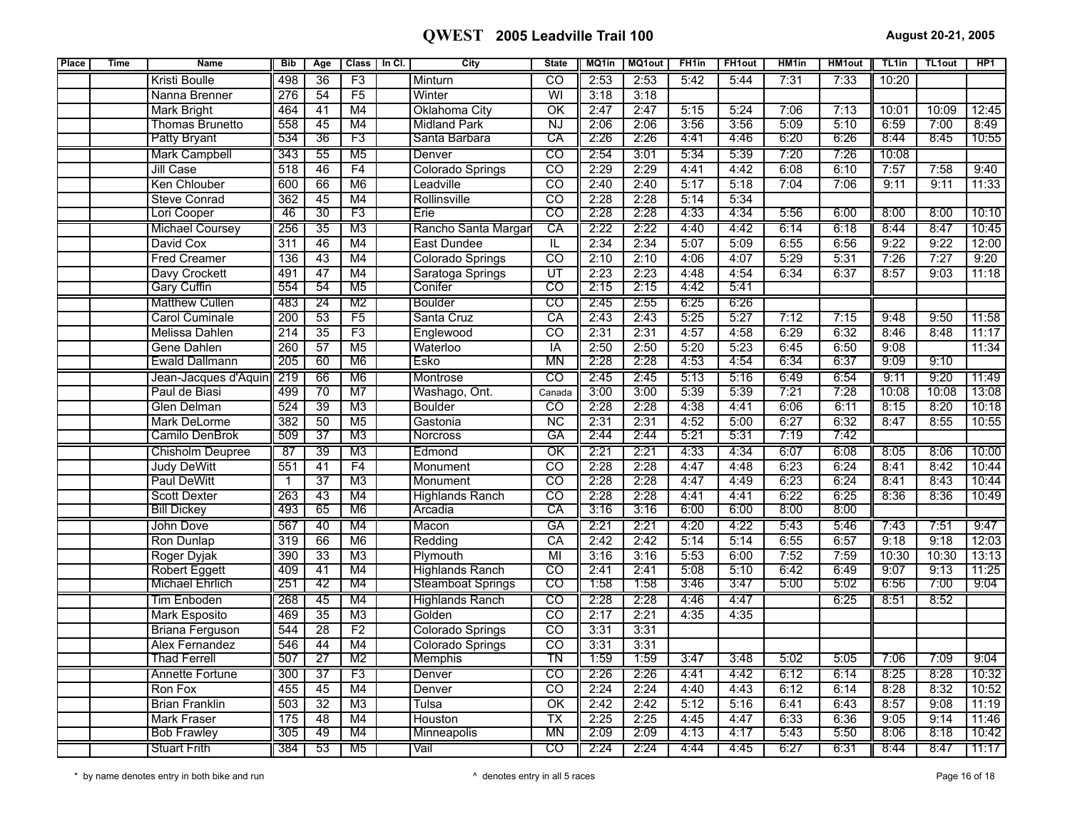| <b>Place</b> | <b>Time</b> | <b>Name</b>            | <b>Bib</b>       | Age             | Class           | In Cl. | City                     | <b>State</b>             | MQ1in | <b>MQ1out</b> | FH <sub>1in</sub> | <b>FH1out</b> | HM <sub>1in</sub> | <b>HM1out</b> | TL <sub>1in</sub> | <b>TL1out</b> | HP <sub>1</sub> |
|--------------|-------------|------------------------|------------------|-----------------|-----------------|--------|--------------------------|--------------------------|-------|---------------|-------------------|---------------|-------------------|---------------|-------------------|---------------|-----------------|
|              |             | Kristi Boulle          | 498              | 36              | F3              |        | Minturn                  | $\overline{co}$          | 2:53  | 2:53          | 5:42              | 5:44          | 7:31              | 7:33          | 10:20             |               |                 |
|              |             | Nanna Brenner          | 276              | 54              | F5              |        | Winter                   | $\overline{\mathsf{W}}$  | 3:18  | 3:18          |                   |               |                   |               |                   |               |                 |
|              |             | <b>Mark Bright</b>     | 464              | $\overline{41}$ | M4              |        | Oklahoma City            | $\overline{\mathsf{OK}}$ | 2:47  | 2:47          | 5:15              | 5:24          | 7:06              | 7:13          | 10:01             | 10:09         | 12:45           |
|              |             | <b>Thomas Brunetto</b> | 558              | 45              | M4              |        | <b>Midland Park</b>      | $\overline{NJ}$          | 2:06  | 2:06          | 3:56              | 3:56          | 5:09              | 5:10          | 6:59              | 7:00          | 8:49            |
|              |             | <b>Patty Bryant</b>    | 534              | 36              | F3              |        | Santa Barbara            | СA                       | 2:26  | 2:26          | 4:41              | 4:46          | 6:20              | 6:26          | 8:44              | 8:45          | 10:55           |
|              |             | <b>Mark Campbell</b>   | 343              | 55              | M <sub>5</sub>  |        | Denver                   | $\overline{c}$           | 2:54  | 3:01          | 5:34              | 5:39          | 7:20              | 7:26          | 10:08             |               |                 |
|              |             | Jill Case              | 518              | 46              | F4              |        | Colorado Springs         | $\overline{CO}$          | 2:29  | 2:29          | 4:41              | 4:42          | 6:08              | 6:10          | 7:57              | 7:58          | 9:40            |
|              |             | Ken Chlouber           | 600              | 66              | M <sub>6</sub>  |        | Leadville                | $\overline{\mathrm{co}}$ | 2:40  | 2:40          | 5:17              | 5:18          | 7:04              | 7:06          | 9:11              | 9:11          | 11:33           |
|              |             | <b>Steve Conrad</b>    | 362              | 45              | M4              |        | Rollinsville             | $\overline{CO}$          | 2:28  | 2:28          | 5:14              | 5:34          |                   |               |                   |               |                 |
|              |             | Lori Cooper            | 46               | 30              | F3              |        | Erie                     | CO                       | 2:28  | 2:28          | 4:33              | 4:34          | 5:56              | 6:00          | 8:00              | 8:00          | 10:10           |
|              |             | <b>Michael Coursey</b> | 256              | $\overline{35}$ | M <sub>3</sub>  |        | Rancho Santa Margar      | CA                       | 2:22  | 2:22          | 4:40              | 4:42          | 6:14              | 6:18          | 8:44              | 8:47          | 10:45           |
|              |             | David Cox              | $\overline{311}$ | $\overline{46}$ | M4              |        | East Dundee              | IL.                      | 2:34  | 2:34          | 5:07              | 5:09          | 6:55              | 6:56          | 9:22              | 9:22          | 12:00           |
|              |             | <b>Fred Creamer</b>    | 136              | 43              | M4              |        | Colorado Springs         | $\overline{co}$          | 2:10  | 2:10          | 4:06              | 4:07          | 5:29              | 5:31          | 7:26              | 7:27          | 9:20            |
|              |             | Davy Crockett          | 491              | 47              | M4              |        | Saratoga Springs         | UT                       | 2:23  | 2:23          | 4:48              | 4:54          | 6:34              | 6:37          | 8:57              | 9:03          | 11:18           |
|              |             | <b>Gary Cuffin</b>     | 554              | 54              | M <sub>5</sub>  |        | Conifer                  | $\overline{\mathrm{co}}$ | 2:15  | 2:15          | 4:42              | 5:41          |                   |               |                   |               |                 |
|              |             | <b>Matthew Cullen</b>  | 483              | $\overline{24}$ | M <sub>2</sub>  |        | Boulder                  | $\overline{C}$           | 2:45  | 2:55          | 6:25              | 6:26          |                   |               |                   |               |                 |
|              |             | <b>Carol Cuminale</b>  | 200              | 53              | F5              |        | Santa Cruz               | $\overline{CA}$          | 2:43  | 2:43          | 5:25              | 5:27          | 7:12              | 7:15          | 9:48              | 9:50          | 11:58           |
|              |             | <b>Melissa Dahlen</b>  | $\overline{214}$ | $\overline{35}$ | F3              |        | Englewood                | $\overline{co}$          | 2:31  | 2:31          | 4:57              | 4:58          | 6:29              | 6:32          | 8:46              | 8:48          | 11:17           |
|              |             | <b>Gene Dahlen</b>     | 260              | 57              | M <sub>5</sub>  |        | Waterloo                 | $\overline{IA}$          | 2:50  | 2:50          | 5:20              | 5:23          | 6:45              | 6:50          | 9:08              |               | 11:34           |
|              |             | <b>Ewald Dallmann</b>  | 205              | 60              | M6              |        | Esko                     | ΜN                       | 2:28  | 2:28          | 4:53              | 4:54          | 6:34              | 6:37          | 9:09              | 9:10          |                 |
|              |             | Jean-Jacques d'Aquin   | 219              | 66              | M <sub>6</sub>  |        | Montrose                 | $\overline{c}$           | 2:45  | 2:45          | 5:13              | 5:16          | 6:49              | 6:54          | 9:11              | 9:20          | 11:49           |
|              |             | Paul de Biasi          | 499              | $\overline{70}$ | M <sub>7</sub>  |        | Washago, Ont.            | Canada                   | 3:00  | 3:00          | 5:39              | 5:39          | 7:21              | 7:28          | 10:08             | 10:08         | 13:08           |
|              |             | <b>Glen Delman</b>     | 524              | $\overline{39}$ | M3              |        | <b>Boulder</b>           | $\overline{co}$          | 2:28  | 2:28          | 4:38              | 4:41          | 6:06              | 6:11          | 8:15              | 8:20          | 10:18           |
|              |             | Mark DeLorme           | 382              | 50              | M <sub>5</sub>  |        | Gastonia                 | <b>NC</b>                | 2:31  | 2:31          | 4:52              | 5:00          | 6:27              | 6:32          | 8:47              | 8:55          | 10:55           |
|              |             | Camilo DenBrok         | 509              | 37              | M3              |        | Norcross                 | GA                       | 2:44  | 2:44          | 5:21              | 5:31          | 7:19              | 7:42          |                   |               |                 |
|              |             | Chisholm Deupree       | $\overline{87}$  | 39              | M3              |        | Edmond                   | $\overline{\text{OK}}$   | 2:21  | 2:21          | 4:33              | 4:34          | 6:07              | 6:08          | 8:05              | 8:06          | 10:00           |
|              |             | <b>Judy DeWitt</b>     | 551              | $\overline{41}$ | F4              |        | Monument                 | $\overline{CO}$          | 2:28  | 2:28          | 4:47              | 4:48          | 6:23              | 6:24          | 8:41              | 8:42          | 10:44           |
|              |             | <b>Paul DeWitt</b>     | $\mathbf{1}$     | $\overline{37}$ | M <sub>3</sub>  |        | Monument                 | $\overline{co}$          | 2:28  | 2:28          | 4:47              | 4:49          | 6:23              | 6:24          | 8:41              | 8:43          | 10:44           |
|              |             | <b>Scott Dexter</b>    | 263              | 43              | M4              |        | <b>Highlands Ranch</b>   | CO                       | 2:28  | 2:28          | 4:41              | 4:41          | 6:22              | 6:25          | 8:36              | 8:36          | 10:49           |
|              |             | <b>Bill Dickey</b>     | 493              | 65              | M6              |        | Arcadia                  | CA                       | 3:16  | 3:16          | 6:00              | 6:00          | 8:00              | 8:00          |                   |               |                 |
|              |             | John Dove              | 567              | 40              | M4              |        | Macon                    | GA                       | 2:21  | 2:21          | 4:20              | 4:22          | 5:43              | 5:46          | 7:43              | 7:51          | 9:47            |
|              |             | Ron Dunlap             | 319              | 66              | M6              |        | Redding                  | CA                       | 2:42  | 2:42          | 5:14              | 5:14          | 6:55              | 6:57          | 9:18              | 9:18          | 12:03           |
|              |             | Roger Dyjak            | 390              | $\overline{33}$ | $\overline{M3}$ |        | Plymouth                 | $\overline{M}$           | 3:16  | 3:16          | 5:53              | 6:00          | 7:52              | 7:59          | 10:30             | 10:30         | 13:13           |
|              |             | <b>Robert Eggett</b>   | 409              | 41              | M4              |        | <b>Highlands Ranch</b>   | $\overline{CO}$          | 2:41  | 2:41          | 5:08              | 5:10          | 6:42              | 6:49          | 9:07              | 9:13          | 11:25           |
|              |             | Michael Ehrlich        | 251              | 42              | M4              |        | <b>Steamboat Springs</b> | CO                       | 1:58  | 1:58          | 3:46              | 3:47          | 5:00              | 5:02          | 6:56              | 7:00          | 9:04            |
|              |             | Tim Enboden            | 268              | 45              | M4              |        | <b>Highlands Ranch</b>   | $\overline{c}$           | 2:28  | 2:28          | 4:46              | 4:47          |                   | 6:25          | 8:51              | 8:52          |                 |
|              |             | <b>Mark Esposito</b>   | 469              | 35              | M3              |        | Golden                   | $\overline{CO}$          | 2:17  | 2:21          | 4:35              | 4:35          |                   |               |                   |               |                 |
|              |             | <b>Briana Ferguson</b> | 544              | $\overline{28}$ | F2              |        | Colorado Springs         | CO                       | 3:31  | 3:31          |                   |               |                   |               |                   |               |                 |
|              |             | Alex Fernandez         | 546              | 44              | M4              |        | Colorado Springs         | $\overline{\text{co}}$   | 3:31  | 3:31          |                   |               |                   |               |                   |               |                 |
|              |             | <b>Thad Ferrell</b>    | 507              | 27              | M2              |        | Memphis                  | TN                       | 1:59  | 1:59          | 3:47              | 3:48          | 5:02              | 5:05          | 7:06              | 7:09          | 9:04            |
|              |             | Annette Fortune        | 300              | 37              | F3              |        | Denver                   | $\overline{c}$           | 2:26  | 2:26          | 4:41              | 4:42          | 6:12              | 6:14          | 8:25              | 8:28          | 10:32           |
|              |             | Ron Fox                | 455              | 45              | M4              |        | Denver                   | $\overline{co}$          | 2:24  | 2:24          | 4:40              | 4:43          | 6:12              | 6:14          | 8:28              | 8:32          | 10:52           |
|              |             | <b>Brian Franklin</b>  | 503              | $\overline{32}$ | M3              |        | Tulsa                    | $\overline{\text{OK}}$   | 2:42  | 2:42          | 5:12              | 5:16          | 6:41              | 6:43          | 8:57              | 9:08          | 11:19           |
|              |             | <b>Mark Fraser</b>     | 175              | 48              | M4              |        | Houston                  | $\overline{\mathsf{TX}}$ | 2:25  | 2:25          | 4:45              | 4:47          | 6:33              | 6:36          | 9:05              | 9:14          | 11:46           |
|              |             | <b>Bob Frawley</b>     | 305              | 49              | M4              |        | Minneapolis              | MN                       | 2:09  | 2:09          | 4:13              | 4:17          | 5:43              | 5:50          | 8:06              | 8:18          | 10:42           |
|              |             | <b>Stuart Frith</b>    | 384              | 53              | M <sub>5</sub>  |        | <b>Vail</b>              | $\overline{c}$           | 2:24  | 2:24          | 4:44              | 4:45          | 6:27              | 6:31          | 8:44              | 8:47          | 11:17           |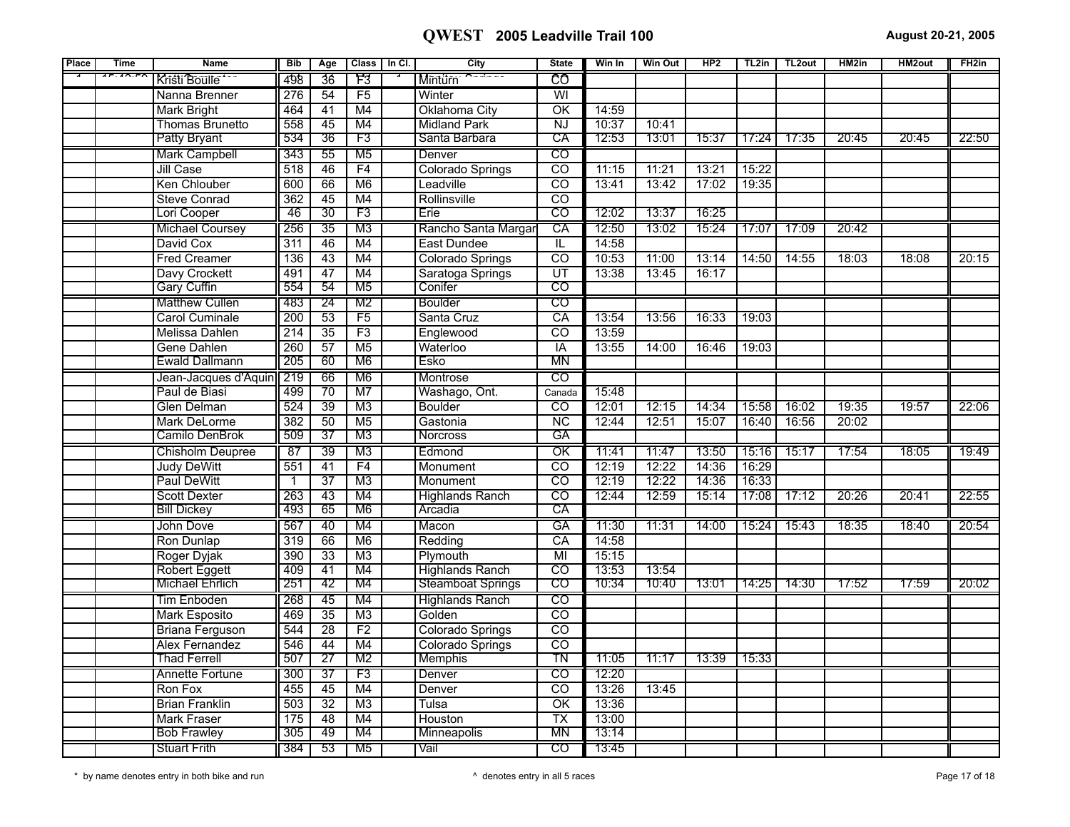| Place | <b>Time</b>   | <b>Name</b>             | <b>Bib</b>       | Age             | Class   In Cl.  | City                     | <b>State</b>            | Win In | Win Out | HP2   | TL2in | TL <sub>2</sub> out | HM2in             | <b>HM2out</b> | FH <sub>2in</sub> |
|-------|---------------|-------------------------|------------------|-----------------|-----------------|--------------------------|-------------------------|--------|---------|-------|-------|---------------------|-------------------|---------------|-------------------|
|       | $F: A \cap F$ | Kristi Boulle           | 498              | 36              | F3              | <b>Minturn</b>           | CO                      |        |         |       |       |                     |                   |               |                   |
|       |               | Nanna Brenner           | 276              | 54              | F5              | Winter                   | $\overline{\mathsf{W}}$ |        |         |       |       |                     |                   |               |                   |
|       |               | <b>Mark Bright</b>      | 464              | $\overline{41}$ | M4              | Oklahoma City            | $\overline{\alpha}$     | 14:59  |         |       |       |                     |                   |               |                   |
|       |               | Thomas Brunetto         | 558              | 45              | M4              | <b>Midland Park</b>      | NJ                      | 10:37  | 10:41   |       |       |                     |                   |               |                   |
|       |               | <b>Patty Bryant</b>     | 534              | 36              | F3              | Santa Barbara            | CA                      | 12:53  | 13:01   | 15:37 | 17:24 | 17:35               | 20:45             | 20:45         | 22:50             |
|       |               | <b>Mark Campbell</b>    | 343              | 55              | M <sub>5</sub>  | Denver                   | CO                      |        |         |       |       |                     |                   |               |                   |
|       |               | <b>Jill Case</b>        | 518              | 46              | F4              | Colorado Springs         | $\overline{co}$         | 11:15  | 11:21   | 13:21 | 15:22 |                     |                   |               |                   |
|       |               | Ken Chlouber            | 600              | 66              | M6              | Leadville                | $\overline{co}$         | 13:41  | 13:42   | 17:02 | 19:35 |                     |                   |               |                   |
|       |               | <b>Steve Conrad</b>     | 362              | $\overline{45}$ | M4              | Rollinsville             | $\overline{co}$         |        |         |       |       |                     |                   |               |                   |
|       |               | Lori Cooper             | 46               | 30              | F3              | Erie                     | $\overline{c}$          | 12:02  | 13:37   | 16:25 |       |                     |                   |               |                   |
|       |               | <b>Michael Coursey</b>  | 256              | $\overline{35}$ | M3              | Rancho Santa Margar      | CA                      | 12:50  | 13:02   | 15:24 | 17:07 | 17:09               | 20:42             |               |                   |
|       |               | David Cox               | $\overline{311}$ | 46              | M4              | East Dundee              | $\overline{\mathbb{L}}$ | 14:58  |         |       |       |                     |                   |               |                   |
|       |               | <b>Fred Creamer</b>     | 136              | 43              | M4              | Colorado Springs         | $\overline{CO}$         | 10:53  | 11:00   | 13:14 | 14:50 | 14:55               | 18:03             | 18:08         | 20:15             |
|       |               | Davy Crockett           | 491              | 47              | M4              | Saratoga Springs         | $\overline{UT}$         | 13:38  | 13:45   | 16:17 |       |                     |                   |               |                   |
|       |               | <b>Gary Cuffin</b>      | 554              | 54              | M <sub>5</sub>  | Conifer                  | $\overline{\rm co}$     |        |         |       |       |                     |                   |               |                   |
|       |               | <b>Matthew Cullen</b>   | 483              | 24              | M2              | Boulder                  | $\overline{c}$          |        |         |       |       |                     |                   |               |                   |
|       |               | <b>Carol Cuminale</b>   | 200              | 53              | F5              | Santa Cruz               | CA                      | 13:54  | 13:56   | 16:33 | 19:03 |                     |                   |               |                   |
|       |               | Melissa Dahlen          | $\overline{214}$ | $\overline{35}$ | $\overline{F3}$ | Englewood                | $\overline{co}$         | 13:59  |         |       |       |                     |                   |               |                   |
|       |               | <b>Gene Dahlen</b>      | 260              | $\overline{57}$ | M <sub>5</sub>  | Waterloo                 | <b>IA</b>               | 13:55  | 14:00   | 16:46 | 19:03 |                     |                   |               |                   |
|       |               | <b>Ewald Dallmann</b>   | 205              | 60              | M6              | Esko                     | MN                      |        |         |       |       |                     |                   |               |                   |
|       |               | Jean-Jacques d'Aquin    | 219              | 66              | M6              | Montrose                 | CO                      |        |         |       |       |                     |                   |               |                   |
|       |               | Paul de Biasi           | 499              | $\overline{70}$ | M <sub>7</sub>  | Washago, Ont.            | Canada                  | 15:48  |         |       |       |                     |                   |               |                   |
|       |               | <b>Glen Delman</b>      | 524              | 39              | $\overline{M3}$ | <b>Boulder</b>           | $\overline{co}$         | 12:01  | 12:15   | 14:34 | 15:58 | 16:02               | 19:35             | 19:57         | 22:06             |
|       |               | Mark DeLorme            | 382              | $\overline{50}$ | M <sub>5</sub>  | Gastonia                 | $\overline{NC}$         | 12:44  | 12:51   | 15:07 | 16:40 | 16:56               | 20:02             |               |                   |
|       |               | Camilo DenBrok          | 509              | 37              | M3              | <b>Norcross</b>          | GA                      |        |         |       |       |                     |                   |               |                   |
|       |               | <b>Chisholm Deupree</b> | 87               | 39              | M3              | Edmond                   | $\overline{\text{OK}}$  | 11:41  | 11:47   | 13:50 | 15:16 | 15:17               | 17:54             | 18:05         | 19:49             |
|       |               | <b>Judy DeWitt</b>      | 551              | $\overline{41}$ | F4              | Monument                 | $\overline{CO}$         | 12:19  | 12:22   | 14:36 | 16:29 |                     |                   |               |                   |
|       |               | <b>Paul DeWitt</b>      | $\overline{1}$   | $\overline{37}$ | M3              | Monument                 | $\overline{co}$         | 12:19  | 12:22   | 14:36 | 16:33 |                     |                   |               |                   |
|       |               | <b>Scott Dexter</b>     | 263              | 43              | M4              | <b>Highlands Ranch</b>   | $\overline{co}$         | 12:44  | 12:59   | 15:14 | 17:08 | 17:12               | 20:26             | 20:41         | 22:55             |
|       |               | <b>Bill Dickey</b>      | 493              | 65              | M6              | Arcadia                  | $\overline{CA}$         |        |         |       |       |                     |                   |               |                   |
|       |               | John Dove               | 567              | 40              | M4              | Macon                    | GA                      | 11:30  | 11:31   | 14:00 | 15:24 | 15:43               | $\frac{1}{18:35}$ | 18:40         | 20:54             |
|       |               | Ron Dunlap              | 319              | 66              | M6              | Redding                  | CA                      | 14:58  |         |       |       |                     |                   |               |                   |
|       |               | Roger Dyjak             | 390              | $\overline{33}$ | $\overline{M3}$ | Plymouth                 | M <sub>l</sub>          | 15:15  |         |       |       |                     |                   |               |                   |
|       |               | <b>Robert Eggett</b>    | 409              | 41              | M4              | <b>Highlands Ranch</b>   | $\overline{co}$         | 13:53  | 13:54   |       |       |                     |                   |               |                   |
|       |               | <b>Michael Ehrlich</b>  | 251              | 42              | M4              | <b>Steamboat Springs</b> | CO                      | 10:34  | 10:40   | 13:01 | 14:25 | 14:30               | 17:52             | 17:59         | 20:02             |
|       |               | Tim Enboden             | 268              | 45              | M4              | <b>Highlands Ranch</b>   | $\overline{c}$          |        |         |       |       |                     |                   |               |                   |
|       |               | <b>Mark Esposito</b>    | 469              | $\overline{35}$ | M3              | Golden                   | $\overline{co}$         |        |         |       |       |                     |                   |               |                   |
|       |               | <b>Briana Ferguson</b>  | 544              | $\overline{28}$ | F <sub>2</sub>  | Colorado Springs         | <sub>CO</sub>           |        |         |       |       |                     |                   |               |                   |
|       |               | <b>Alex Fernandez</b>   | 546              | 44              | M4              | Colorado Springs         | $\overline{co}$         |        |         |       |       |                     |                   |               |                   |
|       |               | <b>Thad Ferrell</b>     | 507              | 27              | M2              | <b>Memphis</b>           | TN                      | 11:05  | 11:17   | 13:39 | 15:33 |                     |                   |               |                   |
|       |               | Annette Fortune         | 300              | 37              | F3              | Denver                   | $\overline{c}$          | 12:20  |         |       |       |                     |                   |               |                   |
|       |               | Ron Fox                 | 455              | 45              | M4              | Denver                   | $\overline{co}$         | 13:26  | 13:45   |       |       |                     |                   |               |                   |
|       |               | <b>Brian Franklin</b>   | 503              | $\overline{32}$ | M3              | Tulsa                    | $\overline{OK}$         | 13:36  |         |       |       |                     |                   |               |                   |
|       |               | Mark Fraser             | 175              | 48              | M4              | Houston                  | <b>TX</b>               | 13:00  |         |       |       |                     |                   |               |                   |
|       |               | <b>Bob Frawley</b>      | 305              | 49              | M4              | <b>Minneapolis</b>       | <b>MN</b>               | 13:14  |         |       |       |                     |                   |               |                   |
|       |               | <b>Stuart Frith</b>     | 384              | 53              | M <sub>5</sub>  | Vail                     | $\overline{c}$          | 13:45  |         |       |       |                     |                   |               |                   |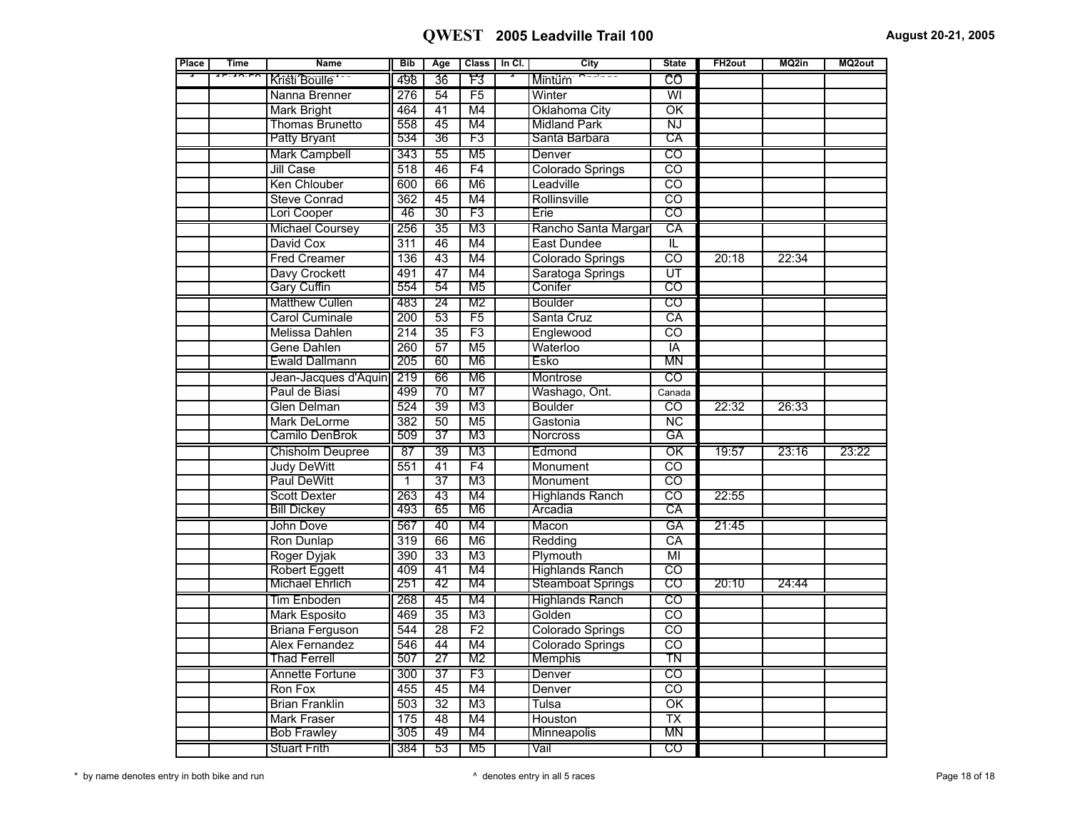| Place | <b>Time</b> | <b>Name</b>            | <b>Bib</b>       | Age             |                 | Class   In Cl. | City                     | <b>State</b>             | FH <sub>2out</sub> | MQ2in | MQ2out |
|-------|-------------|------------------------|------------------|-----------------|-----------------|----------------|--------------------------|--------------------------|--------------------|-------|--------|
|       | 17.10.70    | Kristi Boulle          | 498              | 36              | F3              |                | Mintürn                  | ĈÔ                       |                    |       |        |
|       |             | Nanna Brenner          | 276              | 54              | F5              |                | Winter                   | $\overline{\mathsf{W}}$  |                    |       |        |
|       |             | <b>Mark Bright</b>     | 464              | $\overline{41}$ | M4              |                | Oklahoma City            | $\overline{\text{OK}}$   |                    |       |        |
|       |             | <b>Thomas Brunetto</b> | 558              | 45              | M4              |                | <b>Midland Park</b>      | NJ                       |                    |       |        |
|       |             | <b>Patty Bryant</b>    | 534              | 36              | F3              |                | Santa Barbara            | CA                       |                    |       |        |
|       |             | <b>Mark Campbell</b>   | 343              | 55              | M5              |                | Denver                   | CO                       |                    |       |        |
|       |             | Jill Case              | 518              | 46              | F4              |                | Colorado Springs         | $\overline{CO}$          |                    |       |        |
|       |             | Ken Chlouber           | 600              | $\overline{66}$ | M6              |                | Leadville                | $\overline{co}$          |                    |       |        |
|       |             | <b>Steve Conrad</b>    | $\overline{362}$ | $\overline{45}$ | M4              |                | Rollinsville             | $\overline{\text{co}}$   |                    |       |        |
|       |             | Lori Cooper            | 46               | 30              | F3              |                | Erie                     | $\overline{CO}$          |                    |       |        |
|       |             | <b>Michael Coursey</b> | 256              | $\overline{35}$ | M <sub>3</sub>  |                | Rancho Santa Margar      | CA                       |                    |       |        |
|       |             | David Cox              | 311              | 46              | M4              |                | <b>East Dundee</b>       | π                        |                    |       |        |
|       |             | <b>Fred Creamer</b>    | 136              | 43              | M4              |                | Colorado Springs         | $\overline{co}$          | 20:18              | 22:34 |        |
|       |             | Davy Crockett          | 491              | 47              | M4              |                | Saratoga Springs         | $\overline{\mathtt{UT}}$ |                    |       |        |
|       |             | <b>Gary Cuffin</b>     | 554              | 54              | M <sub>5</sub>  |                | Conifer                  | $\overline{\text{co}}$   |                    |       |        |
|       |             | <b>Matthew Cullen</b>  | 483              | $\overline{24}$ | M <sub>2</sub>  |                | Boulder                  | $\overline{CO}$          |                    |       |        |
|       |             | <b>Carol Cuminale</b>  | 200              | $\overline{53}$ | F5              |                | Santa Cruz               | CA                       |                    |       |        |
|       |             | <b>Melissa Dahlen</b>  | 214              | $\overline{35}$ | $\overline{F3}$ |                | Englewood                | $\overline{co}$          |                    |       |        |
|       |             | Gene Dahlen            | 260              | 57              | M <sub>5</sub>  |                | Waterloo                 | IA                       |                    |       |        |
|       |             | Ewald Dallmann         | 205              | 60              | M <sub>6</sub>  |                | Esko                     | ΜN                       |                    |       |        |
|       |             | Jean-Jacques d'Aquin   | 219              | 66              | M <sub>6</sub>  |                | Montrose                 | $\overline{\text{co}}$   |                    |       |        |
|       |             | Paul de Biasi          | 499              | $\overline{70}$ | M <sub>7</sub>  |                | Washago, Ont.            | Canada                   |                    |       |        |
|       |             | <b>Glen Delman</b>     | 524              | 39              | M3              |                | <b>Boulder</b>           | $\overline{co}$          | 22:32              | 26:33 |        |
|       |             | Mark DeLorme           | 382              | $\overline{50}$ | $\overline{M5}$ |                | Gastonia                 | $\overline{\text{NC}}$   |                    |       |        |
|       |             | Camilo DenBrok         | 509              | $\overline{37}$ | M <sub>3</sub>  |                | <b>Norcross</b>          | GА                       |                    |       |        |
|       |             | Chisholm Deupree       | $\overline{87}$  | 39              | M <sub>3</sub>  |                | Edmond                   | $\overline{\text{OK}}$   | 19:57              | 23:16 | 23:22  |
|       |             | <b>Judy DeWitt</b>     | 551              | 41              | F4              |                | Monument                 | $\overline{\mathrm{co}}$ |                    |       |        |
|       |             | <b>Paul DeWitt</b>     | 1                | $\overline{37}$ | M <sub>3</sub>  |                | Monument                 | $\overline{co}$          |                    |       |        |
|       |             | <b>Scott Dexter</b>    | $\overline{263}$ | 43              | M4              |                | <b>Highlands Ranch</b>   | $\overline{\mathrm{co}}$ | 22:55              |       |        |
|       |             | <b>Bill Dickey</b>     | 493              | 65              | M6              |                | Arcadia                  | СĀ                       |                    |       |        |
|       |             | John Dove              | 567              | 40              | M4              |                | Macon                    | GA                       | 21:45              |       |        |
|       |             | Ron Dunlap             | 319              | 66              | M6              |                | Redding                  | CA                       |                    |       |        |
|       |             | Roger Dyjak            | 390              | $\overline{33}$ | $\overline{M3}$ |                | Plymouth                 | $\overline{\mathsf{MI}}$ |                    |       |        |
|       |             | <b>Robert Eggett</b>   | 409              | $\overline{41}$ | M4              |                | <b>Highlands Ranch</b>   | $\overline{co}$          |                    |       |        |
|       |             | <b>Michael Ehrlich</b> | 251              | 42              | M4              |                | <b>Steamboat Springs</b> | $\overline{\mathrm{co}}$ | 20:10              | 24:44 |        |
|       |             | <b>Tim Enboden</b>     | 268              | 45              | M4              |                | <b>Highlands Ranch</b>   | $\overline{CO}$          |                    |       |        |
|       |             | <b>Mark Esposito</b>   | 469              | $\overline{35}$ | M3              |                | Golden                   | $\overline{co}$          |                    |       |        |
|       |             | <b>Briana Ferguson</b> | 544              | $\overline{28}$ | F <sub>2</sub>  |                | Colorado Springs         | $\overline{co}$          |                    |       |        |
|       |             | <b>Alex Fernandez</b>  | 546              | 44              | M4              |                | Colorado Springs         | $\overline{\text{co}}$   |                    |       |        |
|       |             | <b>Thad Ferrell</b>    | 507              | 27              | M <sub>2</sub>  |                | Memphis                  | TN                       |                    |       |        |
|       |             | Annette Fortune        | 300              | $\overline{37}$ | F3              |                | Denver                   | $\overline{\text{co}}$   |                    |       |        |
|       |             | Ron Fox                | 455              | 45              | M4              |                | Denver                   | $\overline{\mathrm{co}}$ |                    |       |        |
|       |             | <b>Brian Franklin</b>  | 503              | $\overline{32}$ | M <sub>3</sub>  |                | Tulsa                    | $\overline{\text{OK}}$   |                    |       |        |
|       |             | <b>Mark Fraser</b>     | 175              | 48              | M4              |                | Houston                  | $\overline{\text{TX}}$   |                    |       |        |
|       |             | <b>Bob Frawley</b>     | 305              | 49              | M4              |                | Minneapolis              | <b>MN</b>                |                    |       |        |
|       |             | <b>Stuart Frith</b>    | 384              | 53              | M <sub>5</sub>  |                | Vail                     | $\overline{co}$          |                    |       |        |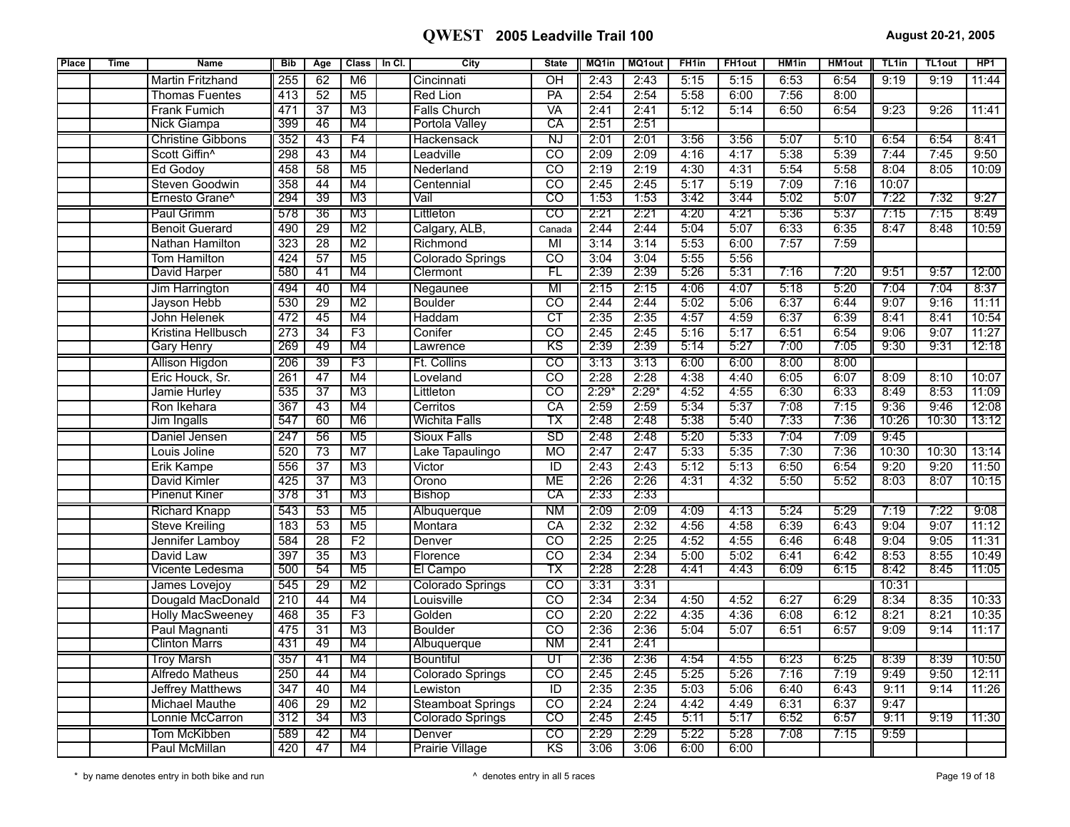| Place | <b>Time</b> | <b>Name</b>                | <b>Bib</b>       | Age             | <b>Class</b>    | In CI. | City                     | <b>State</b>             | MQ1in   | <b>MQ1out</b> | FH <sub>1in</sub> | FH <sub>1</sub> out | HM1in | <b>HM1out</b> | TL <sub>1in</sub> | TL1out | HP <sub>1</sub> |
|-------|-------------|----------------------------|------------------|-----------------|-----------------|--------|--------------------------|--------------------------|---------|---------------|-------------------|---------------------|-------|---------------|-------------------|--------|-----------------|
|       |             | <b>Martin Fritzhand</b>    | 255              | 62              | M6              |        | Cincinnati               | $\overline{OH}$          | 2:43    | 2:43          | 5:15              | 5:15                | 6:53  | 6:54          | 9:19              | 9:19   | 11:44           |
|       |             | <b>Thomas Fuentes</b>      | 413              | 52              | M <sub>5</sub>  |        | <b>Red Lion</b>          | PA                       | 2:54    | 2:54          | 5:58              | 6:00                | 7:56  | 8:00          |                   |        |                 |
|       |             | <b>Frank Fumich</b>        | 471              | $\overline{37}$ | M <sub>3</sub>  |        | <b>Falls Church</b>      | VA                       | 2:41    | 2:41          | 5:12              | 5:14                | 6:50  | 6:54          | 9:23              | 9:26   | 11:41           |
|       |             | <b>Nick Giampa</b>         | 399              | 46              | M4              |        | Portola Valley           | СA                       | 2:51    | 2:51          |                   |                     |       |               |                   |        |                 |
|       |             | <b>Christine Gibbons</b>   | 352              | 43              | F4              |        | Hackensack               | $\overline{\text{NJ}}$   | 2:01    | 2:01          | 3:56              | 3:56                | 5:07  | 5:10          | 6:54              | 6:54   | 8:41            |
|       |             | Scott Giffin <sup>^</sup>  | 298              | $\overline{43}$ | M4              |        | Leadville                | $\overline{\text{co}}$   | 2:09    | 2:09          | 4:16              | 4:17                | 5:38  | 5:39          | 7:44              | 7:45   | 9:50            |
|       |             | <b>Ed Godoy</b>            | 458              | 58              | M <sub>5</sub>  |        | Nederland                | $\overline{co}$          | 2:19    | 2:19          | 4:30              | 4:31                | 5:54  | 5:58          | 8:04              | 8:05   | 10:09           |
|       |             | Steven Goodwin             | 358              | 44              | M4              |        | Centennial               | $\overline{co}$          | 2:45    | 2:45          | 5:17              | 5:19                | 7:09  | 7:16          | 10:07             |        |                 |
|       |             | Ernesto Grane <sup>^</sup> | 294              | $\overline{39}$ | M3              |        | Vail                     | CO                       | 1:53    | 1:53          | 3:42              | 3:44                | 5:02  | 5:07          | 7:22              | 7:32   | 9:27            |
|       |             | Paul Grimm                 | 578              | 36              | M3              |        | Littleton                | CO                       | 2:21    | 2:21          | 4:20              | 4:21                | 5:36  | 5:37          | 7:15              | 7:15   | 8:49            |
|       |             | <b>Benoit Guerard</b>      | 490              | 29              | M <sub>2</sub>  |        | Calgary, ALB,            | Canada                   | 2:44    | 2:44          | 5:04              | 5:07                | 6:33  | 6:35          | 8:47              | 8:48   | 10:59           |
|       |             | Nathan Hamilton            | 323              | $\overline{28}$ | $\overline{M2}$ |        | Richmond                 | $\overline{M}$           | 3:14    | 3:14          | 5:53              | 6:00                | 7:57  | 7:59          |                   |        |                 |
|       |             | Tom Hamilton               | 424              | 57              | M <sub>5</sub>  |        | Colorado Springs         | CO                       | 3:04    | 3:04          | 5:55              | 5:56                |       |               |                   |        |                 |
|       |             | David Harper               | 580              | 41              | M4              |        | Clermont                 | FL                       | 2:39    | 2:39          | 5:26              | 5:31                | 7:16  | 7:20          | 9:51              | 9:57   | 12:00           |
|       |             | Jim Harrington             | 494              | 40              | M4              |        | Negaunee                 | MI                       | 2:15    | 2:15          | 4:06              | 4:07                | 5:18  | 5:20          | 7:04              | 7:04   | 8:37            |
|       |             | Jayson Hebb                | 530              | 29              | M <sub>2</sub>  |        | <b>Boulder</b>           | $\overline{co}$          | 2:44    | 2:44          | 5:02              | 5:06                | 6:37  | 6:44          | 9:07              | 9:16   | 11:11           |
|       |             | John Helenek               | 472              | 45              | M4              |        | Haddam                   | $\overline{\text{CT}}$   | 2:35    | 2:35          | 4:57              | 4:59                | 6:37  | 6:39          | 8:41              | 8:41   | 10:54           |
|       |             | Kristina Hellbusch         | $\overline{273}$ | $\overline{34}$ | $\overline{F3}$ |        | Conifer                  | $\overline{co}$          | 2:45    | 2:45          | 5:16              | 5:17                | 6:51  | 6:54          | 9:06              | 9:07   | 11:27           |
|       |             | <b>Gary Henry</b>          | 269              | 49              | M4              |        | Lawrence                 | ΚS                       | 2:39    | 2:39          | 5:14              | 5:27                | 7:00  | 7:05          | 9:30              | 9:31   | 12:18           |
|       |             | Allison Higdon             | 206              | 39              | F3              |        | Ft. Collins              | $\overline{c}$           | 3:13    | 3:13          | 6:00              | 6:00                | 8:00  | 8:00          |                   |        |                 |
|       |             | Eric Houck, Sr.            | $\overline{261}$ | $\overline{47}$ | M4              |        | _oveland                 | $\overline{CO}$          | 2:28    | 2:28          | 4:38              | 4:40                | 6:05  | 6:07          | 8:09              | 8:10   | 10:07           |
|       |             | Jamie Hurley               | 535              | 37              | M <sub>3</sub>  |        | Littleton                | $\overline{co}$          | $2:29*$ | $2:29*$       | 4:52              | 4:55                | 6:30  | 6:33          | 8:49              | 8:53   | 11:09           |
|       |             | Ron Ikehara                | 367              | 43              | M4              |        | Cerritos                 | $\overline{CA}$          | 2:59    | 2:59          | 5:34              | 5:37                | 7:08  | 7:15          | 9:36              | 9:46   | 12:08           |
|       |             | <b>Jim Ingalls</b>         | 547              | 60              | M6              |        | <b>Wichita Falls</b>     | ТX                       | 2:48    | 2:48          | 5:38              | 5:40                | 7:33  | 7:36          | 10:26             | 10:30  | 13:12           |
|       |             | Daniel Jensen              | 247              | 56              | M <sub>5</sub>  |        | <b>Sioux Falls</b>       | <b>SD</b>                | 2:48    | 2:48          | 5:20              | 5:33                | 7:04  | 7:09          | 9:45              |        |                 |
|       |             | Louis Joline               | 520              | $\overline{73}$ | $\overline{M7}$ |        | Lake Tapaulingo          | <b>MO</b>                | 2:47    | 2:47          | 5:33              | 5:35                | 7:30  | 7:36          | 10:30             | 10:30  | 13:14           |
|       |             | <b>Erik Kampe</b>          | 556              | $\overline{37}$ | $\overline{M3}$ |        | Victor                   | ID                       | 2:43    | 2:43          | 5:12              | 5:13                | 6:50  | 6:54          | 9:20              | 9:20   | 11:50           |
|       |             | David Kimler               | 425              | $\overline{37}$ | M <sub>3</sub>  |        | Orono                    | <b>ME</b>                | 2:26    | 2:26          | 4:31              | 4:32                | 5:50  | 5:52          | 8:03              | 8:07   | 10:15           |
|       |             | <b>Pinenut Kiner</b>       | 378              | 31              | M3              |        | <b>Bishop</b>            | СA                       | 2:33    | 2:33          |                   |                     |       |               |                   |        |                 |
|       |             | <b>Richard Knapp</b>       | 543              | 53              | M <sub>5</sub>  |        | Albuquerque              | NМ                       | 2:09    | 2:09          | 4:09              | 4:13                | 5:24  | 5:29          | 7:19              | 7:22   | 9:08            |
|       |             | <b>Steve Kreiling</b>      | 183              | 53              | M <sub>5</sub>  |        | Montara                  | $\overline{CA}$          | 2:32    | 2:32          | 4:56              | 4:58                | 6:39  | 6:43          | 9:04              | 9:07   | 11:12           |
|       |             | Jennifer Lamboy            | 584              | $\overline{28}$ | F2              |        | Denver                   | $\overline{co}$          | 2:25    | 2:25          | 4:52              | 4:55                | 6:46  | 6:48          | 9:04              | 9:05   | 11:31           |
|       |             | David Law                  | 397              | $\overline{35}$ | $\overline{M3}$ |        | Florence                 | $\overline{CO}$          | 2:34    | 2:34          | 5:00              | 5:02                | 6:41  | 6:42          | 8:53              | 8:55   | 10:49           |
|       |             | Vicente Ledesma            | 500              | 54              | M <sub>5</sub>  |        | El Campo                 | ТX                       | 2:28    | 2:28          | 4:41              | 4:43                | 6:09  | 6:15          | 8:42              | 8:45   | 11:05           |
|       |             | James Lovejoy              | 545              | 29              | M <sub>2</sub>  |        | Colorado Springs         | $\overline{\text{co}}$   | 3:31    | 3:31          |                   |                     |       |               | 10:31             |        |                 |
|       |             | Dougald MacDonald          | $\overline{210}$ | $\overline{44}$ | M4              |        | Louisville               | $\overline{CO}$          | 2:34    | 2:34          | 4:50              | 4:52                | 6:27  | 6:29          | 8:34              | 8:35   | 10:33           |
|       |             | <b>Holly MacSweeney</b>    | 468              | 35              | F3              |        | Golden                   | $\overline{co}$          | 2:20    | 2:22          | 4:35              | 4:36                | 6:08  | 6:12          | 8:21              | 8:21   | 10:35           |
|       |             | Paul Magnanti              | 475              | $\overline{31}$ | $\overline{M3}$ |        | <b>Boulder</b>           | CO                       | 2:36    | 2:36          | 5:04              | 5:07                | 6:51  | 6:57          | 9:09              | 9:14   | 11:17           |
|       |             | <b>Clinton Marrs</b>       | 431              | 49              | M4              |        | Albuquerque              | <b>NM</b>                | 2:41    | 2:41          |                   |                     |       |               |                   |        |                 |
|       |             | <b>Troy Marsh</b>          | 357              | 41              | M4              |        | Bountiful                | $\overline{\mathtt{UT}}$ | 2:36    | 2:36          | 4:54              | 4:55                | 6:23  | 6:25          | 8:39              | 8:39   | 10:50           |
|       |             | <b>Alfredo Matheus</b>     | 250              | 44              | M4              |        | Colorado Springs         | $\overline{co}$          | 2:45    | 2:45          | 5:25              | 5:26                | 7:16  | 7:19          | 9:49              | 9:50   | 12:11           |
|       |             | <b>Jeffrey Matthews</b>    | 347              | $\overline{40}$ | M4              |        | Lewiston                 | $\overline{\mathbb{D}}$  | 2:35    | 2:35          | 5:03              | 5:06                | 6:40  | 6:43          | 9:11              | 9:14   | 11:26           |
|       |             | Michael Mauthe             | 406              | 29              | M <sub>2</sub>  |        | <b>Steamboat Springs</b> | $\overline{co}$          | 2:24    | 2:24          | 4:42              | 4:49                | 6:31  | 6:37          | 9:47              |        |                 |
|       |             | Lonnie McCarron            | 312              | 34              | M3              |        | Colorado Springs         | co                       | 2:45    | 2:45          | 5:11              | 5:17                | 6:52  | 6:57          | 9:11              | 9:19   | 11:30           |
|       |             | Tom McKibben               | 589              | 42              | M4              |        | Denver                   | $\overline{c}$           | 2:29    | 2:29          | 5:22              | 5:28                | 7:08  | 7:15          | 9:59              |        |                 |
|       |             | Paul McMillan              | 420              | 47              | M4              |        | <b>Prairie Village</b>   | $\overline{KS}$          | 3:06    | 3:06          | 6:00              | 6:00                |       |               |                   |        |                 |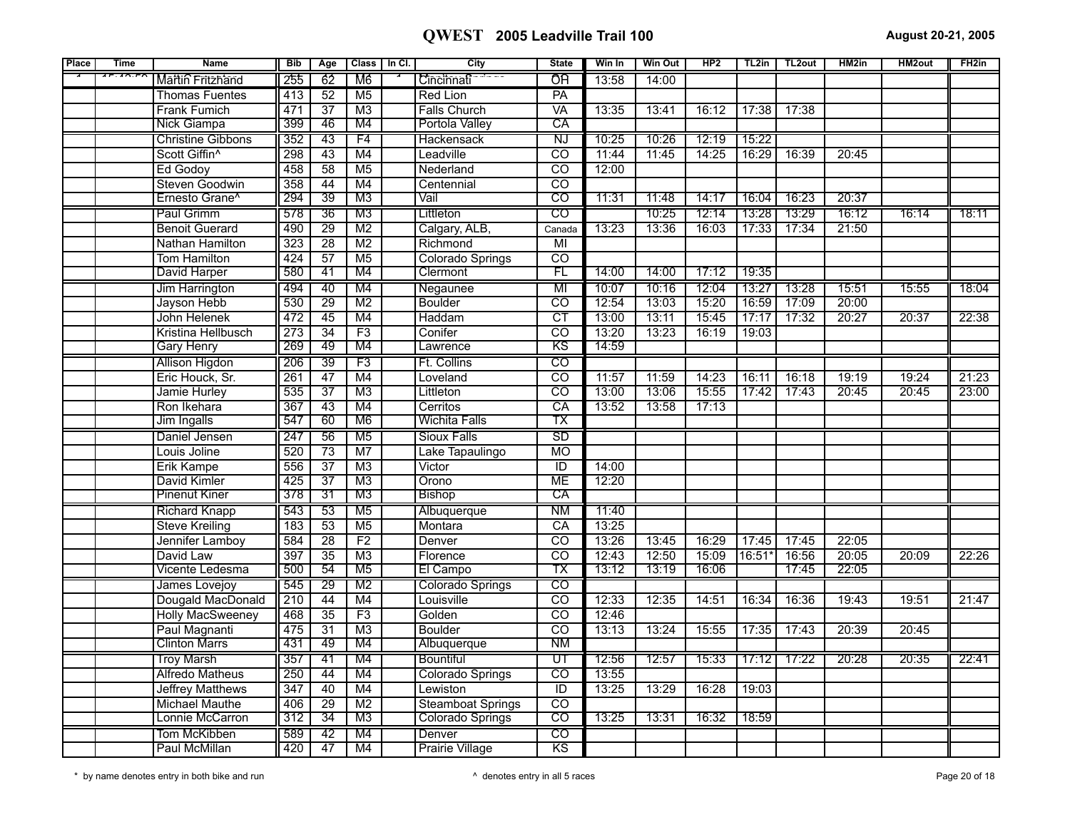| Place | <b>Time</b>                                         | <b>Name</b>               | <b>Bib</b>       | Age             | Class   In Cl.  | City                     | <b>State</b>             | Win In | <b>Win Out</b> | HP2   | TL2in    | TL <sub>2</sub> out | HM2in | <b>HM2out</b> | FH <sub>2in</sub> |
|-------|-----------------------------------------------------|---------------------------|------------------|-----------------|-----------------|--------------------------|--------------------------|--------|----------------|-------|----------|---------------------|-------|---------------|-------------------|
|       | $\overline{AB}$ . $\overline{AB}$ . $\overline{PA}$ | Martin Fritzhand          | 255              | 62              | M6              | Cincinnati               | ÔΉ                       | 13:58  | 14:00          |       |          |                     |       |               |                   |
|       |                                                     | <b>Thomas Fuentes</b>     | 413              | $\overline{52}$ | M <sub>5</sub>  | Red Lion                 | PA                       |        |                |       |          |                     |       |               |                   |
|       |                                                     | <b>Frank Fumich</b>       | 471              | $\overline{37}$ | M3              | <b>Falls Church</b>      | <b>VA</b>                | 13:35  | 13:41          | 16:12 | 17:38    | 17:38               |       |               |                   |
|       |                                                     | <b>Nick Giampa</b>        | 399              | 46              | M4              | Portola Valley           | CA                       |        |                |       |          |                     |       |               |                   |
|       |                                                     | <b>Christine Gibbons</b>  | 352              | 43              | F4              | Hackensack               | $\overline{\text{N}}$    | 10:25  | 10:26          | 12:19 | 15:22    |                     |       |               |                   |
|       |                                                     | Scott Giffin <sup>^</sup> | 298              | $\overline{43}$ | M4              | Leadville                | $\overline{co}$          | 11:44  | 11:45          | 14:25 | 16:29    | 16:39               | 20:45 |               |                   |
|       |                                                     | Ed Godoy                  | 458              | 58              | M <sub>5</sub>  | Nederland                | $\overline{co}$          | 12:00  |                |       |          |                     |       |               |                   |
|       |                                                     | Steven Goodwin            | 358              | 44              | M4              | Centennial               | $\overline{\mathrm{co}}$ |        |                |       |          |                     |       |               |                   |
|       |                                                     | Ernesto Grane^            | 294              | $\overline{39}$ | M3              | Vail                     | $\overline{\text{co}}$   | 11:31  | 11:48          | 14:17 | 16:04    | 16:23               | 20:37 |               |                   |
|       |                                                     | Paul Grimm                | 578              | 36              | M3              | Littleton                | $\overline{c}$           |        | 10:25          | 12:14 | 13:28    | 13:29               | 16:12 | 16:14         | 18:11             |
|       |                                                     | <b>Benoit Guerard</b>     | 490              | $\overline{29}$ | M <sub>2</sub>  | Calgary, ALB,            | Canada                   | 13:23  | 13:36          | 16:03 | 17:33    | 17:34               | 21:50 |               |                   |
|       |                                                     | Nathan Hamilton           | 323              | $\overline{28}$ | $\overline{M2}$ | Richmond                 | $\overline{M}$           |        |                |       |          |                     |       |               |                   |
|       |                                                     | Tom Hamilton              | 424              | $\overline{57}$ | M <sub>5</sub>  | Colorado Springs         | $\overline{co}$          |        |                |       |          |                     |       |               |                   |
|       |                                                     | David Harper              | 580              | -41             | M4              | Clermont                 | FL                       | 14:00  | 14:00          | 17:12 | 19:35    |                     |       |               |                   |
|       |                                                     | Jim Harrington            | 494              | 40              | M4              | Negaunee                 | MI                       | 10:07  | 10:16          | 12:04 | 13:27    | 13:28               | 15:51 | 15:55         | 18:04             |
|       |                                                     | Jayson Hebb               | 530              | 29              | M <sub>2</sub>  | <b>Boulder</b>           | $\overline{co}$          | 12:54  | 13:03          | 15:20 | 16:59    | 17:09               | 20:00 |               |                   |
|       |                                                     | John Helenek              | 472              | $\overline{45}$ | M4              | Haddam                   | $\overline{\text{CT}}$   | 13:00  | 13:11          | 15:45 | 17:17    | 17:32               | 20:27 | 20:37         | 22:38             |
|       |                                                     | Kristina Hellbusch        | 273              | $\overline{34}$ | $\overline{F3}$ | Conifer                  | $\overline{\text{co}}$   | 13:20  | 13:23          | 16:19 | 19:03    |                     |       |               |                   |
|       |                                                     | <b>Gary Henry</b>         | 269              | 49              | M4              | Lawrence                 | ΚS                       | 14:59  |                |       |          |                     |       |               |                   |
|       |                                                     | <b>Allison Higdon</b>     | 206              | 39              | F3              | Ft. Collins              | $\overline{c}$           |        |                |       |          |                     |       |               |                   |
|       |                                                     | Eric Houck, Sr.           | 261              | $\overline{47}$ | M4              | Loveland                 | $\overline{CO}$          | 11:57  | 11:59          | 14:23 | 16:11    | 16:18               | 19:19 | 19:24         | 21:23             |
|       |                                                     | Jamie Hurley              | 535              | $\overline{37}$ | M3              | Littleton                | $\overline{co}$          | 13:00  | 13:06          | 15:55 | 17:42    | 17:43               | 20:45 | 20:45         | 23:00             |
|       |                                                     | Ron Ikehara               | 367              | $\overline{43}$ | M4              | Cerritos                 | CA                       | 13:52  | 13:58          | 17:13 |          |                     |       |               |                   |
|       |                                                     | Jim Ingalls               | 547              | 60              | M6              | Wichita Falls            | ТX                       |        |                |       |          |                     |       |               |                   |
|       |                                                     | Daniel Jensen             | 247              | 56              | M <sub>5</sub>  | <b>Sioux Falls</b>       | SD                       |        |                |       |          |                     |       |               |                   |
|       |                                                     | Louis Joline              | 520              | 73              | M7              | Lake Tapaulingo          | <b>MO</b>                |        |                |       |          |                     |       |               |                   |
|       |                                                     | Erik Kampe                | 556              | $\overline{37}$ | $\overline{M3}$ | Victor                   | $\overline{1}$           | 14:00  |                |       |          |                     |       |               |                   |
|       |                                                     | David Kimler              | 425              | $\overline{37}$ | M3              | Orono                    | <b>ME</b>                | 12:20  |                |       |          |                     |       |               |                   |
|       |                                                     | <b>Pinenut Kiner</b>      | 378              | 31              | M3              | <b>Bishop</b>            | СĀ                       |        |                |       |          |                     |       |               |                   |
|       |                                                     | <b>Richard Knapp</b>      | 543              | 53              | M <sub>5</sub>  | Albuquerque              | <b>NM</b>                | 11:40  |                |       |          |                     |       |               |                   |
|       |                                                     | <b>Steve Kreiling</b>     | 183              | 53              | M <sub>5</sub>  | Montara                  | CA                       | 13:25  |                |       |          |                     |       |               |                   |
|       |                                                     | Jennifer Lamboy           | 584              | $\overline{28}$ | F <sub>2</sub>  | Denver                   | CO                       | 13:26  | 13:45          | 16:29 | 17:45    | 17:45               | 22:05 |               |                   |
|       |                                                     | David Law                 | 397              | $\overline{35}$ | $\overline{M3}$ | Florence                 | $\overline{co}$          | 12:43  | 12:50          | 15:09 | $16:51*$ | 16:56               | 20:05 | 20:09         | 22:26             |
|       |                                                     | Vicente Ledesma           | 500              | 54              | M5              | El Campo                 | тх                       | 13:12  | 13:19          | 16:06 |          | 17:45               | 22:05 |               |                   |
|       |                                                     | James Lovejoy             | 545              | 29              | M <sub>2</sub>  | Colorado Springs         | $\overline{\text{co}}$   |        |                |       |          |                     |       |               |                   |
|       |                                                     | Dougald MacDonald         | $\overline{210}$ | 44              | M4              | Louisville               | $\overline{co}$          | 12:33  | 12:35          | 14:51 | 16:34    | 16:36               | 19:43 | 19:51         | 21:47             |
|       |                                                     | <b>Holly MacSweeney</b>   | 468              | $\overline{35}$ | F3              | Golden                   | $\overline{CO}$          | 12:46  |                |       |          |                     |       |               |                   |
|       |                                                     | Paul Magnanti             | 475              | $\overline{31}$ | M3              | <b>Boulder</b>           | $\overline{c}$           | 13:13  | 13:24          | 15:55 | 17:35    | 17:43               | 20:39 | 20:45         |                   |
|       |                                                     | <b>Clinton Marrs</b>      | 431              | 49              | M4              | Albuquerque              | N <sub>M</sub>           |        |                |       |          |                     |       |               |                   |
|       |                                                     | <b>Troy Marsh</b>         | 357              | 41              | M4              | <b>Bountiful</b>         | $\overline{\mathtt{UT}}$ | 12:56  | 12:57          | 15:33 | 17:12    | 17:22               | 20:28 | 20:35         | 22:41             |
|       |                                                     | <b>Alfredo Matheus</b>    | 250              | 44              | M4              | Colorado Springs         | CO                       | 13:55  |                |       |          |                     |       |               |                   |
|       |                                                     | <b>Jeffrey Matthews</b>   | $\overline{347}$ | $\overline{40}$ | M4              | Lewiston                 | $\overline{\mathbb{D}}$  | 13:25  | 13:29          | 16:28 | 19:03    |                     |       |               |                   |
|       |                                                     | Michael Mauthe            | 406              | 29              | M <sub>2</sub>  | <b>Steamboat Springs</b> | CO                       |        |                |       |          |                     |       |               |                   |
|       |                                                     | Lonnie McCarron           | 312              | 34              | M3              | <b>Colorado Springs</b>  | टठ                       | 13:25  | 13:31          | 16:32 | 18:59    |                     |       |               |                   |
|       |                                                     | Tom McKibben              | 589              | 42              | M4              | Denver                   | $\overline{c}$           |        |                |       |          |                     |       |               |                   |
|       |                                                     | Paul McMillan             | 420              | 47              | M4              | <b>Prairie Village</b>   | $\overline{\text{KS}}$   |        |                |       |          |                     |       |               |                   |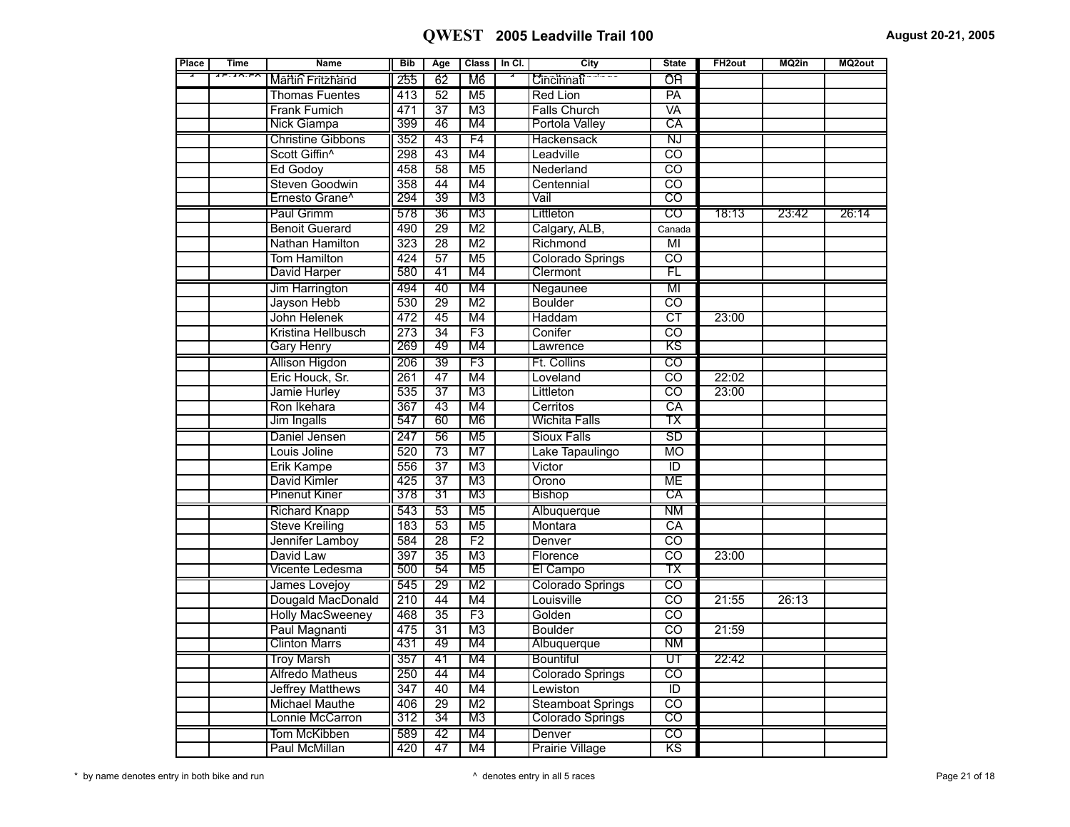| Place | <b>Time</b>                            | <b>Name</b>                | <b>Bib</b>       | Age             |                 | Class   In Cl. | City                     | <b>State</b>             | FH <sub>2out</sub> | MQ2in | MQ2out |
|-------|----------------------------------------|----------------------------|------------------|-----------------|-----------------|----------------|--------------------------|--------------------------|--------------------|-------|--------|
|       | $\overline{AB}$ . $\overline{AD}$ . FM | Martin Fritzhand           | 255              | 62              | M6              |                | Cincinnati               | ÔĤ                       |                    |       |        |
|       |                                        | <b>Thomas Fuentes</b>      | 413              | 52              | M <sub>5</sub>  |                | <b>Red Lion</b>          | $\overline{PA}$          |                    |       |        |
|       |                                        | Frank Fumich               | 471              | $\overline{37}$ | $\overline{M3}$ |                | <b>Falls Church</b>      | VA                       |                    |       |        |
|       |                                        | Nick Giampa                | 399              | 46              | M4              |                | Portola Valley           | CA                       |                    |       |        |
|       |                                        | <b>Christine Gibbons</b>   | 352              | 43              | F4              |                | Hackensack               | Ñ                        |                    |       |        |
|       |                                        | Scott Giffin <sup>^</sup>  | 298              | $\overline{43}$ | M4              |                | Leadville                | $\overline{\text{co}}$   |                    |       |        |
|       |                                        | Ed Godoy                   | 458              | $\overline{58}$ | $\overline{M5}$ |                | Nederland                | $\overline{CO}$          |                    |       |        |
|       |                                        | Steven Goodwin             | 358              | 44              | M4              |                | Centennial               | $\overline{co}$          |                    |       |        |
|       |                                        | Ernesto Grane <sup>^</sup> | 294              | 39              | M3              |                | Vail                     | $\overline{\mathrm{co}}$ |                    |       |        |
|       |                                        | Paul Grimm                 | 578              | 36              | M <sub>3</sub>  |                | Littleton                | CO                       | 18:13              | 23:42 | 26:14  |
|       |                                        | <b>Benoit Guerard</b>      | 490              | 29              | M <sub>2</sub>  |                | Calgary, ALB,            | Canada                   |                    |       |        |
|       |                                        | Nathan Hamilton            | 323              | $\overline{28}$ | $\overline{M2}$ |                | Richmond                 | $\overline{M}$           |                    |       |        |
|       |                                        | Tom Hamilton               | 424              | $\overline{57}$ | $\overline{M5}$ |                | Colorado Springs         | $\overline{\mathrm{co}}$ |                    |       |        |
|       |                                        | David Harper               | 580              | 41              | M4              |                | Clermont                 | FL                       |                    |       |        |
|       |                                        | Jim Harrington             | 494              | 40              | M4              |                | Negaunee                 | MI                       |                    |       |        |
|       |                                        | Jayson Hebb                | 530              | 29              | $\overline{M2}$ |                | <b>Boulder</b>           | $\overline{CO}$          |                    |       |        |
|       |                                        | John Helenek               | 472              | 45              | M4              |                | Haddam                   | $\overline{\text{CT}}$   | 23:00              |       |        |
|       |                                        | Kristina Hellbusch         | 273              | $\overline{34}$ | $\overline{F3}$ |                | Conifer                  | $\overline{\text{co}}$   |                    |       |        |
|       |                                        | <b>Gary Henry</b>          | 269              | 49              | M4              |                | Lawrence                 | ΚS                       |                    |       |        |
|       |                                        | Allison Higdon             | 206              | 39              | F3              |                | Ft. Collins              | $\overline{\text{CO}}$   |                    |       |        |
|       |                                        | Eric Houck, Sr.            | 261              | 47              | M4              |                | Loveland                 | $\overline{\mathrm{co}}$ | 22:02              |       |        |
|       |                                        | Jamie Hurley               | 535              | $\overline{37}$ | M3              |                | Littleton                | $\overline{co}$          | 23:00              |       |        |
|       |                                        | Ron Ikehara                | $\overline{367}$ | $\overline{43}$ | M <sub>4</sub>  |                | Cerritos                 | CA                       |                    |       |        |
|       |                                        | Jim Ingalls                | 547              | 60              | M <sub>6</sub>  |                | <b>Wichita Falls</b>     | ТX                       |                    |       |        |
|       |                                        | Daniel Jensen              | 247              | 56              | M <sub>5</sub>  |                | Sioux Falls              | <b>SD</b>                |                    |       |        |
|       |                                        | Louis Joline               | 520              | $\overline{73}$ | $\overline{M7}$ |                | Lake Tapaulingo          | $\overline{MO}$          |                    |       |        |
|       |                                        | Erik Kampe                 | 556              | $\overline{37}$ | $\overline{M3}$ |                | Victor                   | $\overline{\mathbb{D}}$  |                    |       |        |
|       |                                        | David Kimler               | 425              | $\overline{37}$ | $\overline{M3}$ |                | Orono                    | <b>ME</b>                |                    |       |        |
|       |                                        | <b>Pinenut Kiner</b>       | 378              | 31              | M3              |                | <b>Bishop</b>            | СĀ                       |                    |       |        |
|       |                                        | <b>Richard Knapp</b>       | 543              | 53              | M5              |                | Albuquerque              | <b>NM</b>                |                    |       |        |
|       |                                        | <b>Steve Kreiling</b>      | 183              | 53              | M <sub>5</sub>  |                | Montara                  | CA                       |                    |       |        |
|       |                                        | Jennifer Lamboy            | 584              | $\overline{28}$ | F <sub>2</sub>  |                | Denver                   | टठ                       |                    |       |        |
|       |                                        | David Law                  | 397              | $\overline{35}$ | $\overline{M3}$ |                | Florence                 | $\overline{\mathrm{co}}$ | 23:00              |       |        |
|       |                                        | Vicente Ledesma            | 500              | 54              | M5              |                | El Campo                 | ТX                       |                    |       |        |
|       |                                        | James Lovejoy              | 545              | 29              | M <sub>2</sub>  |                | Colorado Springs         | $\overline{c}$           |                    |       |        |
|       |                                        | Dougald MacDonald          | 210              | 44              | M4              |                | Louisville               | $\overline{\mathrm{co}}$ | 21:55              | 26:13 |        |
|       |                                        | <b>Holly MacSweeney</b>    | 468              | $\overline{35}$ | F3              |                | Golden                   | $\overline{co}$          |                    |       |        |
|       |                                        | Paul Magnanti              | 475              | $\overline{31}$ | M <sub>3</sub>  |                | <b>Boulder</b>           | $\overline{co}$          | 21:59              |       |        |
|       |                                        | <b>Clinton Marrs</b>       | 431              | 49              | M4              |                | Albuquerque              | <b>NM</b>                |                    |       |        |
|       |                                        | <b>Troy Marsh</b>          | 357              | 41              | M4              |                | Bountiful                | UT                       | 22:42              |       |        |
|       |                                        | Alfredo Matheus            | 250              | 44              | M4              |                | <b>Colorado Springs</b>  | ਨਹ                       |                    |       |        |
|       |                                        | <b>Jeffrey Matthews</b>    | 347              | 40              | M4              |                | Lewiston                 | $\overline{\mathbb{D}}$  |                    |       |        |
|       |                                        | <b>Michael Mauthe</b>      | 406              | 29              | M <sub>2</sub>  |                | <b>Steamboat Springs</b> | $\overline{co}$          |                    |       |        |
|       |                                        | Lonnie McCarron            | 312              | 34              | M3              |                | Colorado Springs         | $\overline{\mathrm{co}}$ |                    |       |        |
|       |                                        | Tom McKibben               | 589              | 42              | M4              |                | Denver                   | $\overline{\text{co}}$   |                    |       |        |
|       |                                        | Paul McMillan              | 420              | $\overline{47}$ | M4              |                | <b>Prairie Village</b>   | KS                       |                    |       |        |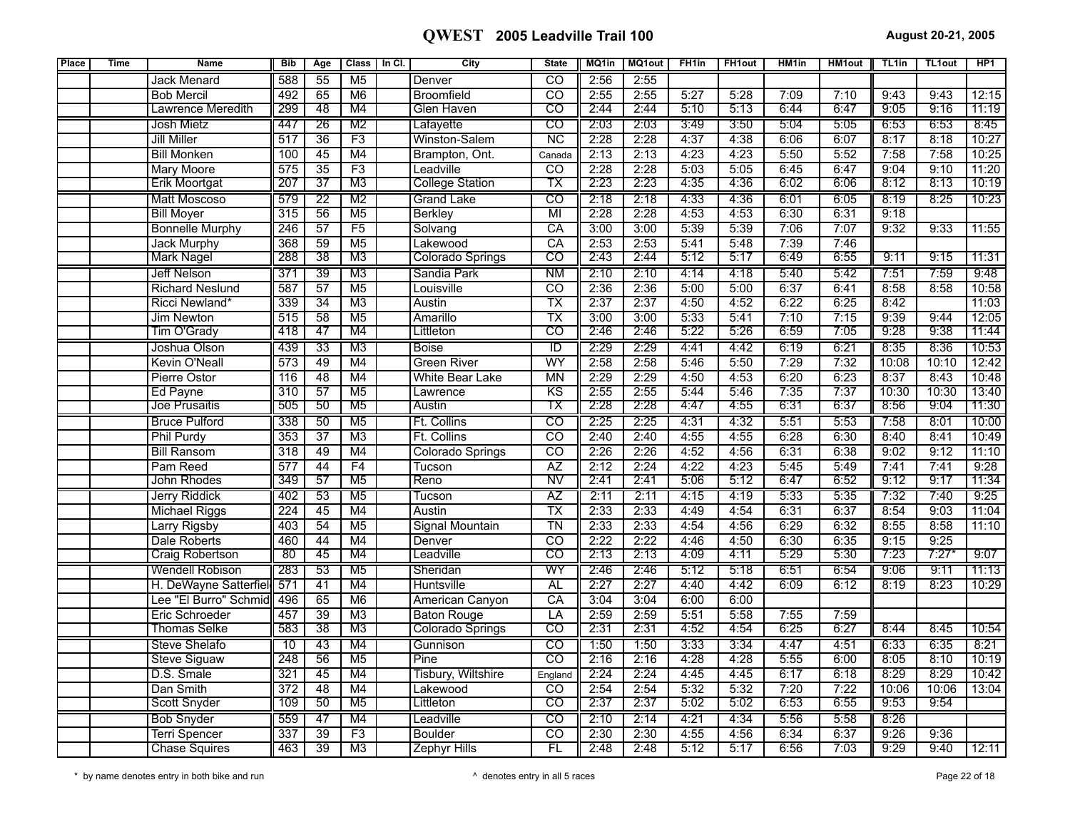| Place | <b>Time</b> | <b>Name</b>            | <b>Bib</b>       | Age             | <b>Class</b>    | In Cl. | City                    | <b>State</b>             | MQ1in | <b>MQ1out</b> | FH <sub>1in</sub> | <b>FH1out</b> | HM <sub>1in</sub> | <b>HM1out</b> | TL <sub>1in</sub> | <b>TL1out</b> | HP <sub>1</sub> |
|-------|-------------|------------------------|------------------|-----------------|-----------------|--------|-------------------------|--------------------------|-------|---------------|-------------------|---------------|-------------------|---------------|-------------------|---------------|-----------------|
|       |             | <b>Jack Menard</b>     | 588              | 55              | M <sub>5</sub>  |        | Denver                  | $\overline{\text{co}}$   | 2:56  | 2:55          |                   |               |                   |               |                   |               |                 |
|       |             | <b>Bob Mercil</b>      | 492              | 65              | $\overline{M6}$ |        | <b>Broomfield</b>       | टठ                       | 2:55  | 2:55          | 5:27              | 5:28          | 7:09              | 7:10          | 9:43              | 9:43          | 12:15           |
|       |             | Lawrence Meredith      | 299              | 48              | M4              |        | Glen Haven              | $\overline{\mathrm{co}}$ | 2:44  | 2:44          | 5:10              | 5:13          | 6:44              | 6:47          | 9:05              | 9:16          | 11:19           |
|       |             | <b>Josh Mietz</b>      | 447              | 26              | M <sub>2</sub>  |        | Lafayette               | $\overline{c}$           | 2:03  | 2:03          | 3:49              | 3:50          | 5:04              | 5:05          | 6:53              | 6:53          | 8:45            |
|       |             | <b>Jill Miller</b>     | 517              | 36              | F3              |        | Winston-Salem           | $\overline{\text{NC}}$   | 2:28  | 2:28          | 4:37              | 4:38          | 6:06              | 6:07          | 8:17              | 8:18          | 10:27           |
|       |             | <b>Bill Monken</b>     | 100              | $\overline{45}$ | M4              |        | Brampton, Ont.          | Canada                   | 2:13  | 2:13          | 4:23              | 4:23          | 5:50              | 5:52          | 7:58              | 7:58          | 10:25           |
|       |             | <b>Mary Moore</b>      | 575              | 35              | F3              |        | Leadville               | $\overline{\text{co}}$   | 2:28  | 2:28          | 5:03              | 5:05          | 6:45              | 6:47          | 9:04              | 9:10          | 11:20           |
|       |             | <b>Erik Moortgat</b>   | 207              | $\overline{37}$ | M3              |        | <b>College Station</b>  | ТX                       | 2:23  | 2:23          | 4:35              | 4:36          | 6:02              | 6:06          | 8:12              | 8:13          | 10:19           |
|       |             | Matt Moscoso           | 579              | $\overline{22}$ | M <sub>2</sub>  |        | <b>Grand Lake</b>       | $\overline{\text{co}}$   | 2:18  | 2:18          | 4:33              | 4:36          | 6:01              | 6:05          | 8:19              | 8:25          | 10:23           |
|       |             | <b>Bill Moyer</b>      | 315              | 56              | M <sub>5</sub>  |        | <b>Berkley</b>          | $\overline{MI}$          | 2:28  | 2:28          | 4:53              | 4:53          | 6:30              | 6:31          | 9:18              |               |                 |
|       |             | <b>Bonnelle Murphy</b> | 246              | 57              | F5              |        | Solvang                 | CA                       | 3:00  | 3:00          | 5:39              | 5:39          | 7:06              | 7:07          | 9:32              | 9:33          | 11:55           |
|       |             | <b>Jack Murphy</b>     | 368              | $\overline{59}$ | M <sub>5</sub>  |        | Lakewood                | CA                       | 2:53  | 2:53          | 5:41              | 5:48          | 7:39              | 7:46          |                   |               |                 |
|       |             | <b>Mark Nagel</b>      | 288              | 38              | M <sub>3</sub>  |        | <b>Colorado Springs</b> | CO                       | 2:43  | 2:44          | 5:12              | 5:17          | 6:49              | 6:55          | 9:11              | 9:15          | 11:31           |
|       |             | Jeff Nelson            | 371              | $\overline{39}$ | M3              |        | Sandia Park             | <b>NM</b>                | 2:10  | 2:10          | 4:14              | 4:18          | 5:40              | 5:42          | 7:51              | 7:59          | 9:48            |
|       |             | <b>Richard Neslund</b> | 587              | $\overline{57}$ | M <sub>5</sub>  |        | Louisville              | $\overline{\text{co}}$   | 2:36  | 2:36          | 5:00              | 5:00          | 6:37              | 6:41          | 8:58              | 8:58          | 10:58           |
|       |             | Ricci Newland*         | 339              | $\overline{34}$ | M3              |        | Austin                  | $\overline{\mathsf{TX}}$ | 2:37  | 2:37          | 4:50              | 4:52          | 6:22              | 6:25          | 8:42              |               | 11:03           |
|       |             | Jim Newton             | 515              | 58              | M <sub>5</sub>  |        | Amarillo                | $\overline{\text{TX}}$   | 3:00  | 3:00          | 5:33              | 5:41          | 7:10              | 7:15          | 9:39              | 9:44          | 12:05           |
|       |             | Tim O'Grady            | 418              | 47              | M4              |        | Littleton               | $\overline{\mathrm{co}}$ | 2:46  | 2:46          | 5:22              | 5:26          | 6:59              | 7:05          | 9:28              | 9:38          | 11:44           |
|       |             | Joshua Olson           | 439              | $\overline{33}$ | M3              |        | <b>Boise</b>            | ΤD                       | 2:29  | 2:29          | 4:41              | 4:42          | 6:19              | 6:21          | 8:35              | 8:36          | 10:53           |
|       |             | <b>Kevin O'Neall</b>   | 573              | 49              | M4              |        | <b>Green River</b>      | WY                       | 2:58  | 2:58          | 5:46              | 5:50          | 7:29              | 7:32          | 10:08             | 10:10         | 12:42           |
|       |             | Pierre Ostor           | $\overline{116}$ | 48              | M4              |        | White Bear Lake         | MN                       | 2:29  | 2:29          | 4:50              | 4:53          | 6:20              | 6:23          | 8:37              | 8:43          | 10:48           |
|       |             | Ed Payne               | 310              | 57              | M <sub>5</sub>  |        | Lawrence                | K <sub>S</sub>           | 2:55  | 2:55          | 5:44              | 5:46          | 7:35              | 7:37          | 10:30             | 10:30         | 13:40           |
|       |             | Joe Prusaitis          | 505              | 50              | M5              |        | Austin                  | тх                       | 2:28  | 2:28          | 4:47              | 4:55          | 6:31              | 6:37          | 8:56              | 9:04          | 11:30           |
|       |             | <b>Bruce Pulford</b>   | 338              | 50              | M5              |        | Ft. Collins             | $\overline{\text{co}}$   | 2:25  | 2:25          | 4:31              | 4:32          | 5:51              | 5:53          | 7:58              | 8:01          | 10:00           |
|       |             | <b>Phil Purdy</b>      | 353              | $\overline{37}$ | M3              |        | Ft. Collins             | $\overline{co}$          | 2:40  | 2:40          | 4:55              | 4:55          | 6:28              | 6:30          | 8:40              | 8:41          | 10:49           |
|       |             | <b>Bill Ransom</b>     | 318              | 49              | M4              |        | Colorado Springs        | $\overline{\text{co}}$   | 2:26  | 2:26          | 4:52              | 4:56          | 6:31              | 6:38          | 9:02              | 9:12          | 11:10           |
|       |             | Pam Reed               | 577              | 44              | F4              |        | Tucson                  | $\overline{AZ}$          | 2:12  | 2:24          | 4:22              | 4:23          | 5:45              | 5:49          | 7:41              | 7:41          | 9:28            |
|       |             | John Rhodes            | 349              | 57              | M5              |        | Reno                    | N۷                       | 2:41  | 2:41          | 5:06              | 5:12          | 6:47              | 6:52          | 9:12              | 9:17          | 11:34           |
|       |             | Jerry Riddick          | 402              | 53              | M <sub>5</sub>  |        | Tucson                  | ΑZ                       | 2:11  | 2:11          | 4:15              | 4:19          | 5:33              | 5:35          | 7:32              | 7:40          | 9:25            |
|       |             | Michael Riggs          | 224              | 45              | M <sub>4</sub>  |        | Austin                  | $\overline{\mathsf{TX}}$ | 2:33  | 2:33          | 4:49              | 4:54          | 6:31              | 6:37          | 8:54              | 9:03          | 11:04           |
|       |             | Larry Rigsby           | 403              | 54              | M <sub>5</sub>  |        | Signal Mountain         | $\overline{T}N$          | 2:33  | 2:33          | 4:54              | 4:56          | 6:29              | 6:32          | 8:55              | 8:58          | 11:10           |
|       |             | Dale Roberts           | 460              | 44              | M4              |        | Denver                  | $\overline{\text{co}}$   | 2:22  | 2:22          | 4:46              | 4:50          | 6:30              | 6:35          | 9:15              | 9:25          |                 |
|       |             | <b>Craig Robertson</b> | $\overline{80}$  | 45              | M4              |        | Leadville               | $\overline{\mathrm{co}}$ | 2:13  | 2:13          | 4:09              | 4:11          | 5:29              | 5:30          | 7:23              | 7:27          | 9:07            |
|       |             | Wendell Robison        | 283              | 53              | M <sub>5</sub>  |        | Sheridan                | WY                       | 2:46  | 2:46          | 5:12              | 5:18          | 6:51              | 6:54          | 9:06              | 9:11          | 11:13           |
|       |             | H. DeWayne Satterfiel  | 571              | 41              | M <sub>4</sub>  |        | Huntsville              | <b>AL</b>                | 2:27  | 2:27          | 4:40              | 4:42          | 6:09              | 6:12          | 8:19              | 8:23          | 10:29           |
|       |             | Lee "El Burro" Schmid  | 496              | 65              | $\overline{M6}$ |        | American Canyon         | $\overline{CA}$          | 3:04  | 3:04          | 6:00              | 6:00          |                   |               |                   |               |                 |
|       |             | Eric Schroeder         | 457              | 39              | $\overline{M3}$ |        | <b>Baton Rouge</b>      | LA                       | 2:59  | 2:59          | 5:51              | 5:58          | 7:55              | 7:59          |                   |               |                 |
|       |             | Thomas Selke           | 583              | 38              | M3              |        | <b>Colorado Springs</b> | $\overline{\mathrm{co}}$ | 2:31  | 2:31          | 4:52              | 4:54          | 6:25              | 6:27          | 8:44              | 8:45          | 10:54           |
|       |             | Steve Shelafo          | 10               | 43              | M4              |        | Gunnison                | $\overline{\text{co}}$   | 1:50  | 1:50          | 3:33              | 3:34          | 4:47              | 4:51          | 6:33              | 6:35          | 8:21            |
|       |             | <b>Steve Siguaw</b>    | $\overline{248}$ | 56              | M <sub>5</sub>  |        | Pine                    | $\overline{co}$          | 2:16  | 2:16          | 4:28              | 4:28          | 5:55              | 6:00          | 8:05              | 8:10          | 10:19           |
|       |             | D.S. Smale             | 321              | 45              | M4              |        | Tisbury, Wiltshire      | England                  | 2:24  | 2:24          | 4:45              | 4:45          | 6:17              | 6:18          | 8:29              | 8:29          | 10:42           |
|       |             | Dan Smith              | $\overline{372}$ | 48              | M4              |        | Lakewood                | $\overline{\text{co}}$   | 2:54  | 2:54          | 5:32              | 5:32          | 7:20              | 7:22          | 10:06             | 10:06         | 13:04           |
|       |             | Scott Snyder           | 109              | 50              | M5              |        | Littleton               | CO                       | 2:37  | 2:37          | 5:02              | 5:02          | 6:53              | 6:55          | 9:53              | 9:54          |                 |
|       |             | <b>Bob Snyder</b>      | 559              | 47              | M4              |        | Leadville               | $\overline{c}$           | 2:10  | 2:14          | 4:21              | 4:34          | 5:56              | 5:58          | 8:26              |               |                 |
|       |             | Terri Spencer          | 337              | $\overline{39}$ | F3              |        | <b>Boulder</b>          | $\overline{\text{co}}$   | 2:30  | 2:30          | 4:55              | 4:56          | 6:34              | 6:37          | 9:26              | 9:36          |                 |
|       |             | Chase Squires          | 463              | 39              | M3              |        | <b>Zephyr Hills</b>     | $\overline{FL}$          | 2:48  | 2:48          | 5:12              | 5:17          | 6:56              | 7:03          | 9:29              | 9:40          | 12:11           |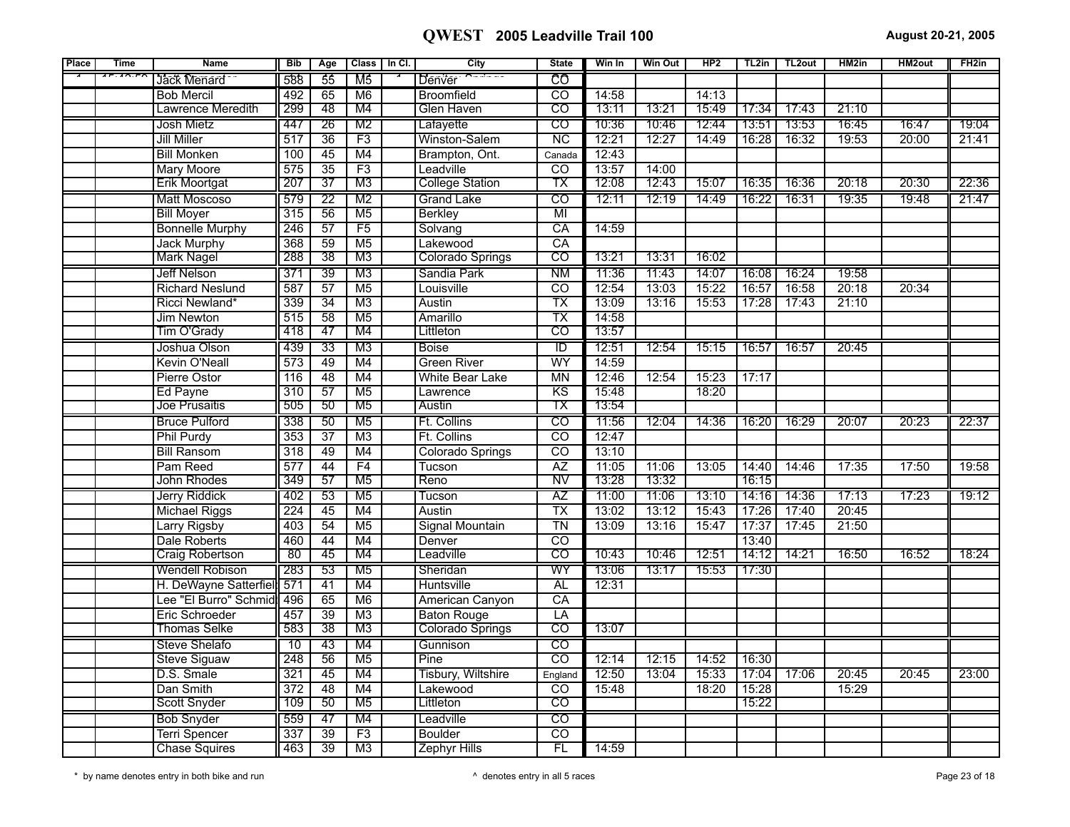| Place | <b>Time</b>                                                                    | <b>Name</b>            | <b>Bib</b>       | Age             |                 | Class   In Cl. | City                      | <b>State</b>             | Win In | <b>Win Out</b> | HP2   |       | TL2in   TL2out | HM2in | HM2out | FH <sub>2</sub> in |
|-------|--------------------------------------------------------------------------------|------------------------|------------------|-----------------|-----------------|----------------|---------------------------|--------------------------|--------|----------------|-------|-------|----------------|-------|--------|--------------------|
|       | $\overline{F}$ . $\overline{A}$ $\overline{D}$ . $\overline{F}$ $\overline{D}$ | Jack Menard            | 588              | 55              | M5              |                | Denver                    | CO                       |        |                |       |       |                |       |        |                    |
|       |                                                                                | <b>Bob Mercil</b>      | 492              | 65              | M6              |                | <b>Broomfield</b>         | $\overline{c}$           | 14:58  |                | 14:13 |       |                |       |        |                    |
|       |                                                                                | Lawrence Meredith      | 299              | 48              | M4              |                | Glen Haven                | $\overline{\text{co}}$   | 13:11  | 13:21          | 15:49 | 17:34 | 17:43          | 21:10 |        |                    |
|       |                                                                                | Josh Mietz             | 447              | 26              | M <sub>2</sub>  |                | Lafayette                 | $\overline{C}$           | 10:36  | 10:46          | 12:44 | 13:51 | 13:53          | 16:45 | 16:47  | 19:04              |
|       |                                                                                | <b>Jill Miller</b>     | 517              | $\overline{36}$ | F3              |                | Winston-Salem             | $\overline{NC}$          | 12:21  | 12:27          | 14:49 | 16:28 | 16:32          | 19:53 | 20:00  | 21:41              |
|       |                                                                                | <b>Bill Monken</b>     | 100              | 45              | M4              |                | Brampton, Ont.            | Canada                   | 12:43  |                |       |       |                |       |        |                    |
|       |                                                                                | <b>Mary Moore</b>      | 575              | $\overline{35}$ | F3              |                | Leadville                 | $\overline{co}$          | 13:57  | 14:00          |       |       |                |       |        |                    |
|       |                                                                                | Erik Moortgat          | 207              | $\overline{37}$ | M3              |                | <b>College Station</b>    | ТX                       | 12:08  | 12:43          | 15:07 | 16:35 | 16:36          | 20:18 | 20:30  | 22:36              |
|       |                                                                                | Matt Moscoso           | 579              | $\overline{22}$ | M2              |                | <b>Grand Lake</b>         | $\overline{\text{co}}$   | 12:11  | 12:19          | 14:49 | 16:22 | 16:31          | 19:35 | 19:48  | 21:47              |
|       |                                                                                | <b>Bill Moyer</b>      | 315              | 56              | $\overline{M5}$ |                | <b>Berkley</b>            | $\overline{\mathsf{M}}$  |        |                |       |       |                |       |        |                    |
|       |                                                                                | <b>Bonnelle Murphy</b> | $\overline{246}$ | 57              | F5              |                | Solvang                   | CA                       | 14:59  |                |       |       |                |       |        |                    |
|       |                                                                                | <b>Jack Murphy</b>     | 368              | $\overline{59}$ | M <sub>5</sub>  |                | Lakewood                  | $\overline{CA}$          |        |                |       |       |                |       |        |                    |
|       |                                                                                | <b>Mark Nagel</b>      | 288              | 38              | M3              |                | Colorado Springs          | $\overline{CO}$          | 13:21  | 13:31          | 16:02 |       |                |       |        |                    |
|       |                                                                                | <b>Jeff Nelson</b>     | 371              | 39              | M3              |                | Sandia Park               | <b>NM</b>                | 11:36  | 11:43          | 14:07 | 16:08 | 16:24          | 19:58 |        |                    |
|       |                                                                                | <b>Richard Neslund</b> | 587              | $\overline{57}$ | M <sub>5</sub>  |                | Louisville                | $\overline{co}$          | 12:54  | 13:03          | 15:22 | 16:57 | 16:58          | 20:18 | 20:34  |                    |
|       |                                                                                | Ricci Newland*         | 339              | $\overline{34}$ | M3              |                | <b>Austin</b>             | $\overline{\text{TX}}$   | 13:09  | 13:16          | 15:53 | 17:28 | 17:43          | 21:10 |        |                    |
|       |                                                                                | Jim Newton             | 515              | $\overline{58}$ | M <sub>5</sub>  |                | Amarillo                  | $\overline{\mathsf{TX}}$ | 14:58  |                |       |       |                |       |        |                    |
|       |                                                                                | Tim O'Grady            | 418              | 47              | M4              |                | Littleton                 | $\overline{\mathrm{co}}$ | 13:57  |                |       |       |                |       |        |                    |
|       |                                                                                | Joshua Olson           | 439              | $\overline{33}$ | M3              |                | <b>Boise</b>              | TD                       | 12:51  | 12:54          | 15:15 | 16:57 | 16:57          | 20:45 |        |                    |
|       |                                                                                | <b>Kevin O'Neall</b>   | 573              | 49              | M4              |                | <b>Green River</b>        | WY                       | 14:59  |                |       |       |                |       |        |                    |
|       |                                                                                | Pierre Ostor           | $\overline{116}$ | 48              | M4              |                | <b>White Bear Lake</b>    | MN                       | 12:46  | 12:54          | 15:23 | 17:17 |                |       |        |                    |
|       |                                                                                | Ed Payne               | 310              | $\overline{57}$ | M <sub>5</sub>  |                | Lawrence                  | $\overline{KS}$          | 15:48  |                | 18:20 |       |                |       |        |                    |
|       |                                                                                | Joe Prusaitis          | 505              | 50              | M5              |                | Austin                    | тх                       | 13:54  |                |       |       |                |       |        |                    |
|       |                                                                                | <b>Bruce Pulford</b>   | 338              | 50              | M <sub>5</sub>  |                | Ft. Collins               | $\overline{c}$           | 11:56  | 12:04          | 14:36 | 16:20 | 16:29          | 20:07 | 20:23  | 22:37              |
|       |                                                                                | <b>Phil Purdy</b>      | 353              | $\overline{37}$ | M3              |                | Ft. Collins               | $\overline{co}$          | 12:47  |                |       |       |                |       |        |                    |
|       |                                                                                | <b>Bill Ransom</b>     | 318              | 49              | M4              |                | Colorado Springs          | $\overline{co}$          | 13:10  |                |       |       |                |       |        |                    |
|       |                                                                                | Pam Reed               | 577              | 44              | F4              |                | Tucson                    | $\overline{AZ}$          | 11:05  | 11:06          | 13:05 | 14:40 | 14:46          | 17:35 | 17:50  | 19:58              |
|       |                                                                                | John Rhodes            | 349              | 57              | M <sub>5</sub>  |                | Reno                      | NV                       | 13:28  | 13:32          |       | 16:15 |                |       |        |                    |
|       |                                                                                | Jerry Riddick          | 402              | 53              | M <sub>5</sub>  |                | Tucson                    | AZ                       | 11:00  | 11:06          | 13:10 | 14:16 | 14:36          | 17:13 | 17:23  | 19:12              |
|       |                                                                                | <b>Michael Riggs</b>   | 224              | 45              | M4              |                | Austin                    | $\overline{\text{TX}}$   | 13:02  | 13:12          | 15:43 | 17:26 | 17:40          | 20:45 |        |                    |
|       |                                                                                | Larry Rigsby           | 403              | 54              | M <sub>5</sub>  |                | <b>Signal Mountain</b>    | $\overline{T}N$          | 13:09  | 13:16          | 15:47 | 17:37 | 17:45          | 21:50 |        |                    |
|       |                                                                                | <b>Dale Roberts</b>    | 460              | 44              | M4              |                | Denver                    | $\overline{\text{co}}$   |        |                |       | 13:40 |                |       |        |                    |
|       |                                                                                | <b>Craig Robertson</b> | 80               | 45              | M4              |                | Leadville                 | $\overline{\text{co}}$   | 10:43  | 10:46          | 12:51 | 14:12 | 14:21          | 16:50 | 16:52  | 18:24              |
|       |                                                                                | <b>Wendell Robison</b> | 283              | 53              | M <sub>5</sub>  |                | Sheridan                  | WY                       | 13:06  | 13:17          | 15:53 | 17:30 |                |       |        |                    |
|       |                                                                                | H. DeWayne Satterfiel  | 571              | $\overline{41}$ | M4              |                | <b>Huntsville</b>         | <b>AL</b>                | 12:31  |                |       |       |                |       |        |                    |
|       |                                                                                | Lee "El Burro" Schmid  | 496              | 65              | M6              |                | American Canyon           | CA                       |        |                |       |       |                |       |        |                    |
|       |                                                                                | Eric Schroeder         | 457              | 39              | M3              |                | <b>Baton Rouge</b>        | $\overline{LA}$          |        |                |       |       |                |       |        |                    |
|       |                                                                                | <b>Thomas Selke</b>    | 583              | $\overline{38}$ | M3              |                | Colorado Springs          | $\overline{\text{co}}$   | 13:07  |                |       |       |                |       |        |                    |
|       |                                                                                | <b>Steve Shelafo</b>   | 10               | 43              | M4              |                | Gunnison                  | $\overline{c}$           |        |                |       |       |                |       |        |                    |
|       |                                                                                | <b>Steve Siguaw</b>    | 248              | 56              | M <sub>5</sub>  |                | Pine                      | $\overline{co}$          | 12:14  | 12:15          | 14:52 | 16:30 |                |       |        |                    |
|       |                                                                                | D.S. Smale             | 321              | $\overline{45}$ | M4              |                | <b>Tisbury, Wiltshire</b> | England                  | 12:50  | 13:04          | 15:33 | 17:04 | 17:06          | 20:45 | 20:45  | 23:00              |
|       |                                                                                | Dan Smith              | $\overline{372}$ | $\overline{48}$ | M4              |                | Lakewood                  | $\overline{\text{co}}$   | 15:48  |                | 18:20 | 15:28 |                | 15:29 |        |                    |
|       |                                                                                | Scott Snyder           | 109              | 50              | M5              |                | Littleton                 | CO                       |        |                |       | 15:22 |                |       |        |                    |
|       |                                                                                | <b>Bob Snyder</b>      | 559              | 47              | M4              |                | Leadville                 | $\overline{CO}$          |        |                |       |       |                |       |        |                    |
|       |                                                                                | <b>Terri Spencer</b>   | 337              | $\overline{39}$ | F3              |                | <b>Boulder</b>            | $\overline{co}$          |        |                |       |       |                |       |        |                    |
|       |                                                                                | <b>Chase Squires</b>   | 463              | $\overline{39}$ | M3              |                | <b>Zephyr Hills</b>       | FL                       | 14:59  |                |       |       |                |       |        |                    |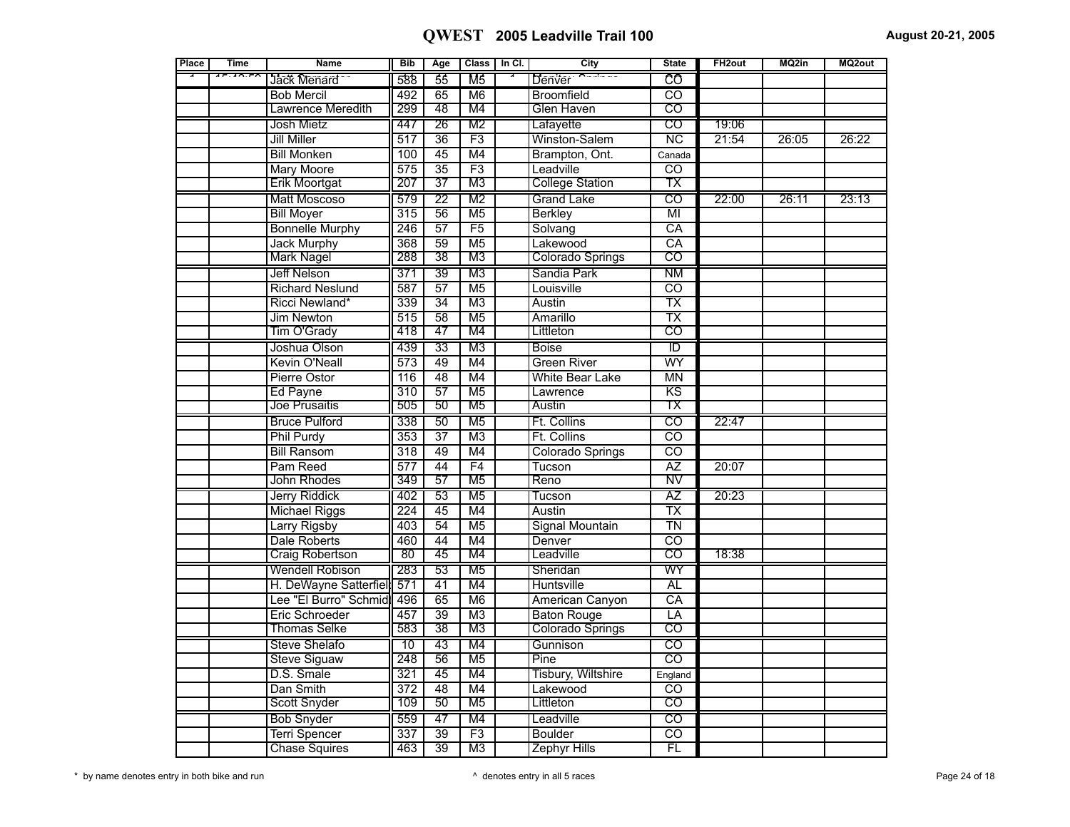| Place | <b>Time</b>                                          | <b>Name</b>            | <b>Bib</b>       | Age             |                          | Class   In Cl. | City                    | <b>State</b>             | FH <sub>2out</sub> | MQ2in | MQ2out |
|-------|------------------------------------------------------|------------------------|------------------|-----------------|--------------------------|----------------|-------------------------|--------------------------|--------------------|-------|--------|
|       | $\overline{AB}$ . $\overline{AD}$ . F $\overline{C}$ | Jack Menard            | 588              | $\overline{55}$ | M <sub>5</sub>           |                | Denver                  | ල්                       |                    |       |        |
|       |                                                      | <b>Bob Mercil</b>      | 492              | 65              | M <sub>6</sub>           |                | <b>Broomfield</b>       | CO                       |                    |       |        |
|       |                                                      | Lawrence Meredith      | 299              | 48              | M4                       |                | Glen Haven              | $\overline{\text{co}}$   |                    |       |        |
|       |                                                      | Josh Mietz             | 447              | $\overline{26}$ | M <sub>2</sub>           |                | Lafayette               | $\overline{CO}$          | 19:06              |       |        |
|       |                                                      | <b>Jill Miller</b>     | $\overline{517}$ | 36              | F3                       |                | Winston-Salem           | $\overline{\text{NC}}$   | 21:54              | 26:05 | 26:22  |
|       |                                                      | <b>Bill Monken</b>     | 100              | 45              | $\overline{\mathsf{M}4}$ |                | Brampton, Ont.          | Canada                   |                    |       |        |
|       |                                                      | Mary Moore             | 575              | $\overline{35}$ | F3                       |                | Leadville               | CO                       |                    |       |        |
|       |                                                      | <b>Erik Moortgat</b>   | 207              | $\overline{37}$ | M3                       |                | <b>College Station</b>  | тх                       |                    |       |        |
|       |                                                      | Matt Moscoso           | 579              | $\overline{22}$ | M <sub>2</sub>           |                | <b>Grand Lake</b>       | $\overline{\text{co}}$   | 22:00              | 26:11 | 23:13  |
|       |                                                      | <b>Bill Moyer</b>      | 315              | 56              | M <sub>5</sub>           |                | Berkley                 | $\overline{\mathsf{MI}}$ |                    |       |        |
|       |                                                      | <b>Bonnelle Murphy</b> | 246              | $\overline{57}$ | F5                       |                | Solvang                 | $\overline{CA}$          |                    |       |        |
|       |                                                      | <b>Jack Murphy</b>     | 368              | $\overline{59}$ | M <sub>5</sub>           |                | Lakewood                | $\overline{CA}$          |                    |       |        |
|       |                                                      | <b>Mark Nagel</b>      | 288              | 38              | M <sub>3</sub>           |                | <b>Colorado Springs</b> | $\overline{CO}$          |                    |       |        |
|       |                                                      | Jeff Nelson            | 371              | 39              | M <sub>3</sub>           |                | Sandia Park             | ΝM                       |                    |       |        |
|       |                                                      | <b>Richard Neslund</b> | 587              | $\overline{57}$ | M <sub>5</sub>           |                | Louisville              | $\overline{\text{co}}$   |                    |       |        |
|       |                                                      | Ricci Newland*         | 339              | $\overline{34}$ | M <sub>3</sub>           |                | Austin                  | $\overline{\mathsf{TX}}$ |                    |       |        |
|       |                                                      | Jim Newton             | 515              | $\overline{58}$ | $\overline{M5}$          |                | Amarillo                | $\overline{\text{TX}}$   |                    |       |        |
|       |                                                      | Tim O'Grady            | 418              | 47              | M4                       |                | Littleton               | $\overline{\mathrm{co}}$ |                    |       |        |
|       |                                                      | Joshua Olson           | 439              | 33              | M <sub>3</sub>           |                | <b>Boise</b>            | $\overline{\mathbb{D}}$  |                    |       |        |
|       |                                                      | <b>Kevin O'Neall</b>   | 573              | 49              | M4                       |                | <b>Green River</b>      | WY                       |                    |       |        |
|       |                                                      | Pierre Ostor           | 116              | $\overline{48}$ | M4                       |                | <b>White Bear Lake</b>  | $\overline{MN}$          |                    |       |        |
|       |                                                      | Ed Payne               | $\overline{310}$ | $\overline{57}$ | M <sub>5</sub>           |                | Lawrence                | $\overline{\text{KS}}$   |                    |       |        |
|       |                                                      | Joe Prusaitis          | 505              | 50              | M <sub>5</sub>           |                | Austin                  | тх                       |                    |       |        |
|       |                                                      | <b>Bruce Pulford</b>   | 338              | 50              | M <sub>5</sub>           |                | Ft. Collins             | $\overline{\text{co}}$   | 22:47              |       |        |
|       |                                                      | Phil Purdy             | 353              | $\overline{37}$ | M <sub>3</sub>           |                | Ft. Collins             | $\overline{co}$          |                    |       |        |
|       |                                                      | <b>Bill Ransom</b>     | 318              | 49              | M4                       |                | Colorado Springs        | $\overline{\text{co}}$   |                    |       |        |
|       |                                                      | Pam Reed               | 577              | 44              | F <sub>4</sub>           |                | Tucson                  | $\overline{AZ}$          | 20:07              |       |        |
|       |                                                      | John Rhodes            | 349              | 57              | M <sub>5</sub>           |                | Reno                    | NV                       |                    |       |        |
|       |                                                      | Jerry Riddick          | 402              | $\overline{53}$ | M <sub>5</sub>           |                | Tucson                  | ΑZ                       | 20:23              |       |        |
|       |                                                      | <b>Michael Riggs</b>   | 224              | $\overline{45}$ | M4                       |                | Austin                  | $\overline{\text{TX}}$   |                    |       |        |
|       |                                                      | <b>Larry Rigsby</b>    | 403              | 54              | M <sub>5</sub>           |                | <b>Signal Mountain</b>  | $\overline{\text{TN}}$   |                    |       |        |
|       |                                                      | Dale Roberts           | 460              | 44              | M4                       |                | Denver                  | $\overline{\mathrm{co}}$ |                    |       |        |
|       |                                                      | <b>Craig Robertson</b> | $\overline{80}$  | 45              | M4                       |                | Leadville               | $\overline{\mathrm{co}}$ | 18:38              |       |        |
|       |                                                      | <b>Wendell Robison</b> | 283              | 53              | M <sub>5</sub>           |                | Sheridan                | WY                       |                    |       |        |
|       |                                                      | H. DeWayne Satterfiel  | 571              | $\overline{41}$ | M4                       |                | Huntsville              | <b>AL</b>                |                    |       |        |
|       |                                                      | Lee "El Burro" Schmid  | 496              | 65              | M6                       |                | American Canyon         | $\overline{CA}$          |                    |       |        |
|       |                                                      | Eric Schroeder         | 457              | 39              | M <sub>3</sub>           |                | <b>Baton Rouge</b>      | LA                       |                    |       |        |
|       |                                                      | <b>Thomas Selke</b>    | 583              | 38              | M3                       |                | Colorado Springs        | $\overline{\mathrm{co}}$ |                    |       |        |
|       |                                                      | <b>Steve Shelafo</b>   | $\overline{10}$  | 43              | M4                       |                | Gunnison                | $\overline{c}$           |                    |       |        |
|       |                                                      | <b>Steve Siguaw</b>    | 248              | 56              | M <sub>5</sub>           |                | Pine                    | $\overline{co}$          |                    |       |        |
|       |                                                      | D.S. Smale             | 321              | $\overline{45}$ | M4                       |                | Tisbury, Wiltshire      | England                  |                    |       |        |
|       |                                                      | Dan Smith              | 372              | 48              | M4                       |                | Lakewood                | $\overline{co}$          |                    |       |        |
|       |                                                      | Scott Snyder           | 109              | 50              | M5                       |                | Littleton               | CO                       |                    |       |        |
|       |                                                      | <b>Bob Snyder</b>      | 559              | 47              | M4                       |                | Leadville               | $\overline{\text{co}}$   |                    |       |        |
|       |                                                      | <b>Terri Spencer</b>   | 337              | $\overline{39}$ | $\overline{F3}$          |                | <b>Boulder</b>          | $\overline{\mathrm{co}}$ |                    |       |        |
|       |                                                      | <b>Chase Squires</b>   | 463              | 39              | M <sub>3</sub>           |                | <b>Zephyr Hills</b>     | $\overline{FL}$          |                    |       |        |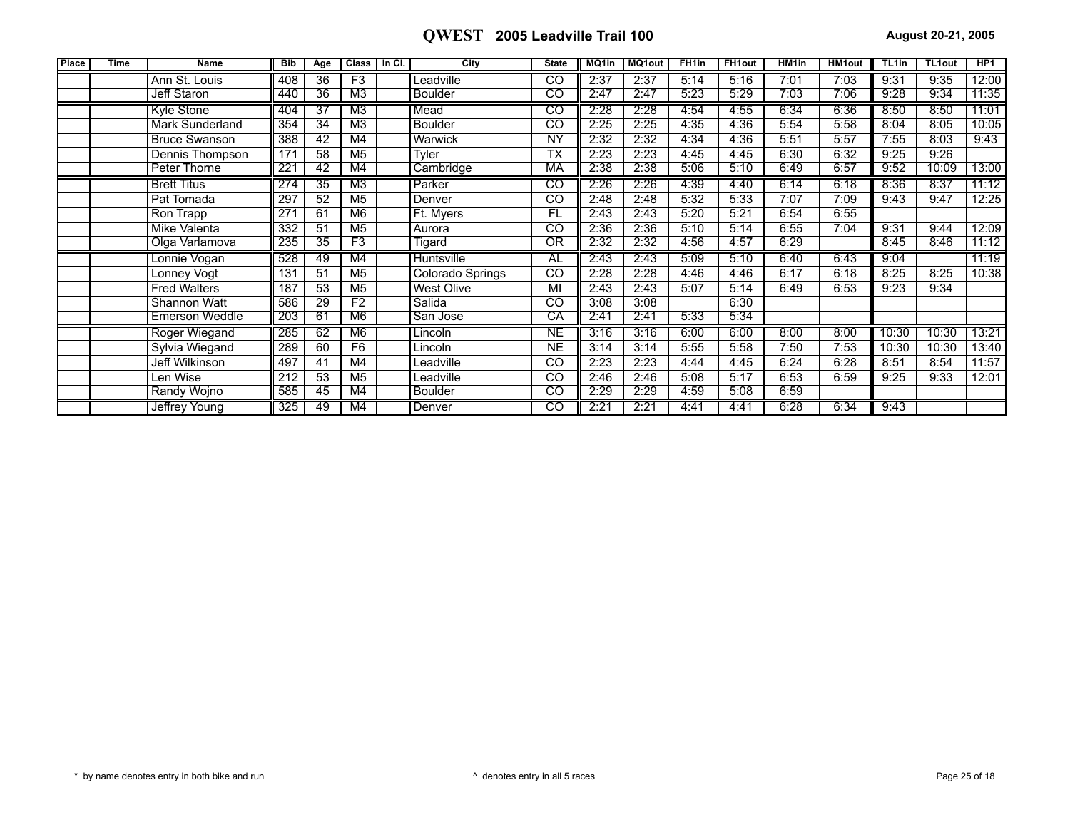| <b>Place</b> | <b>Time</b> | <b>Name</b>           | <b>Bib</b> | Age | <b>Class</b>   | In CI. | City             | <b>State</b>    | MQ1in | <b>MQ1out</b> | FH <sub>1in</sub> | <b>FH1out</b> | HM <sub>1in</sub> | <b>HM1out</b> | TL <sub>1in</sub> | <b>TL1out</b> | HP <sub>1</sub> |
|--------------|-------------|-----------------------|------------|-----|----------------|--------|------------------|-----------------|-------|---------------|-------------------|---------------|-------------------|---------------|-------------------|---------------|-----------------|
|              |             | Ann St. Louis         | 408        | 36  | F3             |        | eadville         | <sub>CO</sub>   | 2:37  | 2:37          | 5:14              | 5:16          | 7:01              | 7:03          | 9:31              | 9:35          | 12:00           |
|              |             | Jeff Staron           | 440        | 36  | M3             |        | <b>Boulder</b>   | co              | 2:47  | 2:47          | 5:23              | 5:29          | 7:03              | 7:06          | 9:28              | 9:34          | 11:35           |
|              |             | Kyle Stone            | 404        | 37  | M3             |        | Mead             | CO              | 2:28  | 2:28          | 4:54              | 4:55          | 6:34              | 6:36          | 8:50              | 8:50          | 11:01           |
|              |             | Mark Sunderland       | 354        | 34  | M <sub>3</sub> |        | <b>Boulder</b>   | CO              | 2:25  | 2:25          | 4:35              | 4:36          | 5:54              | 5:58          | 8:04              | 8:05          | 10:05           |
|              |             | <b>Bruce Swanson</b>  | 388        | 42  | M4             |        | Warwick          | NY              | 2:32  | 2:32          | 4:34              | 4:36          | 5:51              | 5:57          | 7:55              | 8:03          | 9:43            |
|              |             | Dennis Thompson       | 171        | 58  | M <sub>5</sub> |        | Tyler            | ТX              | 2:23  | 2:23          | 4:45              | 4:45          | 6:30              | 6:32          | 9:25              | 9:26          |                 |
|              |             | Peter Thorne          | 221        | 42  | M4             |        | Cambridge        | МA              | 2:38  | 2:38          | 5:06              | 5:10          | 6:49              | 6:57          | 9:52              | 10:09         | 13:00           |
|              |             | <b>Brett Titus</b>    | 274        | 35  | M3             |        | Parker           | CO              | 2:26  | 2:26          | 4:39              | 4:40          | 6:14              | 6:18          | 8:36              | 8:37          | 11:12           |
|              |             | Pat Tomada            | 297        | 52  | M <sub>5</sub> |        | Denver           | $\overline{CO}$ | 2:48  | 2:48          | 5:32              | 5:33          | 7:07              | 7:09          | 9:43              | 9:47          | 12:25           |
|              |             | Ron Trapp             | 271        | 61  | M <sub>6</sub> |        | Ft. Myers        | <b>FL</b>       | 2:43  | 2:43          | 5:20              | 5:21          | 6:54              | 6:55          |                   |               |                 |
|              |             | Mike Valenta          | 332        | 51  | M <sub>5</sub> |        | Aurora           | $\overline{c}$  | 2:36  | 2:36          | 5:10              | 5:14          | 6:55              | 7:04          | 9:31              | 9:44          | 12:09           |
|              |             | Olga Varlamova        | 235        | 35  | F3             |        | <b>Tigard</b>    | ΟR              | 2:32  | 2:32          | 4:56              | 4:57          | 6:29              |               | 8:45              | 8:46          | 11:12           |
|              |             | Lonnie Vogan          | 528        | 49  | M4             |        | Huntsville       | AL              | 2:43  | 2:43          | 5:09              | 5:10          | 6:40              | 6:43          | 9:04              |               | 11:19           |
|              |             | Lonney Vogt           | 131        | 51  | M <sub>5</sub> |        | Colorado Springs | <b>CO</b>       | 2:28  | 2:28          | 4:46              | 4:46          | 6:17              | 6:18          | 8:25              | 8:25          | 10:38           |
|              |             | <b>Fred Walters</b>   | 187        | 53  | M <sub>5</sub> |        | West Olive       | MI              | 2:43  | 2:43          | 5:07              | 5:14          | 6:49              | 6:53          | 9:23              | 9:34          |                 |
|              |             | Shannon Watt          | 586        | 29  | F2             |        | Salida           | CO              | 3:08  | 3:08          |                   | 6:30          |                   |               |                   |               |                 |
|              |             | <b>Emerson Weddle</b> | 203        | 61  | M6             |        | San Jose         | СA              | 2:41  | 2:41          | 5:33              | 5:34          |                   |               |                   |               |                 |
|              |             | Roger Wiegand         | 285        | 62  | M6             |        | Lincoln          | NE              | 3:16  | 3:16          | 6:00              | 6:00          | 8:00              | 8:00          | 10:30             | 10:30         | 13:21           |
|              |             | Sylvia Wiegand        | 289        | 60  | F <sub>6</sub> |        | _incoln          | <b>NE</b>       | 3:14  | 3:14          | 5:55              | 5:58          | 7:50              | 7:53          | 10:30             | 10:30         | 13:40           |
|              |             | Jeff Wilkinson        | 497        | 41  | M4             |        | eadville         | <sub>CO</sub>   | 2:23  | 2:23          | 4:44              | 4:45          | 6:24              | 6:28          | 8:51              | 8:54          | 11:57           |
|              |             | Len Wise              | 212        | 53  | M <sub>5</sub> |        | eadville         | $\overline{CO}$ | 2:46  | 2:46          | 5:08              | 5:17          | 6:53              | 6:59          | 9:25              | 9:33          | 12:01           |
|              |             | Randy Wojno           | 585        | -45 | M4             |        | <b>Boulder</b>   | CO              | 2:29  | 2:29          | 4:59              | 5:08          | 6:59              |               |                   |               |                 |
|              |             | Jeffrey Young         | 325        | -49 | M4             |        | Denver           | CO              | 2:21  | 2:21          | 4:41              | 4:41          | 6:28              | 6:34          | 9:43              |               |                 |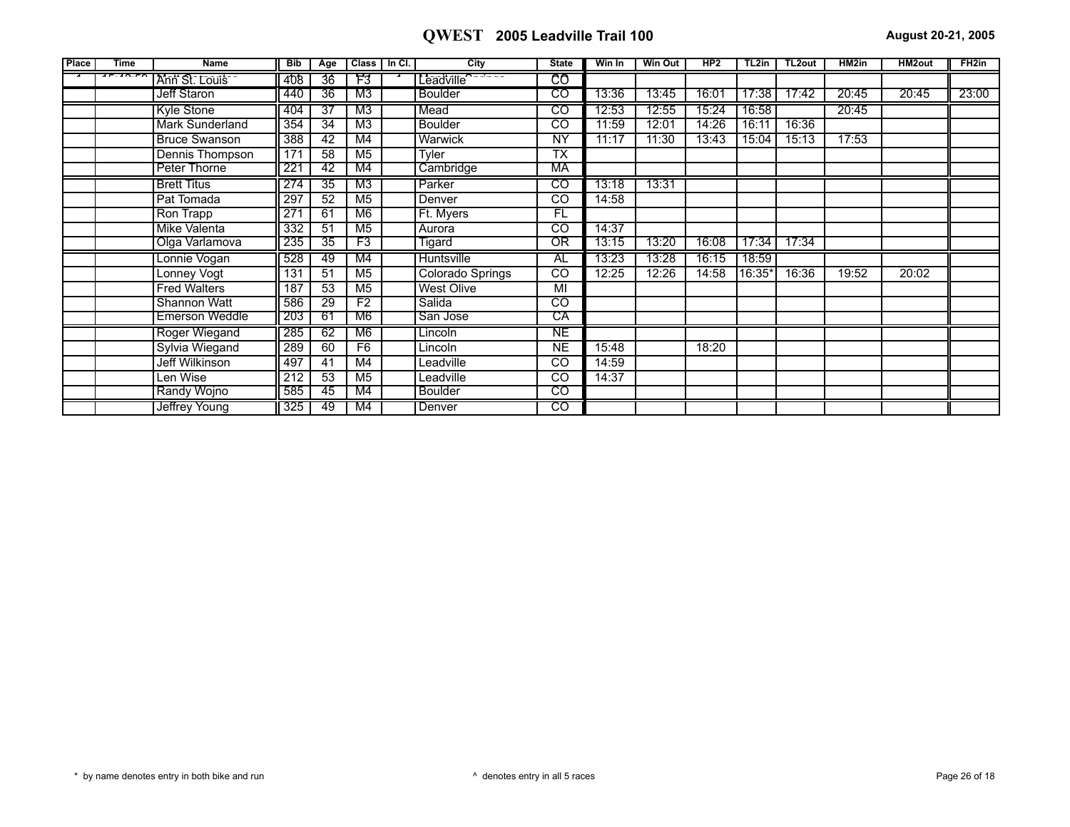| Place | <b>Time</b> | <b>Name</b>            | <b>Bib</b> | Age             | Class   In Cl. | City              | <b>State</b>    | Win In | <b>Win Out</b> | HP2   | TL2in  | TL2out | HM2in | <b>HM2out</b> | FH2in |
|-------|-------------|------------------------|------------|-----------------|----------------|-------------------|-----------------|--------|----------------|-------|--------|--------|-------|---------------|-------|
|       | $1 - 10.1$  | Ann St. Louis          | 408        | 36              | F3             | Leadville'        | CO              |        |                |       |        |        |       |               |       |
|       |             | Jeff Staron            | 440        | 36              | M3             | <b>Boulder</b>    | टठ              | 13:36  | 13:45          | 16:01 | 17:38  | 17:42  | 20:45 | 20:45         | 23:00 |
|       |             | <b>Kyle Stone</b>      | 404        | -37             | M3             | Mead              | CO              | 12:53  | 12:55          | 15:24 | 16:58  |        | 20:45 |               |       |
|       |             | <b>Mark Sunderland</b> | 354        | $\overline{34}$ | M3             | <b>Boulder</b>    | CO              | 11:59  | 12:01          | 14:26 | 16:11  | 16:36  |       |               |       |
|       |             | <b>Bruce Swanson</b>   | 388        | 42              | M4             | Warwick           | <b>NY</b>       | 11:17  | 11:30          | 13:43 | 15:04  | 15:13  | 17:53 |               |       |
|       |             | Dennis Thompson        | 171        | 58              | M <sub>5</sub> | <b>Tyler</b>      | Tx              |        |                |       |        |        |       |               |       |
|       |             | Peter Thorne           | 221        | -42             | M4             | Cambridge         | МA              |        |                |       |        |        |       |               |       |
|       |             | <b>Brett Titus</b>     | 274        | 35              | M3             | Parker            | CO              | 13:18  | 13:31          |       |        |        |       |               |       |
|       |             | Pat Tomada             | 297        | 52              | M <sub>5</sub> | Denver            | $\overline{CO}$ | 14:58  |                |       |        |        |       |               |       |
|       |             | Ron Trapp              | 271        | 61              | M6             | Ft. Myers         | FL              |        |                |       |        |        |       |               |       |
|       |             | <b>Mike Valenta</b>    | 332        | 51              | M <sub>5</sub> | Aurora            | CO              | 14:37  |                |       |        |        |       |               |       |
|       |             | Olga Varlamova         | 235        | 35              | F3             | Tigard            | OR              | 13:15  | 13:20          | 16:08 | 17:34  | 17:34  |       |               |       |
|       |             | Lonnie Vogan           | 528        | 49              | M4             | Huntsville        | <b>AL</b>       | 13:23  | 13:28          | 16:15 | 18:59  |        |       |               |       |
|       |             | Lonney Vogt            | 131        | 51              | M5             | Colorado Springs  | CO              | 12:25  | 12:26          | 14:58 | 16:35* | 16:36  | 19:52 | 20:02         |       |
|       |             | <b>Fred Walters</b>    | 187        | 53              | M <sub>5</sub> | <b>West Olive</b> | MI              |        |                |       |        |        |       |               |       |
|       |             | Shannon Watt           | 586        | 29              | F <sub>2</sub> | Salida            | <b>CO</b>       |        |                |       |        |        |       |               |       |
|       |             | <b>Emerson Weddle</b>  | 203        | -61             | M6             | San Jose          | СA              |        |                |       |        |        |       |               |       |
|       |             | Roger Wiegand          | 285        | 62              | M6             | Lincoln           | NΕ              |        |                |       |        |        |       |               |       |
|       |             | Sylvia Wiegand         | 289        | 60              | F <sub>6</sub> | Lincoln           | <b>NE</b>       | 15:48  |                | 18:20 |        |        |       |               |       |
|       |             | Jeff Wilkinson         | 497        | 41              | M4             | Leadville         | CO              | 14:59  |                |       |        |        |       |               |       |
|       |             | ∟en Wise               | 212        | 53              | M <sub>5</sub> | Leadville         | CO              | 14:37  |                |       |        |        |       |               |       |
|       |             | Randy Wojno            | 585        | 45              | M4             | <b>Boulder</b>    | CO              |        |                |       |        |        |       |               |       |
|       |             | Jeffrey Young          | 325        | -49             | M4             | Denver            | CO              |        |                |       |        |        |       |               |       |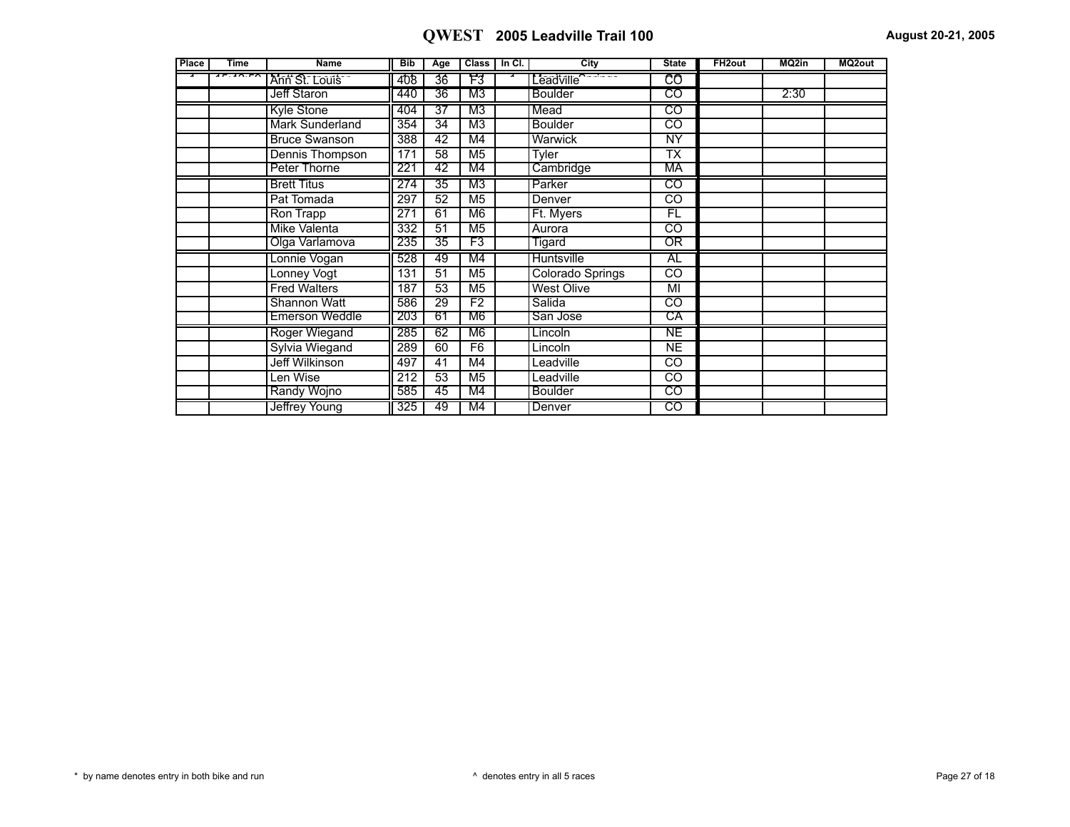| <b>Place</b> | <b>Time</b> | <b>Name</b>            | <b>Bib</b> | Age             |                | Class   In Cl. | City                   | <b>State</b>           | FH <sub>2out</sub> | MQ2in | MQ2out |
|--------------|-------------|------------------------|------------|-----------------|----------------|----------------|------------------------|------------------------|--------------------|-------|--------|
|              | $1 - 10.50$ | Ann St. Louis          | 408        | 36              | 73             |                | Leadville <sup>O</sup> | CO                     |                    |       |        |
|              |             | Jeff Staron            | 440        | 36              | M3             |                | Boulder                | टठ                     |                    | 2:30  |        |
|              |             | Kyle Stone             | 404        | 37              | M3             |                | Mead                   | CO                     |                    |       |        |
|              |             | <b>Mark Sunderland</b> | 354        | 34              | M <sub>3</sub> |                | <b>Boulder</b>         | CO                     |                    |       |        |
|              |             | <b>Bruce Swanson</b>   | 388        | 42              | M4             |                | Warwick                | <b>NY</b>              |                    |       |        |
|              |             | Dennis Thompson        | 171        | 58              | M <sub>5</sub> |                | Tyler                  | TX                     |                    |       |        |
|              |             | Peter Thorne           | 221        | 42              | M4             |                | Cambridge              | МA                     |                    |       |        |
|              |             | <b>Brett Titus</b>     | 274        | 35              | M3             |                | Parker                 | CO                     |                    |       |        |
|              |             | Pat Tomada             | 297        | 52              | M <sub>5</sub> |                | Denver                 | $\overline{CO}$        |                    |       |        |
|              |             | Ron Trapp              | 271        | 61              | M <sub>6</sub> |                | Ft. Myers              | FL                     |                    |       |        |
|              |             | Mike Valenta           | 332        | 51              | M <sub>5</sub> |                | Aurora                 | CO                     |                    |       |        |
|              |             | Olga Varlamova         | 235        | $\overline{35}$ | F3             |                | Tigard                 | OR                     |                    |       |        |
|              |             | Lonnie Vogan           | 528        | 49              | M4             |                | Huntsville             | AL                     |                    |       |        |
|              |             | Lonney Vogt            | 131        | 51              | M <sub>5</sub> |                | Colorado Springs       | $\overline{c}$         |                    |       |        |
|              |             | <b>Fred Walters</b>    | 187        | 53              | M <sub>5</sub> |                | <b>West Olive</b>      | M <sub>l</sub>         |                    |       |        |
|              |             | Shannon Watt           | 586        | 29              | F <sub>2</sub> |                | Salida                 | CO                     |                    |       |        |
|              |             | <b>Emerson Weddle</b>  | 203        | 61              | M6             |                | San Jose               | СA                     |                    |       |        |
|              |             | Roger Wiegand          | 285        | 62              | M6             |                | Lincoln                | NE                     |                    |       |        |
|              |             | Sylvia Wiegand         | 289        | 60              | F6             |                | Lincoln                | NE.                    |                    |       |        |
|              |             | Jeff Wilkinson         | 497        | 41              | M4             |                | Leadville              | CO.                    |                    |       |        |
|              |             | Len Wise               | 212        | 53              | M <sub>5</sub> |                | Leadville              | $\overline{CO}$        |                    |       |        |
|              |             | Randy Wojno            | 585        | 45              | M4             |                | <b>Boulder</b>         | $\overline{\text{co}}$ |                    |       |        |
|              |             | Jeffrey Young          | 325        | 49              | M4             |                | Denver                 | CO                     |                    |       |        |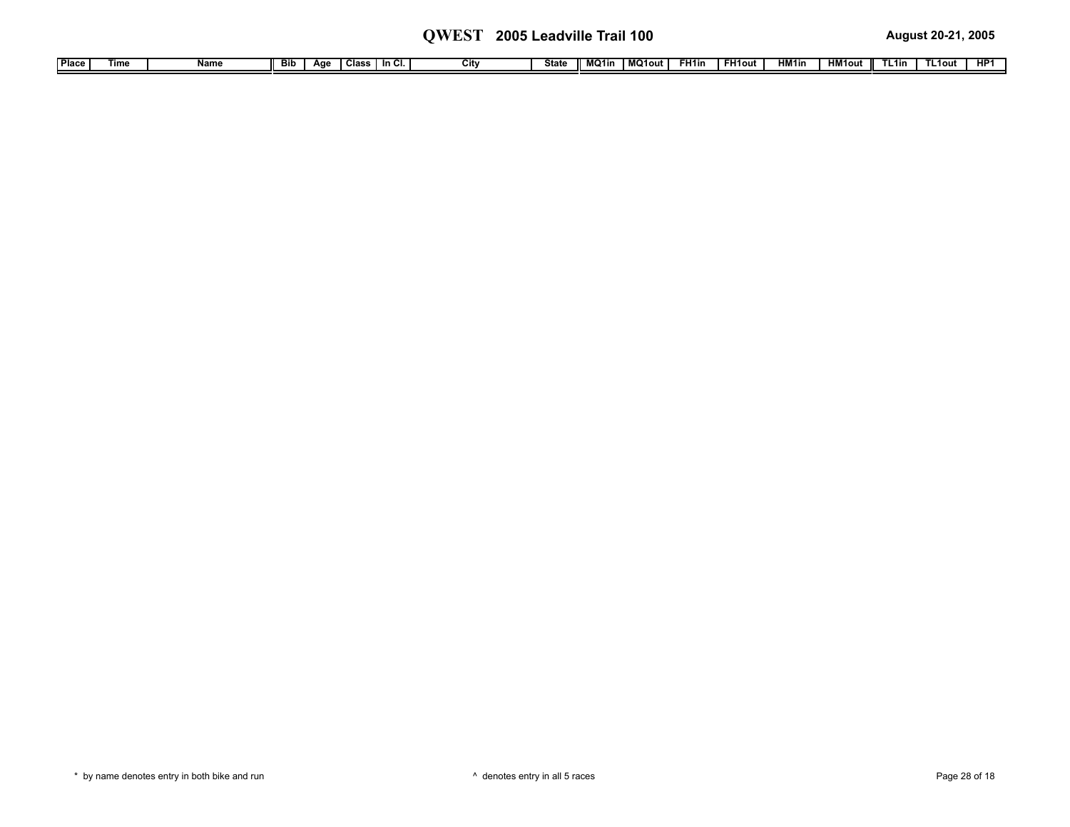| ' Place ⊩ | Time | .<br>name | Bib | Aae | Class | $\sim$<br>in Ci | $\sim$<br><b>GIT)</b> | State | MO <sub>1in</sub> | $\overline{\mathbf{M}}$<br>MQ1out | -H1in | FH1out | HM <sub>1</sub> in | $-W1$ out<br>пм | ∟1in. | un.<br>пı |
|-----------|------|-----------|-----|-----|-------|-----------------|-----------------------|-------|-------------------|-----------------------------------|-------|--------|--------------------|-----------------|-------|-----------|
|           |      |           |     |     |       |                 |                       |       |                   |                                   |       |        |                    |                 |       |           |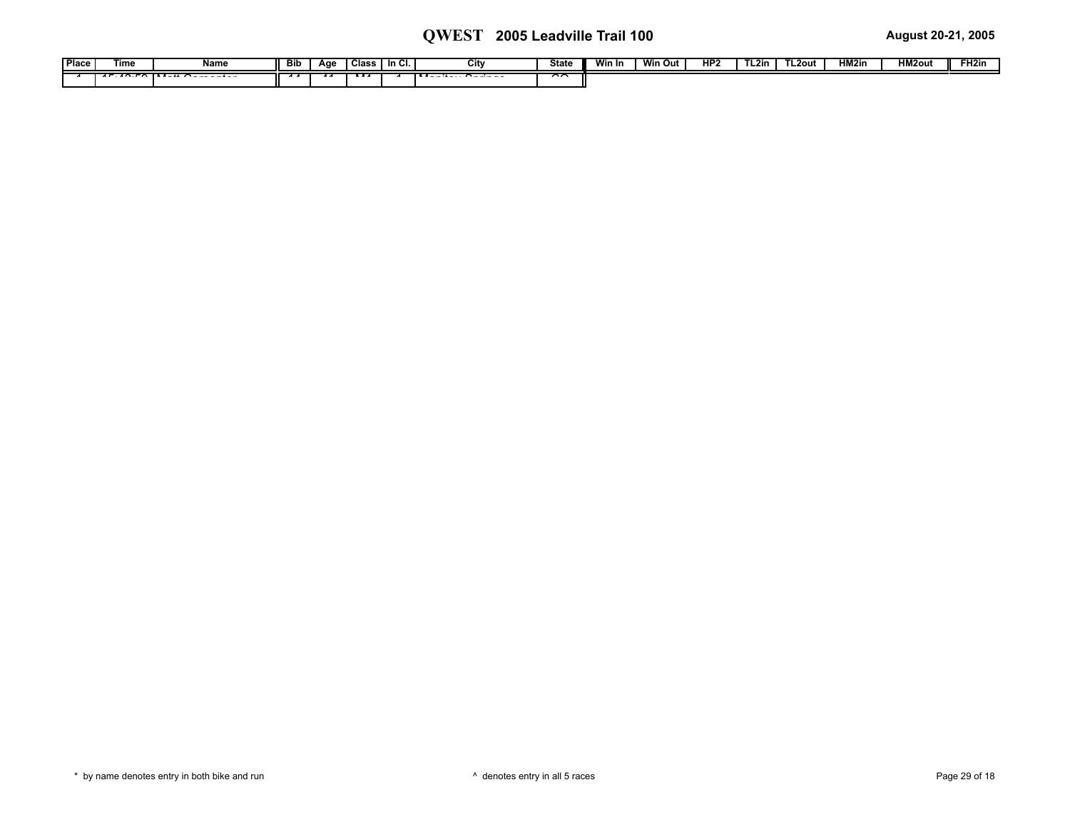| Place | Tim€ | Name                                 | -- | Age | <b>Class</b> | In Cl. | ни | <b>State</b> | Win In | <b>Win Out</b> | HP <sub>2</sub> | $\sim$<br>L2in | TL2out | HM <sub>2ir</sub> | <b>HM2out</b> | FH2in |
|-------|------|--------------------------------------|----|-----|--------------|--------|----|--------------|--------|----------------|-----------------|----------------|--------|-------------------|---------------|-------|
|       |      | $10.50 \text{ N} - 40.5$<br>$-1 - -$ |    |     |              |        |    | $\sim$       |        |                |                 |                |        |                   |               |       |